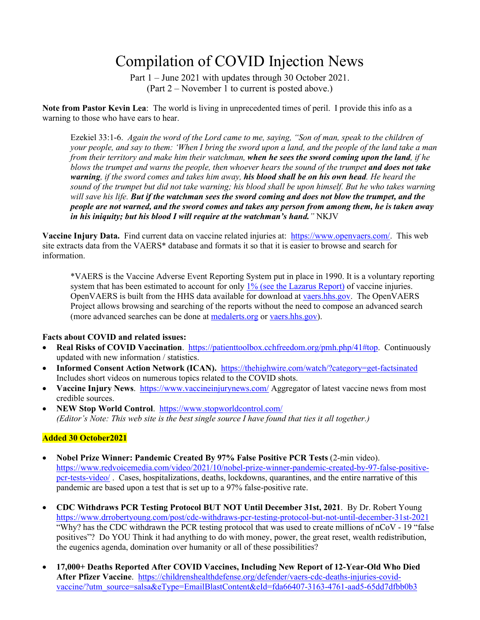# Compilation of COVID Injection News

Part 1 – June 2021 with updates through 30 October 2021. (Part 2 – November 1 to current is posted above.)

**Note from Pastor Kevin Lea**: The world is living in unprecedented times of peril. I provide this info as a warning to those who have ears to hear.

Ezekiel 33:1-6. *Again the word of the Lord came to me, saying, "Son of man, speak to the children of your people, and say to them: 'When I bring the sword upon a land, and the people of the land take a man from their territory and make him their watchman, when he sees the sword coming upon the land, if he blows the trumpet and warns the people, then whoever hears the sound of the trumpet and does not take warning, if the sword comes and takes him away, his blood shall be on his own head. He heard the sound of the trumpet but did not take warning; his blood shall be upon himself. But he who takes warning will save his life. But if the watchman sees the sword coming and does not blow the trumpet, and the people are not warned, and the sword comes and takes any person from among them, he is taken away in his iniquity; but his blood I will require at the watchman's hand."* NKJV

**Vaccine Injury Data.** Find current data on vaccine related injuries at: [https://www.openvaers.com/.](https://www.openvaers.com/) This web site extracts data from the VAERS\* database and formats it so that it is easier to browse and search for information.

\*VAERS is the Vaccine Adverse Event Reporting System put in place in 1990. It is a voluntary reporting system that has been estimated to account for only [1% \(see the Lazarus Report\)](https://www.openvaers.com/images/r18hs017045-lazarus-final-report-20116.pdf) of vaccine injuries. OpenVAERS is built from the HHS data available for download at [vaers.hhs.gov.](https://vaers.hhs.gov/) The OpenVAERS Project allows browsing and searching of the reports without the need to compose an advanced search (more advanced searches can be done at [medalerts.org](https://www.medalerts.org/) or [vaers.hhs.gov\)](https://vaers.hhs.gov/).

## **Facts about COVID and related issues:**

- **Real Risks of COVID Vaccination**. [https://patienttoolbox.cchfreedom.org/pmh.php/41#top.](https://patienttoolbox.cchfreedom.org/pmh.php/41#top) Continuously updated with new information / statistics.
- **Informed Consent Action Network (ICAN).** <https://thehighwire.com/watch/?category=get-factsinated> Includes short videos on numerous topics related to the COVID shots.
- **Vaccine Injury News**.<https://www.vaccineinjurynews.com/> Aggregator of latest vaccine news from most credible sources.
- **NEW Stop World Control**. <https://www.stopworldcontrol.com/> *(Editor's Note: This web site is the best single source I have found that ties it all together.)*

## **Added 30 October2021**

- **Nobel Prize Winner: Pandemic Created By 97% False Positive PCR Tests** (2-min video). [https://www.redvoicemedia.com/video/2021/10/nobel-prize-winner-pandemic-created-by-97-false-positive](https://www.redvoicemedia.com/video/2021/10/nobel-prize-winner-pandemic-created-by-97-false-positive-pcr-tests-video/)[pcr-tests-video/](https://www.redvoicemedia.com/video/2021/10/nobel-prize-winner-pandemic-created-by-97-false-positive-pcr-tests-video/) . Cases, hospitalizations, deaths, lockdowns, quarantines, and the entire narrative of this pandemic are based upon a test that is set up to a 97% false-positive rate.
- **CDC Withdraws PCR Testing Protocol BUT NOT Until December 31st, 2021**. By Dr. Robert Young <https://www.drrobertyoung.com/post/cdc-withdraws-pcr-testing-protocol-but-not-until-december-31st-2021> "Why? has the CDC withdrawn the PCR testing protocol that was used to create millions of nCoV - 19 "false positives"? Do YOU Think it had anything to do with money, power, the great reset, wealth redistribution, the eugenics agenda, domination over humanity or all of these possibilities?
- **17,000+ Deaths Reported After COVID Vaccines, Including New Report of 12-Year-Old Who Died After Pfizer Vaccine**. [https://childrenshealthdefense.org/defender/vaers-cdc-deaths-injuries-covid](https://childrenshealthdefense.org/defender/vaers-cdc-deaths-injuries-covid-vaccine/?utm_source=salsa&eType=EmailBlastContent&eId=fda66407-3163-4761-aad5-65dd7dfbb0b3)[vaccine/?utm\\_source=salsa&eType=EmailBlastContent&eId=fda66407-3163-4761-aad5-65dd7dfbb0b3](https://childrenshealthdefense.org/defender/vaers-cdc-deaths-injuries-covid-vaccine/?utm_source=salsa&eType=EmailBlastContent&eId=fda66407-3163-4761-aad5-65dd7dfbb0b3)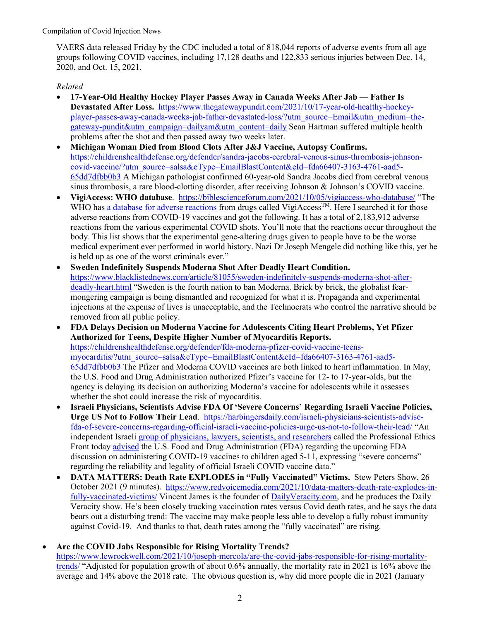VAERS data released Friday by the CDC included a total of 818,044 reports of adverse events from all age groups following COVID vaccines, including 17,128 deaths and 122,833 serious injuries between Dec. 14, 2020, and Oct. 15, 2021.

## *Related*

- **17-Year-Old Healthy Hockey Player Passes Away in Canada Weeks After Jab — Father Is Devastated After Loss.** [https://www.thegatewaypundit.com/2021/10/17-year-old-healthy-hockey](https://www.thegatewaypundit.com/2021/10/17-year-old-healthy-hockey-player-passes-away-canada-weeks-jab-father-devastated-loss/?utm_source=Email&utm_medium=the-gateway-pundit&utm_campaign=dailyam&utm_content=daily)[player-passes-away-canada-weeks-jab-father-devastated-loss/?utm\\_source=Email&utm\\_medium=the](https://www.thegatewaypundit.com/2021/10/17-year-old-healthy-hockey-player-passes-away-canada-weeks-jab-father-devastated-loss/?utm_source=Email&utm_medium=the-gateway-pundit&utm_campaign=dailyam&utm_content=daily)[gateway-pundit&utm\\_campaign=dailyam&utm\\_content=daily](https://www.thegatewaypundit.com/2021/10/17-year-old-healthy-hockey-player-passes-away-canada-weeks-jab-father-devastated-loss/?utm_source=Email&utm_medium=the-gateway-pundit&utm_campaign=dailyam&utm_content=daily) Sean Hartman suffered multiple health problems after the shot and then passed away two weeks later.
- **Michigan Woman Died from Blood Clots After J&J Vaccine, Autopsy Confirms.**  [https://childrenshealthdefense.org/defender/sandra-jacobs-cerebral-venous-sinus-thrombosis-johnson](https://childrenshealthdefense.org/defender/sandra-jacobs-cerebral-venous-sinus-thrombosis-johnson-covid-vaccine/?utm_source=salsa&eType=EmailBlastContent&eId=fda66407-3163-4761-aad5-65dd7dfbb0b3)[covid-vaccine/?utm\\_source=salsa&eType=EmailBlastContent&eId=fda66407-3163-4761-aad5-](https://childrenshealthdefense.org/defender/sandra-jacobs-cerebral-venous-sinus-thrombosis-johnson-covid-vaccine/?utm_source=salsa&eType=EmailBlastContent&eId=fda66407-3163-4761-aad5-65dd7dfbb0b3) [65dd7dfbb0b3](https://childrenshealthdefense.org/defender/sandra-jacobs-cerebral-venous-sinus-thrombosis-johnson-covid-vaccine/?utm_source=salsa&eType=EmailBlastContent&eId=fda66407-3163-4761-aad5-65dd7dfbb0b3) A Michigan pathologist confirmed 60-year-old Sandra Jacobs died from cerebral venous sinus thrombosis, a rare blood-clotting disorder, after receiving Johnson & Johnson's COVID vaccine.
- **VigiAccess: WHO database**. <https://biblescienceforum.com/2021/10/05/vigiaccess-who-database/> "The WHO has [a database for adverse reactions](http://www.vigiaccess.org/) from drugs called VigiAccess<sup>TM</sup>. Here I searched it for those adverse reactions from COVID-19 vaccines and got the following. It has a total of 2,183,912 adverse reactions from the various experimental COVID shots. You'll note that the reactions occur throughout the body. This list shows that the experimental gene-altering drugs given to people have to be the worse medical experiment ever performed in world history. Nazi Dr Joseph Mengele did nothing like this, yet he is held up as one of the worst criminals ever."
- **Sweden Indefinitely Suspends Moderna Shot After Deadly Heart Condition.**  [https://www.blacklistednews.com/article/81055/sweden-indefinitely-suspends-moderna-shot-after](https://www.blacklistednews.com/article/81055/sweden-indefinitely-suspends-moderna-shot-after-deadly-heart.html)[deadly-heart.html](https://www.blacklistednews.com/article/81055/sweden-indefinitely-suspends-moderna-shot-after-deadly-heart.html) "Sweden is the fourth nation to ban Moderna. Brick by brick, the globalist fearmongering campaign is being dismantled and recognized for what it is. Propaganda and experimental injections at the expense of lives is unacceptable, and the Technocrats who control the narrative should be removed from all public policy.
- **FDA Delays Decision on Moderna Vaccine for Adolescents Citing Heart Problems, Yet Pfizer Authorized for Teens, Despite Higher Number of Myocarditis Reports.**  [https://childrenshealthdefense.org/defender/fda-moderna-pfizer-covid-vaccine-teens](https://childrenshealthdefense.org/defender/fda-moderna-pfizer-covid-vaccine-teens-myocarditis/?utm_source=salsa&eType=EmailBlastContent&eId=fda66407-3163-4761-aad5-65dd7dfbb0b3)[myocarditis/?utm\\_source=salsa&eType=EmailBlastContent&eId=fda66407-3163-4761-aad5-](https://childrenshealthdefense.org/defender/fda-moderna-pfizer-covid-vaccine-teens-myocarditis/?utm_source=salsa&eType=EmailBlastContent&eId=fda66407-3163-4761-aad5-65dd7dfbb0b3) [65dd7dfbb0b3](https://childrenshealthdefense.org/defender/fda-moderna-pfizer-covid-vaccine-teens-myocarditis/?utm_source=salsa&eType=EmailBlastContent&eId=fda66407-3163-4761-aad5-65dd7dfbb0b3) The Pfizer and Moderna COVID vaccines are both linked to heart inflammation. In May, the U.S. Food and Drug Administration authorized Pfizer's vaccine for 12- to 17-year-olds, but the agency is delaying its decision on authorizing Moderna's vaccine for adolescents while it assesses whether the shot could increase the risk of myocarditis.
- **Israeli Physicians, Scientists Advise FDA Of 'Severe Concerns' Regarding Israeli Vaccine Policies, Urge US Not to Follow Their Lead**. [https://harbingersdaily.com/israeli-physicians-scientists-advise](https://harbingersdaily.com/israeli-physicians-scientists-advise-fda-of-severe-concerns-regarding-official-israeli-vaccine-policies-urge-us-not-to-follow-their-lead/)[fda-of-severe-concerns-regarding-official-israeli-vaccine-policies-urge-us-not-to-follow-their-lead/](https://harbingersdaily.com/israeli-physicians-scientists-advise-fda-of-severe-concerns-regarding-official-israeli-vaccine-policies-urge-us-not-to-follow-their-lead/) "An independent Israeli [group of physicians, lawyers, scientists, and researchers](https://www.facebook.com/Professional-Ethics-Front%D7%94%D7%97%D7%96%D7%99%D7%AA%D7%94%D7%9E%D7%A7%D7%A6%D7%95%D7%A2%D7%99%D7%AA%D7%9C%D7%90%D7%AA%D7%99%D7%A7%D7%94-100659398970482/) called the Professional Ethics Front today [advised](https://americasfrontlinedoctors.org/2/files/israeli-physicians-and-scientists-address-severe-concerns-to-fda-regarding-reliability-and-legality-of-official-israeli-covid-vaccine-data/) the U.S. Food and Drug Administration (FDA) regarding the upcoming FDA discussion on administering COVID-19 vaccines to children aged 5-11, expressing "severe concerns" regarding the reliability and legality of official Israeli COVID vaccine data."
- **DATA MATTERS: Death Rate EXPLODES in "Fully Vaccinated" Victims.** Stew Peters Show, 26 October 2021 (9 minutes). [https://www.redvoicemedia.com/2021/10/data-matters-death-rate-explodes-in](https://www.redvoicemedia.com/2021/10/data-matters-death-rate-explodes-in-fully-vaccinated-victims/)[fully-vaccinated-victims/](https://www.redvoicemedia.com/2021/10/data-matters-death-rate-explodes-in-fully-vaccinated-victims/)Vincent James is the founder o[f DailyVeracity.com,](https://dailyveracity.com/) and he produces the Daily Veracity show. He's been closely tracking vaccination rates versus Covid death rates, and he says the data bears out a disturbing trend: The vaccine may make people less able to develop a fully robust immunity against Covid-19. And thanks to that, death rates among the "fully vaccinated" are rising.

## • **Are the COVID Jabs Responsible for Rising Mortality Trends?**

[https://www.lewrockwell.com/2021/10/joseph-mercola/are-the-covid-jabs-responsible-for-rising-mortality](https://www.lewrockwell.com/2021/10/joseph-mercola/are-the-covid-jabs-responsible-for-rising-mortality-trends/)[trends/](https://www.lewrockwell.com/2021/10/joseph-mercola/are-the-covid-jabs-responsible-for-rising-mortality-trends/) "Adjusted for population growth of about 0.6% annually, the mortality rate in 2021 is 16% above the average and 14% above the 2018 rate. The obvious question is, why did more people die in 2021 (January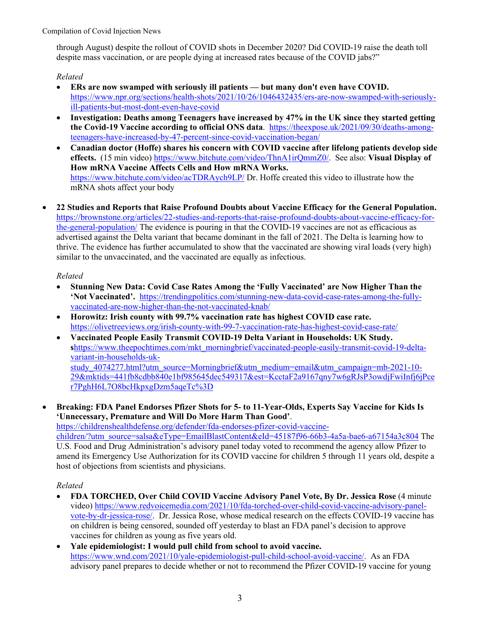through August) despite the rollout of COVID shots in December 2020? Did COVID-19 raise the death toll despite mass vaccination, or are people dying at increased rates because of the COVID jabs?"

*Related*

- **ERs are now swamped with seriously ill patients — but many don't even have COVID.**  [https://www.npr.org/sections/health-shots/2021/10/26/1046432435/ers-are-now-swamped-with-seriously](https://www.npr.org/sections/health-shots/2021/10/26/1046432435/ers-are-now-swamped-with-seriously-ill-patients-but-most-dont-even-have-covid)[ill-patients-but-most-dont-even-have-covid](https://www.npr.org/sections/health-shots/2021/10/26/1046432435/ers-are-now-swamped-with-seriously-ill-patients-but-most-dont-even-have-covid)
- **Investigation: Deaths among Teenagers have increased by 47% in the UK since they started getting the Covid-19 Vaccine according to official ONS data**. [https://theexpose.uk/2021/09/30/deaths-among](https://theexpose.uk/2021/09/30/deaths-among-teenagers-have-increased-by-47-percent-since-covid-vaccination-began/)[teenagers-have-increased-by-47-percent-since-covid-vaccination-began/](https://theexpose.uk/2021/09/30/deaths-among-teenagers-have-increased-by-47-percent-since-covid-vaccination-began/)
- **Canadian doctor (Hoffe) shares his concern with COVID vaccine after lifelong patients develop side effects.** (15 min video) [https://www.bitchute.com/video/ThnA1irQmmZ0/.](https://www.bitchute.com/video/ThnA1irQmmZ0/) See also: **Visual Display of How mRNA Vaccine Affects Cells and How mRNA Works.** <https://www.bitchute.com/video/acTDRAych9LP/> Dr. Hoffe created this video to illustrate how the mRNA shots affect your body
- **22 Studies and Reports that Raise Profound Doubts about Vaccine Efficacy for the General Population.** [https://brownstone.org/articles/22-studies-and-reports-that-raise-profound-doubts-about-vaccine-efficacy-for](https://brownstone.org/articles/22-studies-and-reports-that-raise-profound-doubts-about-vaccine-efficacy-for-the-general-population/)[the-general-population/](https://brownstone.org/articles/22-studies-and-reports-that-raise-profound-doubts-about-vaccine-efficacy-for-the-general-population/) The evidence is pouring in that the COVID-19 vaccines are not as efficacious as advertised against the Delta variant that became dominant in the fall of 2021. The Delta is learning how to thrive. The evidence has further accumulated to show that the vaccinated are showing viral loads (very high) similar to the unvaccinated, and the vaccinated are equally as infectious.

# *Related*

- **Stunning New Data: Covid Case Rates Among the 'Fully Vaccinated' are Now Higher Than the 'Not Vaccinated'.** [https://trendingpolitics.com/stunning-new-data-covid-case-rates-among-the-fully](https://trendingpolitics.com/stunning-new-data-covid-case-rates-among-the-fully-vaccinated-are-now-higher-than-the-not-vaccinated-knab/)[vaccinated-are-now-higher-than-the-not-vaccinated-knab/](https://trendingpolitics.com/stunning-new-data-covid-case-rates-among-the-fully-vaccinated-are-now-higher-than-the-not-vaccinated-knab/)
- **Horowitz: Irish county with 99.7% vaccination rate has highest COVID case rate.** <https://olivetreeviews.org/irish-county-with-99-7-vaccination-rate-has-highest-covid-case-rate/>
- **Vaccinated People Easily Transmit COVID-19 Delta Variant in Households: UK Study.**  s[https://www.theepochtimes.com/mkt\\_morningbrief/vaccinated-people-easily-transmit-covid-19-delta](https://www.theepochtimes.com/mkt_morningbrief/vaccinated-people-easily-transmit-covid-19-delta-variant-in-households-uk-study_4074277.html?utm_source=Morningbrief&utm_medium=email&utm_campaign=mb-2021-10-29&mktids=441fb8cdbb840e1bf985645dec549317&est=KcctaF2a9167qny7w6gRJsP3owdjFwiInfj6jPcer7PghH6L7O8bcHkpxgDzm5aqeTc%3D)[variant-in-households-uk](https://www.theepochtimes.com/mkt_morningbrief/vaccinated-people-easily-transmit-covid-19-delta-variant-in-households-uk-study_4074277.html?utm_source=Morningbrief&utm_medium=email&utm_campaign=mb-2021-10-29&mktids=441fb8cdbb840e1bf985645dec549317&est=KcctaF2a9167qny7w6gRJsP3owdjFwiInfj6jPcer7PghH6L7O8bcHkpxgDzm5aqeTc%3D)[study\\_4074277.html?utm\\_source=Morningbrief&utm\\_medium=email&utm\\_campaign=mb-2021-10-](https://www.theepochtimes.com/mkt_morningbrief/vaccinated-people-easily-transmit-covid-19-delta-variant-in-households-uk-study_4074277.html?utm_source=Morningbrief&utm_medium=email&utm_campaign=mb-2021-10-29&mktids=441fb8cdbb840e1bf985645dec549317&est=KcctaF2a9167qny7w6gRJsP3owdjFwiInfj6jPcer7PghH6L7O8bcHkpxgDzm5aqeTc%3D) [29&mktids=441fb8cdbb840e1bf985645dec549317&est=KcctaF2a9167qny7w6gRJsP3owdjFwiInfj6jPce](https://www.theepochtimes.com/mkt_morningbrief/vaccinated-people-easily-transmit-covid-19-delta-variant-in-households-uk-study_4074277.html?utm_source=Morningbrief&utm_medium=email&utm_campaign=mb-2021-10-29&mktids=441fb8cdbb840e1bf985645dec549317&est=KcctaF2a9167qny7w6gRJsP3owdjFwiInfj6jPcer7PghH6L7O8bcHkpxgDzm5aqeTc%3D) [r7PghH6L7O8bcHkpxgDzm5aqeTc%3D](https://www.theepochtimes.com/mkt_morningbrief/vaccinated-people-easily-transmit-covid-19-delta-variant-in-households-uk-study_4074277.html?utm_source=Morningbrief&utm_medium=email&utm_campaign=mb-2021-10-29&mktids=441fb8cdbb840e1bf985645dec549317&est=KcctaF2a9167qny7w6gRJsP3owdjFwiInfj6jPcer7PghH6L7O8bcHkpxgDzm5aqeTc%3D)
- **Breaking: FDA Panel Endorses Pfizer Shots for 5- to 11-Year-Olds, Experts Say Vaccine for Kids Is 'Unnecessary, Premature and Will Do More Harm Than Good'**.

[https://childrenshealthdefense.org/defender/fda-endorses-pfizer-covid-vaccine-](https://childrenshealthdefense.org/defender/fda-endorses-pfizer-covid-vaccine-children/?utm_source=salsa&eType=EmailBlastContent&eId=45187f96-66b3-4a5a-bae6-a67154a3c804)

[children/?utm\\_source=salsa&eType=EmailBlastContent&eId=45187f96-66b3-4a5a-bae6-a67154a3c804](https://childrenshealthdefense.org/defender/fda-endorses-pfizer-covid-vaccine-children/?utm_source=salsa&eType=EmailBlastContent&eId=45187f96-66b3-4a5a-bae6-a67154a3c804) The U.S. Food and Drug Administration's advisory panel today voted to recommend the agency allow Pfizer to amend its Emergency Use Authorization for its COVID vaccine for children 5 through 11 years old, despite a host of objections from scientists and physicians.

- **FDA TORCHED, Over Child COVID Vaccine Advisory Panel Vote, By Dr. Jessica Rose** (4 minute video) [https://www.redvoicemedia.com/2021/10/fda-torched-over-child-covid-vaccine-advisory-panel](https://www.redvoicemedia.com/2021/10/fda-torched-over-child-covid-vaccine-advisory-panel-vote-by-dr-jessica-rose/)[vote-by-dr-jessica-rose/.](https://www.redvoicemedia.com/2021/10/fda-torched-over-child-covid-vaccine-advisory-panel-vote-by-dr-jessica-rose/) Dr. Jessica Rose, whose medical research on the effects COVID-19 vaccine has on children is being censored, sounded off yesterday to blast an FDA panel's decision to approve vaccines for children as young as five years old.
- **Yale epidemiologist: I would pull child from school to avoid vaccine.**  [https://www.wnd.com/2021/10/yale-epidemiologist-pull-child-school-avoid-vaccine/.](https://www.wnd.com/2021/10/yale-epidemiologist-pull-child-school-avoid-vaccine/) As an FDA advisory panel prepares to decide whether or not to recommend the Pfizer COVID-19 vaccine for young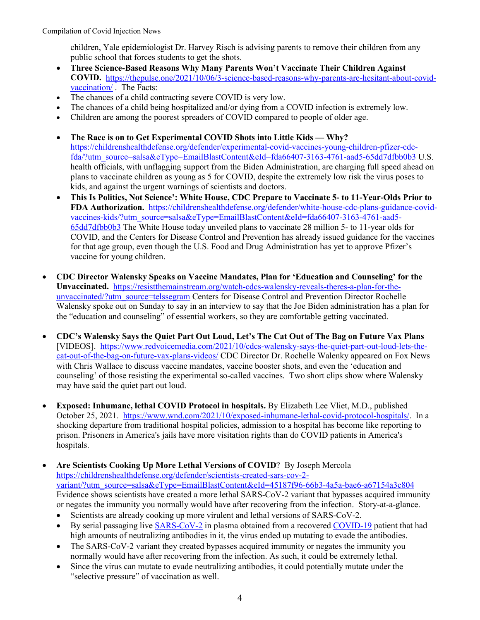children, Yale epidemiologist Dr. Harvey Risch is advising parents to remove their children from any public school that forces students to get the shots.

- **Three Science-Based Reasons Why Many Parents Won't Vaccinate Their Children Against COVID.** [https://thepulse.one/2021/10/06/3-science-based-reasons-why-parents-are-hesitant-about-covid](https://thepulse.one/2021/10/06/3-science-based-reasons-why-parents-are-hesitant-about-covid-vaccination/)[vaccination/](https://thepulse.one/2021/10/06/3-science-based-reasons-why-parents-are-hesitant-about-covid-vaccination/) . The Facts:
- The chances of a child contracting severe COVID is very low.
- The chances of a child being hospitalized and/or dying from a COVID infection is extremely low.
- Children are among the poorest spreaders of COVID compared to people of older age.
- **The Race is on to Get Experimental COVID Shots into Little Kids — Why?** [https://childrenshealthdefense.org/defender/experimental-covid-vaccines-young-children-pfizer-cdc](https://childrenshealthdefense.org/defender/experimental-covid-vaccines-young-children-pfizer-cdc-fda/?utm_source=salsa&eType=EmailBlastContent&eId=fda66407-3163-4761-aad5-65dd7dfbb0b3)[fda/?utm\\_source=salsa&eType=EmailBlastContent&eId=fda66407-3163-4761-aad5-65dd7dfbb0b3](https://childrenshealthdefense.org/defender/experimental-covid-vaccines-young-children-pfizer-cdc-fda/?utm_source=salsa&eType=EmailBlastContent&eId=fda66407-3163-4761-aad5-65dd7dfbb0b3) U.S. health officials, with unflagging support from the Biden Administration, are charging full speed ahead on plans to vaccinate children as young as 5 for COVID, despite the extremely low risk the virus poses to kids, and against the urgent warnings of scientists and doctors.
- **This Is Politics, Not Science': White House, CDC Prepare to Vaccinate 5- to 11-Year-Olds Prior to FDA Authorization.** [https://childrenshealthdefense.org/defender/white-house-cdc-plans-guidance-covid](https://childrenshealthdefense.org/defender/white-house-cdc-plans-guidance-covid-vaccines-kids/?utm_source=salsa&eType=EmailBlastContent&eId=fda66407-3163-4761-aad5-65dd7dfbb0b3)[vaccines-kids/?utm\\_source=salsa&eType=EmailBlastContent&eId=fda66407-3163-4761-aad5-](https://childrenshealthdefense.org/defender/white-house-cdc-plans-guidance-covid-vaccines-kids/?utm_source=salsa&eType=EmailBlastContent&eId=fda66407-3163-4761-aad5-65dd7dfbb0b3) [65dd7dfbb0b3](https://childrenshealthdefense.org/defender/white-house-cdc-plans-guidance-covid-vaccines-kids/?utm_source=salsa&eType=EmailBlastContent&eId=fda66407-3163-4761-aad5-65dd7dfbb0b3) The White House today unveiled plans to vaccinate 28 million 5- to 11-year olds for COVID, and the Centers for Disease Control and Prevention has already issued guidance for the vaccines for that age group, even though the U.S. Food and Drug Administration has yet to approve Pfizer's vaccine for young children.
- **CDC Director Walensky Speaks on Vaccine Mandates, Plan for 'Education and Counseling' for the Unvaccinated.** [https://resistthemainstream.org/watch-cdcs-walensky-reveals-theres-a-plan-for-the](https://resistthemainstream.org/watch-cdcs-walensky-reveals-theres-a-plan-for-the-unvaccinated/?utm_source=telssegram)[unvaccinated/?utm\\_source=telssegram](https://resistthemainstream.org/watch-cdcs-walensky-reveals-theres-a-plan-for-the-unvaccinated/?utm_source=telssegram) Centers for Disease Control and Prevention Director Rochelle Walensky spoke out on Sunday to say in an interview to say that the Joe Biden administration has a plan for the "education and counseling" of essential workers, so they are comfortable getting vaccinated.
- **CDC's Walensky Says the Quiet Part Out Loud, Let's The Cat Out of The Bag on Future Vax Plans** [VIDEOS]. [https://www.redvoicemedia.com/2021/10/cdcs-walensky-says-the-quiet-part-out-loud-lets-the](https://www.redvoicemedia.com/2021/10/cdcs-walensky-says-the-quiet-part-out-loud-lets-the-cat-out-of-the-bag-on-future-vax-plans-videos/)[cat-out-of-the-bag-on-future-vax-plans-videos/](https://www.redvoicemedia.com/2021/10/cdcs-walensky-says-the-quiet-part-out-loud-lets-the-cat-out-of-the-bag-on-future-vax-plans-videos/) CDC Director Dr. Rochelle Walenky appeared on Fox News with Chris Wallace to discuss vaccine mandates, vaccine booster shots, and even the 'education and counseling' of those resisting the experimental so-called vaccines. Two short clips show where Walensky may have said the quiet part out loud.
- **Exposed: Inhumane, lethal COVID Protocol in hospitals.** By Elizabeth Lee Vliet, M.D., published October 25, 2021. [https://www.wnd.com/2021/10/exposed-inhumane-lethal-covid-protocol-hospitals/.](https://www.wnd.com/2021/10/exposed-inhumane-lethal-covid-protocol-hospitals/) In a shocking departure from traditional hospital policies, admission to a hospital has become like reporting to prison. Prisoners in America's jails have more visitation rights than do COVID patients in America's hospitals.
- **Are Scientists Cooking Up More Lethal Versions of COVID**? By Joseph Mercola [https://childrenshealthdefense.org/defender/scientists-created-sars-cov-2](https://childrenshealthdefense.org/defender/scientists-created-sars-cov-2-variant/?utm_source=salsa&eType=EmailBlastContent&eId=45187f96-66b3-4a5a-bae6-a67154a3c804) [variant/?utm\\_source=salsa&eType=EmailBlastContent&eId=45187f96-66b3-4a5a-bae6-a67154a3c804](https://childrenshealthdefense.org/defender/scientists-created-sars-cov-2-variant/?utm_source=salsa&eType=EmailBlastContent&eId=45187f96-66b3-4a5a-bae6-a67154a3c804) Evidence shows scientists have created a more lethal SARS-CoV-2 variant that bypasses acquired immunity or negates the immunity you normally would have after recovering from the infection. Story-at-a-glance.
	- Scientists are already cooking up more virulent and lethal versions of SARS-CoV-2.
	- By serial passaging live [SARS-CoV-2](https://childrenshealthdefense.org/news/republish/chds-letter-to-congress-urging-covid-19-origins-investigation/) in plasma obtained from a recovered [COVID-19](https://childrenshealthdefense.org/defender_category/covid/) patient that had high amounts of neutralizing antibodies in it, the virus ended up mutating to evade the antibodies.
	- The SARS-CoV-2 variant they created bypasses acquired immunity or negates the immunity you normally would have after recovering from the infection. As such, it could be extremely lethal.
	- Since the virus can mutate to evade neutralizing antibodies, it could potentially mutate under the "selective pressure" of vaccination as well.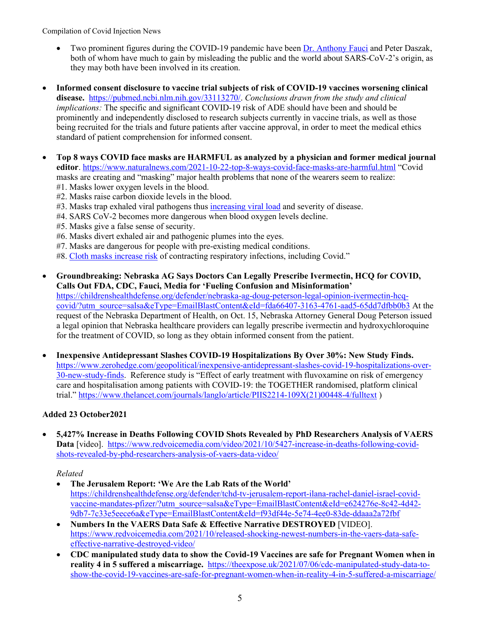- Two prominent figures during the COVID-19 pandemic have bee[n Dr. Anthony Fauci](https://childrenshealthdefense.org/defender/robert-f-kennedy-jr-book-the-real-anthony-fauci/) and Peter Daszak, both of whom have much to gain by misleading the public and the world about SARS-CoV-2's origin, as they may both have been involved in its creation.
- **Informed consent disclosure to vaccine trial subjects of risk of COVID-19 vaccines worsening clinical disease.** [https://pubmed.ncbi.nlm.nih.gov/33113270/.](https://pubmed.ncbi.nlm.nih.gov/33113270/) *Conclusions drawn from the study and clinical implications:* The specific and significant COVID-19 risk of ADE should have been and should be prominently and independently disclosed to research subjects currently in vaccine trials, as well as those being recruited for the trials and future patients after vaccine approval, in order to meet the medical ethics standard of patient comprehension for informed consent.
- **Top 8 ways COVID face masks are HARMFUL as analyzed by a physician and former medical journal editor**. <https://www.naturalnews.com/2021-10-22-top-8-ways-covid-face-masks-are-harmful.html> "Covid masks are creating and "masking" major health problems that none of the wearers seem to realize: #1. Masks lower oxygen levels in the blood.
	- #2. Masks raise carbon dioxide levels in the blood.
	- #3. Masks trap exhaled viral pathogens thus [increasing viral load](https://ratical.org/PandemicParallaxView/MasksAreHarmful-Meehan2020.html) and severity of disease.
	- #4. SARS CoV-2 becomes more dangerous when blood oxygen levels decline.
	- #5. Masks give a false sense of security.
	- #6. Masks divert exhaled air and pathogenic plumes into the eyes.
	- #7. Masks are dangerous for people with pre-existing medical conditions.
	- #8. [Cloth masks increase risk](https://www.ncbi.nlm.nih.gov/pmc/articles/PMC4420971/pdf/bmjopen-2014-006577.pdf) of contracting respiratory infections, including Covid."
- **Groundbreaking: Nebraska AG Says Doctors Can Legally Prescribe Ivermectin, HCQ for COVID, Calls Out FDA, CDC, Fauci, Media for 'Fueling Confusion and Misinformation'** [https://childrenshealthdefense.org/defender/nebraska-ag-doug-peterson-legal-opinion-ivermectin-hcq](https://childrenshealthdefense.org/defender/nebraska-ag-doug-peterson-legal-opinion-ivermectin-hcq-covid/?utm_source=salsa&eType=EmailBlastContent&eId=fda66407-3163-4761-aad5-65dd7dfbb0b3)[covid/?utm\\_source=salsa&eType=EmailBlastContent&eId=fda66407-3163-4761-aad5-65dd7dfbb0b3](https://childrenshealthdefense.org/defender/nebraska-ag-doug-peterson-legal-opinion-ivermectin-hcq-covid/?utm_source=salsa&eType=EmailBlastContent&eId=fda66407-3163-4761-aad5-65dd7dfbb0b3) At the request of the Nebraska Department of Health, on Oct. 15, Nebraska Attorney General Doug Peterson issued a legal opinion that Nebraska healthcare providers can legally prescribe ivermectin and hydroxychloroquine for the treatment of COVID, so long as they obtain informed consent from the patient.
- **Inexpensive Antidepressant Slashes COVID-19 Hospitalizations By Over 30%: New Study Finds.**  [https://www.zerohedge.com/geopolitical/inexpensive-antidepressant-slashes-covid-19-hospitalizations-over-](https://www.zerohedge.com/geopolitical/inexpensive-antidepressant-slashes-covid-19-hospitalizations-over-30-new-study-finds)[30-new-study-finds.](https://www.zerohedge.com/geopolitical/inexpensive-antidepressant-slashes-covid-19-hospitalizations-over-30-new-study-finds) Reference study is "Effect of early treatment with fluvoxamine on risk of emergency care and hospitalisation among patients with COVID-19: the TOGETHER randomised, platform clinical trial." [https://www.thelancet.com/journals/langlo/article/PIIS2214-109X\(21\)00448-4/fulltext](https://www.thelancet.com/journals/langlo/article/PIIS2214-109X(21)00448-4/fulltext) )

## **Added 23 October2021**

• **5,427% Increase in Deaths Following COVID Shots Revealed by PhD Researchers Analysis of VAERS**  Data [video]. [https://www.redvoicemedia.com/video/2021/10/5427-increase-in-deaths-following-covid](https://www.redvoicemedia.com/video/2021/10/5427-increase-in-deaths-following-covid-shots-revealed-by-phd-researchers-analysis-of-vaers-data-video/)[shots-revealed-by-phd-researchers-analysis-of-vaers-data-video/](https://www.redvoicemedia.com/video/2021/10/5427-increase-in-deaths-following-covid-shots-revealed-by-phd-researchers-analysis-of-vaers-data-video/)

- **The Jerusalem Report: 'We Are the Lab Rats of the World'**  [https://childrenshealthdefense.org/defender/tchd-tv-jerusalem-report-ilana-rachel-daniel-israel-covid](https://childrenshealthdefense.org/defender/tchd-tv-jerusalem-report-ilana-rachel-daniel-israel-covid-vaccine-mandates-pfizer/?utm_source=salsa&eType=EmailBlastContent&eId=e624276e-8c42-4d42-9db7-7c33e5eece6a&eType=EmailBlastContent&eId=f93df44e-5e74-4ee0-83de-ddaaa2a72fbf)[vaccine-mandates-pfizer/?utm\\_source=salsa&eType=EmailBlastContent&eId=e624276e-8c42-4d42-](https://childrenshealthdefense.org/defender/tchd-tv-jerusalem-report-ilana-rachel-daniel-israel-covid-vaccine-mandates-pfizer/?utm_source=salsa&eType=EmailBlastContent&eId=e624276e-8c42-4d42-9db7-7c33e5eece6a&eType=EmailBlastContent&eId=f93df44e-5e74-4ee0-83de-ddaaa2a72fbf) [9db7-7c33e5eece6a&eType=EmailBlastContent&eId=f93df44e-5e74-4ee0-83de-ddaaa2a72fbf](https://childrenshealthdefense.org/defender/tchd-tv-jerusalem-report-ilana-rachel-daniel-israel-covid-vaccine-mandates-pfizer/?utm_source=salsa&eType=EmailBlastContent&eId=e624276e-8c42-4d42-9db7-7c33e5eece6a&eType=EmailBlastContent&eId=f93df44e-5e74-4ee0-83de-ddaaa2a72fbf)
- **Numbers In the VAERS Data Safe & Effective Narrative DESTROYED** [VIDEO]. [https://www.redvoicemedia.com/2021/10/released-shocking-newest-numbers-in-the-vaers-data-safe](https://www.redvoicemedia.com/2021/10/released-shocking-newest-numbers-in-the-vaers-data-safe-effective-narrative-destroyed-video/)[effective-narrative-destroyed-video/](https://www.redvoicemedia.com/2021/10/released-shocking-newest-numbers-in-the-vaers-data-safe-effective-narrative-destroyed-video/)
- **CDC manipulated study data to show the Covid-19 Vaccines are safe for Pregnant Women when in reality 4 in 5 suffered a miscarriage.** [https://theexpose.uk/2021/07/06/cdc-manipulated-study-data-to](https://theexpose.uk/2021/07/06/cdc-manipulated-study-data-to-show-the-covid-19-vaccines-are-safe-for-pregnant-women-when-in-reality-4-in-5-suffered-a-miscarriage/)[show-the-covid-19-vaccines-are-safe-for-pregnant-women-when-in-reality-4-in-5-suffered-a-miscarriage/](https://theexpose.uk/2021/07/06/cdc-manipulated-study-data-to-show-the-covid-19-vaccines-are-safe-for-pregnant-women-when-in-reality-4-in-5-suffered-a-miscarriage/)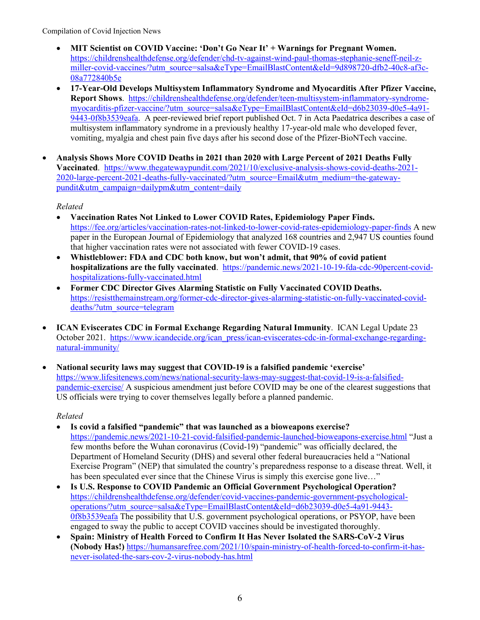- **MIT Scientist on COVID Vaccine: 'Don't Go Near It' + Warnings for Pregnant Women.**  [https://childrenshealthdefense.org/defender/chd-tv-against-wind-paul-thomas-stephanie-seneff-neil-z](https://childrenshealthdefense.org/defender/chd-tv-against-wind-paul-thomas-stephanie-seneff-neil-z-miller-covid-vaccines/?utm_source=salsa&eType=EmailBlastContent&eId=9d898720-dfb2-40c8-af3c-08a772840b5e)[miller-covid-vaccines/?utm\\_source=salsa&eType=EmailBlastContent&eId=9d898720-dfb2-40c8-af3c-](https://childrenshealthdefense.org/defender/chd-tv-against-wind-paul-thomas-stephanie-seneff-neil-z-miller-covid-vaccines/?utm_source=salsa&eType=EmailBlastContent&eId=9d898720-dfb2-40c8-af3c-08a772840b5e)[08a772840b5e](https://childrenshealthdefense.org/defender/chd-tv-against-wind-paul-thomas-stephanie-seneff-neil-z-miller-covid-vaccines/?utm_source=salsa&eType=EmailBlastContent&eId=9d898720-dfb2-40c8-af3c-08a772840b5e)
- **17-Year-Old Develops Multisystem Inflammatory Syndrome and Myocarditis After Pfizer Vaccine, Report Shows**. [https://childrenshealthdefense.org/defender/teen-multisystem-inflammatory-syndrome](https://childrenshealthdefense.org/defender/teen-multisystem-inflammatory-syndrome-myocarditis-pfizer-vaccine/?utm_source=salsa&eType=EmailBlastContent&eId=d6b23039-d0e5-4a91-9443-0f8b3539eafa)[myocarditis-pfizer-vaccine/?utm\\_source=salsa&eType=EmailBlastContent&eId=d6b23039-d0e5-4a91-](https://childrenshealthdefense.org/defender/teen-multisystem-inflammatory-syndrome-myocarditis-pfizer-vaccine/?utm_source=salsa&eType=EmailBlastContent&eId=d6b23039-d0e5-4a91-9443-0f8b3539eafa) [9443-0f8b3539eafa.](https://childrenshealthdefense.org/defender/teen-multisystem-inflammatory-syndrome-myocarditis-pfizer-vaccine/?utm_source=salsa&eType=EmailBlastContent&eId=d6b23039-d0e5-4a91-9443-0f8b3539eafa) A peer-reviewed brief report published Oct. 7 in Acta Paedatrica describes a case of multisystem inflammatory syndrome in a previously healthy 17-year-old male who developed fever, vomiting, myalgia and chest pain five days after his second dose of the Pfizer-BioNTech vaccine.
- **Analysis Shows More COVID Deaths in 2021 than 2020 with Large Percent of 2021 Deaths Fully Vaccinated**. [https://www.thegatewaypundit.com/2021/10/exclusive-analysis-shows-covid-deaths-2021-](https://www.thegatewaypundit.com/2021/10/exclusive-analysis-shows-covid-deaths-2021-2020-large-percent-2021-deaths-fully-vaccinated/?utm_source=Email&utm_medium=the-gateway-pundit&utm_campaign=dailypm&utm_content=daily) [2020-large-percent-2021-deaths-fully-vaccinated/?utm\\_source=Email&utm\\_medium=the-gateway](https://www.thegatewaypundit.com/2021/10/exclusive-analysis-shows-covid-deaths-2021-2020-large-percent-2021-deaths-fully-vaccinated/?utm_source=Email&utm_medium=the-gateway-pundit&utm_campaign=dailypm&utm_content=daily)[pundit&utm\\_campaign=dailypm&utm\\_content=daily](https://www.thegatewaypundit.com/2021/10/exclusive-analysis-shows-covid-deaths-2021-2020-large-percent-2021-deaths-fully-vaccinated/?utm_source=Email&utm_medium=the-gateway-pundit&utm_campaign=dailypm&utm_content=daily)

*Related*

- **Vaccination Rates Not Linked to Lower COVID Rates, Epidemiology Paper Finds.** <https://fee.org/articles/vaccination-rates-not-linked-to-lower-covid-rates-epidemiology-paper-finds> A new paper in the European Journal of Epidemiology that analyzed 168 countries and 2,947 US counties found that higher vaccination rates were not associated with fewer COVID-19 cases.
- **Whistleblower: FDA and CDC both know, but won't admit, that 90% of covid patient hospitalizations are the fully vaccinated**. [https://pandemic.news/2021-10-19-fda-cdc-90percent-covid](https://pandemic.news/2021-10-19-fda-cdc-90percent-covid-hospitalizations-fully-vaccinated.html)[hospitalizations-fully-vaccinated.html](https://pandemic.news/2021-10-19-fda-cdc-90percent-covid-hospitalizations-fully-vaccinated.html)
- **Former CDC Director Gives Alarming Statistic on Fully Vaccinated COVID Deaths.** [https://resistthemainstream.org/former-cdc-director-gives-alarming-statistic-on-fully-vaccinated-covid](https://resistthemainstream.org/former-cdc-director-gives-alarming-statistic-on-fully-vaccinated-covid-deaths/?utm_source=telegram)[deaths/?utm\\_source=telegram](https://resistthemainstream.org/former-cdc-director-gives-alarming-statistic-on-fully-vaccinated-covid-deaths/?utm_source=telegram)
- **ICAN Eviscerates CDC in Formal Exchange Regarding Natural Immunity**. ICAN Legal Update 23 October 2021. [https://www.icandecide.org/ican\\_press/ican-eviscerates-cdc-in-formal-exchange-regarding](https://www.icandecide.org/ican_press/ican-eviscerates-cdc-in-formal-exchange-regarding-natural-immunity/)[natural-immunity/](https://www.icandecide.org/ican_press/ican-eviscerates-cdc-in-formal-exchange-regarding-natural-immunity/)
- **National security laws may suggest that COVID-19 is a falsified pandemic 'exercise'** [https://www.lifesitenews.com/news/national-security-laws-may-suggest-that-covid-19-is-a-falsified](https://www.lifesitenews.com/news/national-security-laws-may-suggest-that-covid-19-is-a-falsified-pandemic-exercise/)[pandemic-exercise/](https://www.lifesitenews.com/news/national-security-laws-may-suggest-that-covid-19-is-a-falsified-pandemic-exercise/) A suspicious amendment just before COVID may be one of the clearest suggestions that US officials were trying to cover themselves legally before a planned pandemic.

- **Is covid a falsified "pandemic" that was launched as a bioweapons exercise?** <https://pandemic.news/2021-10-21-covid-falsified-pandemic-launched-bioweapons-exercise.html> "Just a few months before the Wuhan coronavirus (Covid-19) "pandemic" was officially declared, the Department of Homeland Security (DHS) and several other federal bureaucracies held a "National Exercise Program" (NEP) that simulated the country's preparedness response to a disease threat. Well, it has been speculated ever since that the Chinese Virus is simply this exercise gone live..."
- **Is U.S. Response to COVID Pandemic an Official Government Psychological Operation?** [https://childrenshealthdefense.org/defender/covid-vaccines-pandemic-government-psychological](https://childrenshealthdefense.org/defender/covid-vaccines-pandemic-government-psychological-operations/?utm_source=salsa&eType=EmailBlastContent&eId=d6b23039-d0e5-4a91-9443-0f8b3539eafa)[operations/?utm\\_source=salsa&eType=EmailBlastContent&eId=d6b23039-d0e5-4a91-9443-](https://childrenshealthdefense.org/defender/covid-vaccines-pandemic-government-psychological-operations/?utm_source=salsa&eType=EmailBlastContent&eId=d6b23039-d0e5-4a91-9443-0f8b3539eafa) [0f8b3539eafa](https://childrenshealthdefense.org/defender/covid-vaccines-pandemic-government-psychological-operations/?utm_source=salsa&eType=EmailBlastContent&eId=d6b23039-d0e5-4a91-9443-0f8b3539eafa) The possibility that U.S. government psychological operations, or PSYOP, have been engaged to sway the public to accept COVID vaccines should be investigated thoroughly.
- **Spain: Ministry of Health Forced to Confirm It Has Never Isolated the SARS-CoV-2 Virus (Nobody Has!)** [https://humansarefree.com/2021/10/spain-ministry-of-health-forced-to-confirm-it-has](https://humansarefree.com/2021/10/spain-ministry-of-health-forced-to-confirm-it-has-never-isolated-the-sars-cov-2-virus-nobody-has.html)[never-isolated-the-sars-cov-2-virus-nobody-has.html](https://humansarefree.com/2021/10/spain-ministry-of-health-forced-to-confirm-it-has-never-isolated-the-sars-cov-2-virus-nobody-has.html)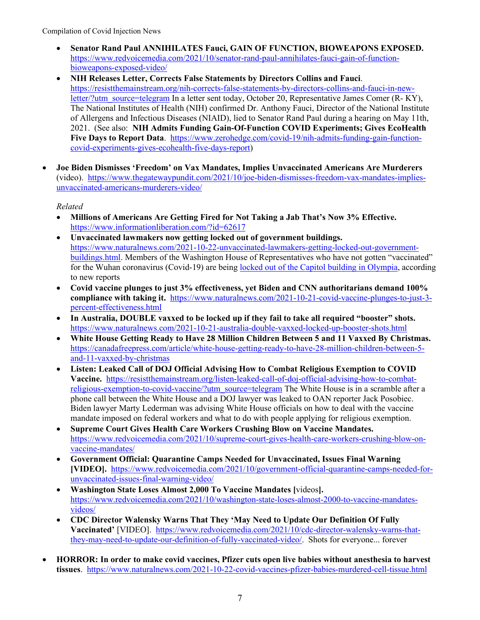- **Senator Rand Paul ANNIHILATES Fauci, GAIN OF FUNCTION, BIOWEAPONS EXPOSED.** [https://www.redvoicemedia.com/2021/10/senator-rand-paul-annihilates-fauci-gain-of-function](https://www.redvoicemedia.com/2021/10/senator-rand-paul-annihilates-fauci-gain-of-function-bioweapons-exposed-video/)[bioweapons-exposed-video/](https://www.redvoicemedia.com/2021/10/senator-rand-paul-annihilates-fauci-gain-of-function-bioweapons-exposed-video/)
- **NIH Releases Letter, Corrects False Statements by Directors Collins and Fauci**. [https://resistthemainstream.org/nih-corrects-false-statements-by-directors-collins-and-fauci-in-new](https://resistthemainstream.org/nih-corrects-false-statements-by-directors-collins-and-fauci-in-new-letter/?utm_source=telegram)[letter/?utm\\_source=telegram](https://resistthemainstream.org/nih-corrects-false-statements-by-directors-collins-and-fauci-in-new-letter/?utm_source=telegram) In a letter sent today, October 20, Representative James Comer (R- KY), The National Institutes of Health (NIH) confirmed Dr. Anthony Fauci, Director of the National Institute of Allergens and Infectious Diseases (NIAID), lied to Senator Rand Paul during a hearing on May 11th, 2021. (See also: **NIH Admits Funding Gain-Of-Function COVID Experiments; Gives EcoHealth Five Days to Report Data**. [https://www.zerohedge.com/covid-19/nih-admits-funding-gain-function](https://www.zerohedge.com/covid-19/nih-admits-funding-gain-function-covid-experiments-gives-ecohealth-five-days-report)[covid-experiments-gives-ecohealth-five-days-report\)](https://www.zerohedge.com/covid-19/nih-admits-funding-gain-function-covid-experiments-gives-ecohealth-five-days-report)
- **Joe Biden Dismisses 'Freedom' on Vax Mandates, Implies Unvaccinated Americans Are Murderers** (video). [https://www.thegatewaypundit.com/2021/10/joe-biden-dismisses-freedom-vax-mandates-implies](https://www.thegatewaypundit.com/2021/10/joe-biden-dismisses-freedom-vax-mandates-implies-unvaccinated-americans-murderers-video/)[unvaccinated-americans-murderers-video/](https://www.thegatewaypundit.com/2021/10/joe-biden-dismisses-freedom-vax-mandates-implies-unvaccinated-americans-murderers-video/)

- **Millions of Americans Are Getting Fired for Not Taking a Jab That's Now 3% Effective.** <https://www.informationliberation.com/?id=62617>
- **Unvaccinated lawmakers now getting locked out of government buildings.** [https://www.naturalnews.com/2021-10-22-unvaccinated-lawmakers-getting-locked-out-government](https://www.naturalnews.com/2021-10-22-unvaccinated-lawmakers-getting-locked-out-government-buildings.html)[buildings.html.](https://www.naturalnews.com/2021-10-22-unvaccinated-lawmakers-getting-locked-out-government-buildings.html) Members of the Washington House of Representatives who have not gotten "vaccinated" for the Wuhan coronavirus (Covid-19) are being locked out of the [Capitol building in Olympia,](https://www.rumormillnews.com/cgi-bin/forum.cgi?read=184993) according to new reports
- **Covid vaccine plunges to just 3% effectiveness, yet Biden and CNN authoritarians demand 100% compliance with taking it.** [https://www.naturalnews.com/2021-10-21-covid-vaccine-plunges-to-just-3](https://www.naturalnews.com/2021-10-21-covid-vaccine-plunges-to-just-3-percent-effectiveness.html) [percent-effectiveness.html](https://www.naturalnews.com/2021-10-21-covid-vaccine-plunges-to-just-3-percent-effectiveness.html)
- **In Australia, DOUBLE vaxxed to be locked up if they fail to take all required "booster" shots.**  <https://www.naturalnews.com/2021-10-21-australia-double-vaxxed-locked-up-booster-shots.html>
- **White House Getting Ready to Have 28 Million Children Between 5 and 11 Vaxxed By Christmas.** [https://canadafreepress.com/article/white-house-getting-ready-to-have-28-million-children-between-5](https://canadafreepress.com/article/white-house-getting-ready-to-have-28-million-children-between-5-and-11-vaxxed-by-christmas) [and-11-vaxxed-by-christmas](https://canadafreepress.com/article/white-house-getting-ready-to-have-28-million-children-between-5-and-11-vaxxed-by-christmas)
- **Listen: Leaked Call of DOJ Official Advising How to Combat Religious Exemption to COVID Vaccine.** [https://resistthemainstream.org/listen-leaked-call-of-doj-official-advising-how-to-combat](https://resistthemainstream.org/listen-leaked-call-of-doj-official-advising-how-to-combat-religious-exemption-to-covid-vaccine/?utm_source=telegram)[religious-exemption-to-covid-vaccine/?utm\\_source=telegram](https://resistthemainstream.org/listen-leaked-call-of-doj-official-advising-how-to-combat-religious-exemption-to-covid-vaccine/?utm_source=telegram) The White House is in a scramble after a phone call between the White House and a DOJ lawyer was leaked to OAN reporter Jack Posobiec. Biden lawyer Marty Lederman was advising White House officials on how to deal with the vaccine mandate imposed on federal workers and what to do with people applying for religious exemption.
- **Supreme Court Gives Health Care Workers Crushing Blow on Vaccine Mandates.**  [https://www.redvoicemedia.com/2021/10/supreme-court-gives-health-care-workers-crushing-blow-on](https://www.redvoicemedia.com/2021/10/supreme-court-gives-health-care-workers-crushing-blow-on-vaccine-mandates/)[vaccine-mandates/](https://www.redvoicemedia.com/2021/10/supreme-court-gives-health-care-workers-crushing-blow-on-vaccine-mandates/)
- **Government Official: Quarantine Camps Needed for Unvaccinated, Issues Final Warning [VIDEO].** [https://www.redvoicemedia.com/2021/10/government-official-quarantine-camps-needed-for](https://www.redvoicemedia.com/2021/10/government-official-quarantine-camps-needed-for-unvaccinated-issues-final-warning-video/)[unvaccinated-issues-final-warning-video/](https://www.redvoicemedia.com/2021/10/government-official-quarantine-camps-needed-for-unvaccinated-issues-final-warning-video/)
- **Washington State Loses Almost 2,000 To Vaccine Mandates [**videos**].** [https://www.redvoicemedia.com/2021/10/washington-state-loses-almost-2000-to-vaccine-mandates](https://www.redvoicemedia.com/2021/10/washington-state-loses-almost-2000-to-vaccine-mandates-videos/)[videos/](https://www.redvoicemedia.com/2021/10/washington-state-loses-almost-2000-to-vaccine-mandates-videos/)
- **CDC Director Walensky Warns That They 'May Need to Update Our Definition Of Fully Vaccinated'** [VIDEO]. [https://www.redvoicemedia.com/2021/10/cdc-director-walensky-warns-that](https://www.redvoicemedia.com/2021/10/cdc-director-walensky-warns-that-they-may-need-to-update-our-definition-of-fully-vaccinated-video/)[they-may-need-to-update-our-definition-of-fully-vaccinated-video/.](https://www.redvoicemedia.com/2021/10/cdc-director-walensky-warns-that-they-may-need-to-update-our-definition-of-fully-vaccinated-video/) Shots for everyone... forever
- **HORROR: In order to make covid vaccines, Pfizer cuts open live babies without anesthesia to harvest tissues**. <https://www.naturalnews.com/2021-10-22-covid-vaccines-pfizer-babies-murdered-cell-tissue.html>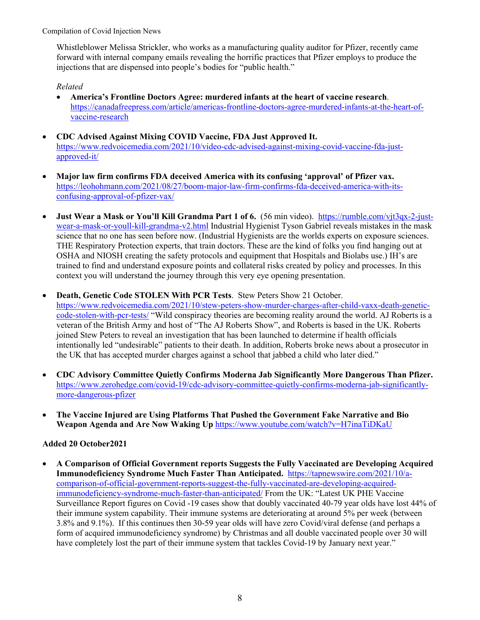Whistleblower Melissa Strickler, who works as a manufacturing quality auditor for Pfizer, recently came forward with internal company emails revealing the horrific practices that Pfizer employs to produce the injections that are dispensed into people's bodies for "public health."

## *Related*

- **America's Frontline Doctors Agree: murdered infants at the heart of vaccine research**. [https://canadafreepress.com/article/americas-frontline-doctors-agree-murdered-infants-at-the-heart-of](https://canadafreepress.com/article/americas-frontline-doctors-agree-murdered-infants-at-the-heart-of-vaccine-research)[vaccine-research](https://canadafreepress.com/article/americas-frontline-doctors-agree-murdered-infants-at-the-heart-of-vaccine-research)
- **CDC Advised Against Mixing COVID Vaccine, FDA Just Approved It.**  [https://www.redvoicemedia.com/2021/10/video-cdc-advised-against-mixing-covid-vaccine-fda-just](https://www.redvoicemedia.com/2021/10/video-cdc-advised-against-mixing-covid-vaccine-fda-just-approved-it/)[approved-it/](https://www.redvoicemedia.com/2021/10/video-cdc-advised-against-mixing-covid-vaccine-fda-just-approved-it/)
- **Major law firm confirms FDA deceived America with its confusing 'approval' of Pfizer vax.** [https://leohohmann.com/2021/08/27/boom-major-law-firm-confirms-fda-deceived-america-with-its](https://leohohmann.com/2021/08/27/boom-major-law-firm-confirms-fda-deceived-america-with-its-confusing-approval-of-pfizer-vax/)[confusing-approval-of-pfizer-vax/](https://leohohmann.com/2021/08/27/boom-major-law-firm-confirms-fda-deceived-america-with-its-confusing-approval-of-pfizer-vax/)
- **Just Wear a Mask or You'll Kill Grandma Part 1 of 6.** (56 min video). [https://rumble.com/vjt3qx-2-just](https://rumble.com/vjt3qx-2-just-wear-a-mask-or-youll-kill-grandma-v2.html)[wear-a-mask-or-youll-kill-grandma-v2.html](https://rumble.com/vjt3qx-2-just-wear-a-mask-or-youll-kill-grandma-v2.html) Industrial Hygienist Tyson Gabriel reveals mistakes in the mask science that no one has seen before now. (Industrial Hygienists are the worlds experts on exposure sciences. THE Respiratory Protection experts, that train doctors. These are the kind of folks you find hanging out at OSHA and NIOSH creating the safety protocols and equipment that Hospitals and Biolabs use.) IH's are trained to find and understand exposure points and collateral risks created by policy and processes. In this context you will understand the journey through this very eye opening presentation.
- **Death, Genetic Code STOLEN With PCR Tests**. Stew Peters Show 21 October. [https://www.redvoicemedia.com/2021/10/stew-peters-show-murder-charges-after-child-vaxx-death-genetic](https://www.redvoicemedia.com/2021/10/stew-peters-show-murder-charges-after-child-vaxx-death-genetic-code-stolen-with-pcr-tests/)[code-stolen-with-pcr-tests/](https://www.redvoicemedia.com/2021/10/stew-peters-show-murder-charges-after-child-vaxx-death-genetic-code-stolen-with-pcr-tests/) "Wild conspiracy theories are becoming reality around the world. AJ Roberts is a veteran of the British Army and host of "The AJ Roberts Show", and Roberts is based in the UK. Roberts joined Stew Peters to reveal an investigation that has been launched to determine if health officials intentionally led "undesirable" patients to their death. In addition, Roberts broke news about a prosecutor in the UK that has accepted murder charges against a school that jabbed a child who later died."
- **CDC Advisory Committee Quietly Confirms Moderna Jab Significantly More Dangerous Than Pfizer.** [https://www.zerohedge.com/covid-19/cdc-advisory-committee-quietly-confirms-moderna-jab-significantly](https://www.zerohedge.com/covid-19/cdc-advisory-committee-quietly-confirms-moderna-jab-significantly-more-dangerous-pfizer)[more-dangerous-pfizer](https://www.zerohedge.com/covid-19/cdc-advisory-committee-quietly-confirms-moderna-jab-significantly-more-dangerous-pfizer)
- **The Vaccine Injured are Using Platforms That Pushed the Government Fake Narrative and Bio Weapon Agenda and Are Now Waking Up** <https://www.youtube.com/watch?v=H7inaTiDKaU>

## **Added 20 October2021**

• **A Comparison of Official Government reports Suggests the Fully Vaccinated are Developing Acquired Immunodeficiency Syndrome Much Faster Than Anticipated.** [https://tapnewswire.com/2021/10/a](https://tapnewswire.com/2021/10/a-comparison-of-official-government-reports-suggest-the-fully-vaccinated-are-developing-acquired-immunodeficiency-syndrome-much-faster-than-anticipated/)[comparison-of-official-government-reports-suggest-the-fully-vaccinated-are-developing-acquired](https://tapnewswire.com/2021/10/a-comparison-of-official-government-reports-suggest-the-fully-vaccinated-are-developing-acquired-immunodeficiency-syndrome-much-faster-than-anticipated/)[immunodeficiency-syndrome-much-faster-than-anticipated/](https://tapnewswire.com/2021/10/a-comparison-of-official-government-reports-suggest-the-fully-vaccinated-are-developing-acquired-immunodeficiency-syndrome-much-faster-than-anticipated/) From the UK: "Latest UK PHE Vaccine Surveillance Report figures on Covid -19 cases show that doubly vaccinated 40-79 year olds have lost 44% of their immune system capability. Their immune systems are deteriorating at around 5% per week (between 3.8% and 9.1%). If this continues then 30-59 year olds will have zero Covid/viral defense (and perhaps a form of acquired immunodeficiency syndrome) by Christmas and all double vaccinated people over 30 will have completely lost the part of their immune system that tackles Covid-19 by January next year."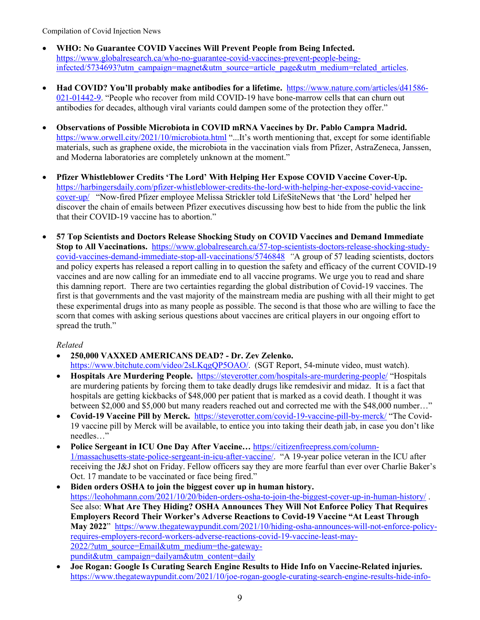- **WHO: No Guarantee COVID Vaccines Will Prevent People from Being Infected.**  [https://www.globalresearch.ca/who-no-guarantee-covid-vaccines-prevent-people-being](https://www.globalresearch.ca/who-no-guarantee-covid-vaccines-prevent-people-being-infected/5734693?utm_campaign=magnet&utm_source=article_page&utm_medium=related_articles)[infected/5734693?utm\\_campaign=magnet&utm\\_source=article\\_page&utm\\_medium=related\\_articles.](https://www.globalresearch.ca/who-no-guarantee-covid-vaccines-prevent-people-being-infected/5734693?utm_campaign=magnet&utm_source=article_page&utm_medium=related_articles)
- **Had COVID? You'll probably make antibodies for a lifetime.** [https://www.nature.com/articles/d41586-](https://www.nature.com/articles/d41586-021-01442-9) [021-01442-9.](https://www.nature.com/articles/d41586-021-01442-9) "People who recover from mild COVID-19 have bone-marrow cells that can churn out antibodies for decades, although viral variants could dampen some of the protection they offer."
- **Observations of Possible Microbiota in COVID mRNA Vaccines by Dr. Pablo Campra Madrid.**  <https://www.orwell.city/2021/10/microbiota.html> "...It's worth mentioning that, except for some identifiable materials, such as graphene oxide, the microbiota in the vaccination vials from Pfizer, AstraZeneca, Janssen, and Moderna laboratories are completely unknown at the moment."
- **Pfizer Whistleblower Credits 'The Lord' With Helping Her Expose COVID Vaccine Cover-Up.**  [https://harbingersdaily.com/pfizer-whistleblower-credits-the-lord-with-helping-her-expose-covid-vaccine](https://harbingersdaily.com/pfizer-whistleblower-credits-the-lord-with-helping-her-expose-covid-vaccine-cover-up/)[cover-up/](https://harbingersdaily.com/pfizer-whistleblower-credits-the-lord-with-helping-her-expose-covid-vaccine-cover-up/) "Now-fired Pfizer employee Melissa Strickler told LifeSiteNews that 'the Lord' helped her discover the chain of emails between Pfizer executives discussing how best to hide from the public the link that their COVID-19 vaccine has to abortion."
- **57 Top Scientists and Doctors Release Shocking Study on COVID Vaccines and Demand Immediate Stop to All Vaccinations.** [https://www.globalresearch.ca/57-top-scientists-doctors-release-shocking-study](https://www.globalresearch.ca/57-top-scientists-doctors-release-shocking-study-covid-vaccines-demand-immediate-stop-all-vaccinations/5746848)[covid-vaccines-demand-immediate-stop-all-vaccinations/5746848](https://www.globalresearch.ca/57-top-scientists-doctors-release-shocking-study-covid-vaccines-demand-immediate-stop-all-vaccinations/5746848) *"*A group of 57 leading scientists, doctors and policy experts has released a report calling in to question the safety and efficacy of the current COVID-19 vaccines and are now calling for an immediate end to all vaccine programs. We urge you to read and share this damning report. There are two certainties regarding the global distribution of Covid-19 vaccines. The first is that governments and the vast majority of the mainstream media are pushing with all their might to get these experimental drugs into as many people as possible. The second is that those who are willing to face the scorn that comes with asking serious questions about vaccines are critical players in our ongoing effort to spread the truth."

- **250,000 VAXXED AMERICANS DEAD? - Dr. Zev Zelenko.**  [https://www.bitchute.com/video/2sLKqgQP5OAO/.](https://www.bitchute.com/video/2sLKqgQP5OAO/) (SGT Report, 54-minute video, must watch).
- **Hospitals Are Murdering People.** <https://steverotter.com/hospitals-are-murdering-people/> "Hospitals are murdering patients by forcing them to take deadly drugs like remdesivir and midaz. It is a fact that hospitals are getting kickbacks of \$48,000 per patient that is marked as a covid death. I thought it was between \$2,000 and \$5,000 but many readers reached out and corrected me with the \$48,000 number…"
- **Covid-19 Vaccine Pill by Merck.** <https://steverotter.com/covid-19-vaccine-pill-by-merck/> "The Covid-19 vaccine pill by Merck will be available, to entice you into taking their death jab, in case you don't like needles…"
- **Police Sergeant in ICU One Day After Vaccine…** [https://citizenfreepress.com/column-](https://citizenfreepress.com/column-1/massachusetts-state-police-sergeant-in-icu-after-vaccine/)[1/massachusetts-state-police-sergeant-in-icu-after-vaccine/.](https://citizenfreepress.com/column-1/massachusetts-state-police-sergeant-in-icu-after-vaccine/) "A 19-year police veteran in the ICU after receiving the J&J shot on Friday. Fellow officers say they are more fearful than ever over Charlie Baker's Oct. 17 mandate to be vaccinated or face being fired."
- **Biden orders OSHA to join the biggest cover up in human history.**  <https://leohohmann.com/2021/10/20/biden-orders-osha-to-join-the-biggest-cover-up-in-human-history/> . See also: **What Are They Hiding? OSHA Announces They Will Not Enforce Policy That Requires Employers Record Their Worker's Adverse Reactions to Covid-19 Vaccine "At Least Through May 2022**" [https://www.thegatewaypundit.com/2021/10/hiding-osha-announces-will-not-enforce-policy](https://www.thegatewaypundit.com/2021/10/hiding-osha-announces-will-not-enforce-policy-requires-employers-record-workers-adverse-reactions-covid-19-vaccine-least-may-2022/?utm_source=Email&utm_medium=the-gateway-pundit&utm_campaign=dailyam&utm_content=daily)[requires-employers-record-workers-adverse-reactions-covid-19-vaccine-least-may-](https://www.thegatewaypundit.com/2021/10/hiding-osha-announces-will-not-enforce-policy-requires-employers-record-workers-adverse-reactions-covid-19-vaccine-least-may-2022/?utm_source=Email&utm_medium=the-gateway-pundit&utm_campaign=dailyam&utm_content=daily)[2022/?utm\\_source=Email&utm\\_medium=the-gateway](https://www.thegatewaypundit.com/2021/10/hiding-osha-announces-will-not-enforce-policy-requires-employers-record-workers-adverse-reactions-covid-19-vaccine-least-may-2022/?utm_source=Email&utm_medium=the-gateway-pundit&utm_campaign=dailyam&utm_content=daily)[pundit&utm\\_campaign=dailyam&utm\\_content=daily](https://www.thegatewaypundit.com/2021/10/hiding-osha-announces-will-not-enforce-policy-requires-employers-record-workers-adverse-reactions-covid-19-vaccine-least-may-2022/?utm_source=Email&utm_medium=the-gateway-pundit&utm_campaign=dailyam&utm_content=daily)
- **Joe Rogan: Google Is Curating Search Engine Results to Hide Info on Vaccine-Related injuries.**  [https://www.thegatewaypundit.com/2021/10/joe-rogan-google-curating-search-engine-results-hide-info-](https://www.thegatewaypundit.com/2021/10/joe-rogan-google-curating-search-engine-results-hide-info-vaccine-related-injuries/?utm_source=Email&utm_medium=the-gateway-pundit&utm_campaign=dailyam&utm_content=daily)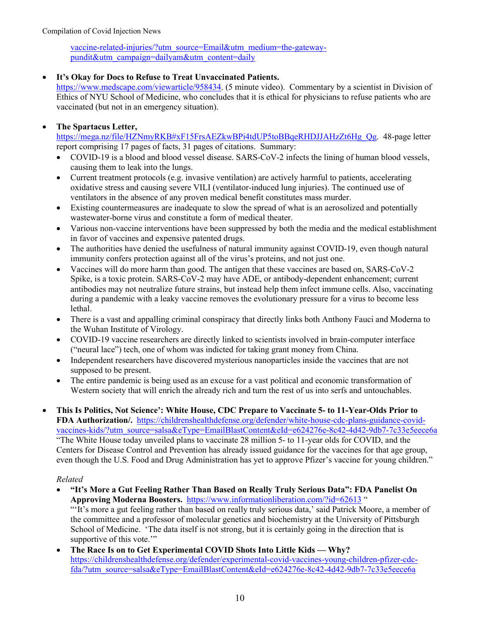[vaccine-related-injuries/?utm\\_source=Email&utm\\_medium=the-gateway](https://www.thegatewaypundit.com/2021/10/joe-rogan-google-curating-search-engine-results-hide-info-vaccine-related-injuries/?utm_source=Email&utm_medium=the-gateway-pundit&utm_campaign=dailyam&utm_content=daily)[pundit&utm\\_campaign=dailyam&utm\\_content=daily](https://www.thegatewaypundit.com/2021/10/joe-rogan-google-curating-search-engine-results-hide-info-vaccine-related-injuries/?utm_source=Email&utm_medium=the-gateway-pundit&utm_campaign=dailyam&utm_content=daily)

## • **It's Okay for Docs to Refuse to Treat Unvaccinated Patients.**

[https://www.medscape.com/viewarticle/958434.](https://www.medscape.com/viewarticle/958434) (5 minute video). Commentary by a scientist in Division of Ethics of NYU School of Medicine, who concludes that it is ethical for physicians to refuse patients who are vaccinated (but not in an emergency situation).

## • **The Spartacus Letter,**

[https://mega.nz/file/HZNmyRKB#xF15FrsAEZkwBPi4tdUP5toBBqeRHDJJAHzZt6Hg\\_Qg.](https://mega.nz/file/HZNmyRKB#xF15FrsAEZkwBPi4tdUP5toBBqeRHDJJAHzZt6Hg_Qg) 48-page letter report comprising 17 pages of facts, 31 pages of citations. Summary:

- COVID-19 is a blood and blood vessel disease. SARS-CoV-2 infects the lining of human blood vessels, causing them to leak into the lungs.
- Current treatment protocols (e.g. invasive ventilation) are actively harmful to patients, accelerating oxidative stress and causing severe VILI (ventilator-induced lung injuries). The continued use of ventilators in the absence of any proven medical benefit constitutes mass murder.
- Existing countermeasures are inadequate to slow the spread of what is an aerosolized and potentially wastewater-borne virus and constitute a form of medical theater.
- Various non-vaccine interventions have been suppressed by both the media and the medical establishment in favor of vaccines and expensive patented drugs.
- The authorities have denied the usefulness of natural immunity against COVID-19, even though natural immunity confers protection against all of the virus's proteins, and not just one.
- Vaccines will do more harm than good. The antigen that these vaccines are based on, SARS-CoV-2 Spike, is a toxic protein. SARS-CoV-2 may have ADE, or antibody-dependent enhancement; current antibodies may not neutralize future strains, but instead help them infect immune cells. Also, vaccinating during a pandemic with a leaky vaccine removes the evolutionary pressure for a virus to become less lethal.
- There is a vast and appalling criminal conspiracy that directly links both Anthony Fauci and Moderna to the Wuhan Institute of Virology.
- COVID-19 vaccine researchers are directly linked to scientists involved in brain-computer interface ("neural lace") tech, one of whom was indicted for taking grant money from China.
- Independent researchers have discovered mysterious nanoparticles inside the vaccines that are not supposed to be present.
- The entire pandemic is being used as an excuse for a vast political and economic transformation of Western society that will enrich the already rich and turn the rest of us into serfs and untouchables.
- **This Is Politics, Not Science': White House, CDC Prepare to Vaccinate 5- to 11-Year-Olds Prior to FDA Authorization/.** [https://childrenshealthdefense.org/defender/white-house-cdc-plans-guidance-covid](https://childrenshealthdefense.org/defender/white-house-cdc-plans-guidance-covid-vaccines-kids/?utm_source=salsa&eType=EmailBlastContent&eId=e624276e-8c42-4d42-9db7-7c33e5eece6a)[vaccines-kids/?utm\\_source=salsa&eType=EmailBlastContent&eId=e624276e-8c42-4d42-9db7-7c33e5eece6a](https://childrenshealthdefense.org/defender/white-house-cdc-plans-guidance-covid-vaccines-kids/?utm_source=salsa&eType=EmailBlastContent&eId=e624276e-8c42-4d42-9db7-7c33e5eece6a) "The White House today unveiled plans to vaccinate 28 million 5- to 11-year olds for COVID, and the Centers for Disease Control and Prevention has already issued guidance for the vaccines for that age group, even though the U.S. Food and Drug Administration has yet to approve Pfizer's vaccine for young children."

- **"It's More a Gut Feeling Rather Than Based on Really Truly Serious Data": FDA Panelist On Approving Moderna Boosters.** <https://www.informationliberation.com/?id=62613> " "'It's more a gut feeling rather than based on really truly serious data,' said Patrick Moore, a member of the committee and a professor of molecular genetics and biochemistry at the University of Pittsburgh School of Medicine. 'The data itself is not strong, but it is certainly going in the direction that is supportive of this vote."
- **The Race Is on to Get Experimental COVID Shots Into Little Kids — Why?**  [https://childrenshealthdefense.org/defender/experimental-covid-vaccines-young-children-pfizer-cdc](https://childrenshealthdefense.org/defender/experimental-covid-vaccines-young-children-pfizer-cdc-fda/?utm_source=salsa&eType=EmailBlastContent&eId=e624276e-8c42-4d42-9db7-7c33e5eece6a)[fda/?utm\\_source=salsa&eType=EmailBlastContent&eId=e624276e-8c42-4d42-9db7-7c33e5eece6a](https://childrenshealthdefense.org/defender/experimental-covid-vaccines-young-children-pfizer-cdc-fda/?utm_source=salsa&eType=EmailBlastContent&eId=e624276e-8c42-4d42-9db7-7c33e5eece6a)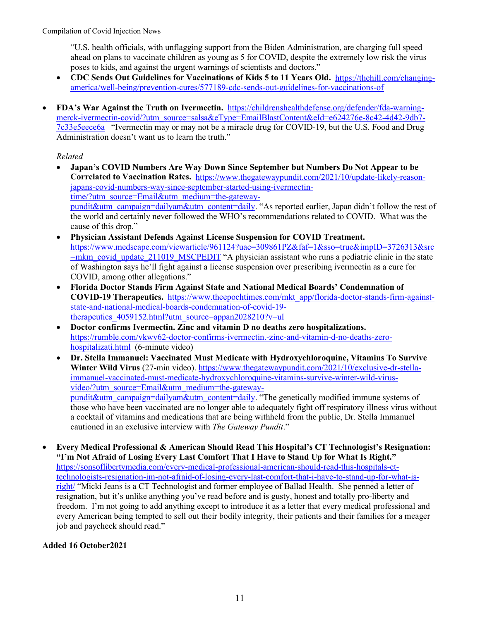"U.S. health officials, with unflagging support from the Biden Administration, are charging full speed ahead on plans to vaccinate children as young as 5 for COVID, despite the extremely low risk the virus poses to kids, and against the urgent warnings of scientists and doctors."

- **CDC Sends Out Guidelines for Vaccinations of Kids 5 to 11 Years Old.** [https://thehill.com/changing](https://thehill.com/changing-america/well-being/prevention-cures/577189-cdc-sends-out-guidelines-for-vaccinations-of)[america/well-being/prevention-cures/577189-cdc-sends-out-guidelines-for-vaccinations-of](https://thehill.com/changing-america/well-being/prevention-cures/577189-cdc-sends-out-guidelines-for-vaccinations-of)
- **FDA's War Against the Truth on Ivermectin.** [https://childrenshealthdefense.org/defender/fda-warning](https://childrenshealthdefense.org/defender/fda-warning-merck-ivermectin-covid/?utm_source=salsa&eType=EmailBlastContent&eId=e624276e-8c42-4d42-9db7-7c33e5eece6a)[merck-ivermectin-covid/?utm\\_source=salsa&eType=EmailBlastContent&eId=e624276e-8c42-4d42-9db7-](https://childrenshealthdefense.org/defender/fda-warning-merck-ivermectin-covid/?utm_source=salsa&eType=EmailBlastContent&eId=e624276e-8c42-4d42-9db7-7c33e5eece6a) [7c33e5eece6a](https://childrenshealthdefense.org/defender/fda-warning-merck-ivermectin-covid/?utm_source=salsa&eType=EmailBlastContent&eId=e624276e-8c42-4d42-9db7-7c33e5eece6a) "Ivermectin may or may not be a miracle drug for COVID-19, but the U.S. Food and Drug Administration doesn't want us to learn the truth."

#### *Related*

- **Japan's COVID Numbers Are Way Down Since September but Numbers Do Not Appear to be Correlated to Vaccination Rates.** [https://www.thegatewaypundit.com/2021/10/update-likely-reason](https://www.thegatewaypundit.com/2021/10/update-likely-reason-japans-covid-numbers-way-since-september-started-using-ivermectin-time/?utm_source=Email&utm_medium=the-gateway-pundit&utm_campaign=dailyam&utm_content=daily)[japans-covid-numbers-way-since-september-started-using-ivermectin](https://www.thegatewaypundit.com/2021/10/update-likely-reason-japans-covid-numbers-way-since-september-started-using-ivermectin-time/?utm_source=Email&utm_medium=the-gateway-pundit&utm_campaign=dailyam&utm_content=daily)[time/?utm\\_source=Email&utm\\_medium=the-gateway](https://www.thegatewaypundit.com/2021/10/update-likely-reason-japans-covid-numbers-way-since-september-started-using-ivermectin-time/?utm_source=Email&utm_medium=the-gateway-pundit&utm_campaign=dailyam&utm_content=daily)[pundit&utm\\_campaign=dailyam&utm\\_content=daily.](https://www.thegatewaypundit.com/2021/10/update-likely-reason-japans-covid-numbers-way-since-september-started-using-ivermectin-time/?utm_source=Email&utm_medium=the-gateway-pundit&utm_campaign=dailyam&utm_content=daily) "As reported earlier, Japan didn't follow the rest of the world and certainly never followed the WHO's recommendations related to COVID. What was the cause of this drop."
- **Physician Assistant Defends Against License Suspension for COVID Treatment.**  [https://www.medscape.com/viewarticle/961124?uac=309861PZ&faf=1&sso=true&impID=3726313&src](https://www.medscape.com/viewarticle/961124?uac=309861PZ&faf=1&sso=true&impID=3726313&src=mkm_covid_update_211019_MSCPEDIT) [=mkm\\_covid\\_update\\_211019\\_MSCPEDIT](https://www.medscape.com/viewarticle/961124?uac=309861PZ&faf=1&sso=true&impID=3726313&src=mkm_covid_update_211019_MSCPEDIT) "A physician assistant who runs a pediatric clinic in the state of Washington says he'll fight against a license suspension over prescribing ivermectin as a cure for COVID, among other allegations."
- **Florida Doctor Stands Firm Against State and National Medical Boards' Condemnation of COVID-19 Therapeutics.** [https://www.theepochtimes.com/mkt\\_app/florida-doctor-stands-firm-against](https://www.theepochtimes.com/mkt_app/florida-doctor-stands-firm-against-state-and-national-medical-boards-condemnation-of-covid-19-therapeutics_4059152.html?utm_source=appan2028210?v=ul)[state-and-national-medical-boards-condemnation-of-covid-19](https://www.theepochtimes.com/mkt_app/florida-doctor-stands-firm-against-state-and-national-medical-boards-condemnation-of-covid-19-therapeutics_4059152.html?utm_source=appan2028210?v=ul) therapeutics  $4059152.html$ ?utm\_source=appan2028210?v=ul
- **Doctor confirms Ivermectin. Zinc and vitamin D no deaths zero hospitalizations.**  [https://rumble.com/vkwv62-doctor-confirms-ivermectin.-zinc-and-vitamin-d-no-deaths-zero](https://rumble.com/vkwv62-doctor-confirms-ivermectin.-zinc-and-vitamin-d-no-deaths-zero-hospitalizati.html)[hospitalizati.html](https://rumble.com/vkwv62-doctor-confirms-ivermectin.-zinc-and-vitamin-d-no-deaths-zero-hospitalizati.html) (6-minute video)
- **Dr. Stella Immanuel: Vaccinated Must Medicate with Hydroxychloroquine, Vitamins To Survive Winter Wild Virus** (27-min video). [https://www.thegatewaypundit.com/2021/10/exclusive-dr-stella](https://www.thegatewaypundit.com/2021/10/exclusive-dr-stella-immanuel-vaccinated-must-medicate-hydroxychloroquine-vitamins-survive-winter-wild-virus-video/?utm_source=Email&utm_medium=the-gateway-pundit&utm_campaign=dailyam&utm_content=daily)[immanuel-vaccinated-must-medicate-hydroxychloroquine-vitamins-survive-winter-wild-virus](https://www.thegatewaypundit.com/2021/10/exclusive-dr-stella-immanuel-vaccinated-must-medicate-hydroxychloroquine-vitamins-survive-winter-wild-virus-video/?utm_source=Email&utm_medium=the-gateway-pundit&utm_campaign=dailyam&utm_content=daily)[video/?utm\\_source=Email&utm\\_medium=the-gateway](https://www.thegatewaypundit.com/2021/10/exclusive-dr-stella-immanuel-vaccinated-must-medicate-hydroxychloroquine-vitamins-survive-winter-wild-virus-video/?utm_source=Email&utm_medium=the-gateway-pundit&utm_campaign=dailyam&utm_content=daily)[pundit&utm\\_campaign=dailyam&utm\\_content=daily.](https://www.thegatewaypundit.com/2021/10/exclusive-dr-stella-immanuel-vaccinated-must-medicate-hydroxychloroquine-vitamins-survive-winter-wild-virus-video/?utm_source=Email&utm_medium=the-gateway-pundit&utm_campaign=dailyam&utm_content=daily) "The genetically modified immune systems of those who have been vaccinated are no longer able to adequately fight off respiratory illness virus without a cocktail of vitamins and medications that are being withheld from the public, Dr. Stella Immanuel cautioned in an exclusive interview with *The Gateway Pundit*."
- **Every Medical Professional & American Should Read This Hospital's CT Technologist's Resignation: "I'm Not Afraid of Losing Every Last Comfort That I Have to Stand Up for What Is Right."** [https://sonsoflibertymedia.com/every-medical-professional-american-should-read-this-hospitals-ct](https://sonsoflibertymedia.com/every-medical-professional-american-should-read-this-hospitals-ct-technologists-resignation-im-not-afraid-of-losing-every-last-comfort-that-i-have-to-stand-up-for-what-is-right/)[technologists-resignation-im-not-afraid-of-losing-every-last-comfort-that-i-have-to-stand-up-for-what-is](https://sonsoflibertymedia.com/every-medical-professional-american-should-read-this-hospitals-ct-technologists-resignation-im-not-afraid-of-losing-every-last-comfort-that-i-have-to-stand-up-for-what-is-right/)[right/](https://sonsoflibertymedia.com/every-medical-professional-american-should-read-this-hospitals-ct-technologists-resignation-im-not-afraid-of-losing-every-last-comfort-that-i-have-to-stand-up-for-what-is-right/) "Micki Jeans is a CT Technologist and former employee of Ballad Health. She penned a letter of resignation, but it's unlike anything you've read before and is gusty, honest and totally pro-liberty and freedom. I'm not going to add anything except to introduce it as a letter that every medical professional and every American being tempted to sell out their bodily integrity, their patients and their families for a meager job and paycheck should read."

## **Added 16 October2021**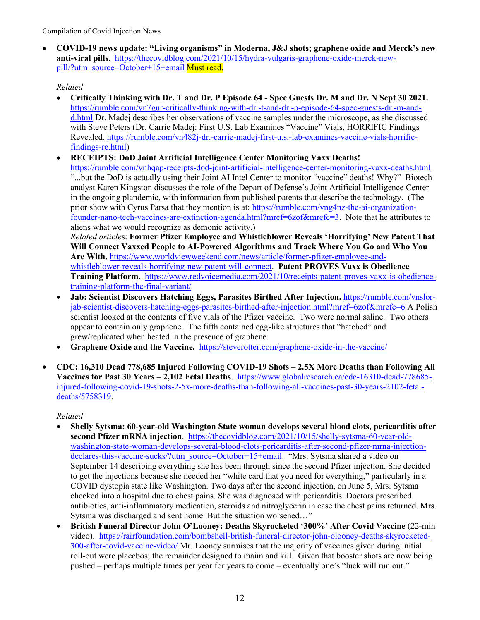• **COVID-19 news update: "Living organisms" in Moderna, J&J shots; graphene oxide and Merck's new anti-viral pills.** [https://thecovidblog.com/2021/10/15/hydra-vulgaris-graphene-oxide-merck-new](https://thecovidblog.com/2021/10/15/hydra-vulgaris-graphene-oxide-merck-new-pill/?utm_source=October+15+email)[pill/?utm\\_source=October+15+email](https://thecovidblog.com/2021/10/15/hydra-vulgaris-graphene-oxide-merck-new-pill/?utm_source=October+15+email) Must read.

## *Related*

- **Critically Thinking with Dr. T and Dr. P Episode 64 - Spec Guests Dr. M and Dr. N Sept 30 2021.** [https://rumble.com/vn7gur-critically-thinking-with-dr.-t-and-dr.-p-episode-64-spec-guests-dr.-m-and](https://rumble.com/vn7gur-critically-thinking-with-dr.-t-and-dr.-p-episode-64-spec-guests-dr.-m-and-d.html)[d.html](https://rumble.com/vn7gur-critically-thinking-with-dr.-t-and-dr.-p-episode-64-spec-guests-dr.-m-and-d.html) Dr. Madej describes her observations of vaccine samples under the microscope, as she discussed with Steve Peters (Dr. Carrie Madej: First U.S. Lab Examines "Vaccine" Vials, HORRIFIC Findings Revealed, [https://rumble.com/vn482j-dr.-carrie-madej-first-u.s.-lab-examines-vaccine-vials-horrific](https://rumble.com/vn482j-dr.-carrie-madej-first-u.s.-lab-examines-vaccine-vials-horrific-findings-re.html)[findings-re.html\)](https://rumble.com/vn482j-dr.-carrie-madej-first-u.s.-lab-examines-vaccine-vials-horrific-findings-re.html)
- **RECEIPTS: DoD Joint Artificial Intelligence Center Monitoring Vaxx Deaths!**  <https://rumble.com/vnhqap-receipts-dod-joint-artificial-intelligence-center-monitoring-vaxx-deaths.html> "...but the DoD is actually using their Joint AI Intel Center to monitor "vaccine" deaths! Why?" Biotech analyst Karen Kingston discusses the role of the Depart of Defense's Joint Artificial Intelligence Center in the ongoing plandemic, with information from published patents that describe the technology. (The prior show with Cyrus Parsa that they mention is at: [https://rumble.com/vng4nz-the-ai-organization](https://rumble.com/vng4nz-the-ai-organization-founder-nano-tech-vaccines-are-extinction-agenda.html?mref=6zof&mrefc=3)[founder-nano-tech-vaccines-are-extinction-agenda.html?mref=6zof&mrefc=3.](https://rumble.com/vng4nz-the-ai-organization-founder-nano-tech-vaccines-are-extinction-agenda.html?mref=6zof&mrefc=3) Note that he attributes to aliens what we would recognize as demonic activity.) *Related article*s: **Former Pfizer Employee and Whistleblower Reveals 'Horrifying' New Patent That Will Connect Vaxxed People to AI-Powered Algorithms and Track Where You Go and Who You Are With,** [https://www.worldviewweekend.com/news/article/former-pfizer-employee-and](https://www.worldviewweekend.com/news/article/former-pfizer-employee-and-whistleblower-reveals-horrifying-new-patent-will-connect)[whistleblower-reveals-horrifying-new-patent-will-connect.](https://www.worldviewweekend.com/news/article/former-pfizer-employee-and-whistleblower-reveals-horrifying-new-patent-will-connect) **Patent PROVES Vaxx is Obedience Training Platform.** [https://www.redvoicemedia.com/2021/10/receipts-patent-proves-vaxx-is-obedience-](https://www.redvoicemedia.com/2021/10/receipts-patent-proves-vaxx-is-obedience-training-platform-the-final-variant/)

[training-platform-the-final-variant/](https://www.redvoicemedia.com/2021/10/receipts-patent-proves-vaxx-is-obedience-training-platform-the-final-variant/)

- **Jab: Scientist Discovers Hatching Eggs, Parasites Birthed After Injection.** [https://rumble.com/vnslor](https://rumble.com/vnslor-jab-scientist-discovers-hatching-eggs-parasites-birthed-after-injection.html?mref=6zof&mrefc=6)[jab-scientist-discovers-hatching-eggs-parasites-birthed-after-injection.html?mref=6zof&mrefc=6](https://rumble.com/vnslor-jab-scientist-discovers-hatching-eggs-parasites-birthed-after-injection.html?mref=6zof&mrefc=6) A Polish scientist looked at the contents of five vials of the Pfizer vaccine. Two were normal saline. Two others appear to contain only graphene. The fifth contained egg-like structures that "hatched" and grew/replicated when heated in the presence of graphene.
- **Graphene Oxide and the Vaccine.** <https://steverotter.com/graphene-oxide-in-the-vaccine/>
- **CDC: 16,310 Dead 778,685 Injured Following COVID-19 Shots – 2.5X More Deaths than Following All Vaccines for Past 30 Years – 2,102 Fetal Deaths**. [https://www.globalresearch.ca/cdc-16310-dead-778685](https://www.globalresearch.ca/cdc-16310-dead-778685-injured-following-covid-19-shots-2-5x-more-deaths-than-following-all-vaccines-past-30-years-2102-fetal-deaths/5758319) [injured-following-covid-19-shots-2-5x-more-deaths-than-following-all-vaccines-past-30-years-2102-fetal](https://www.globalresearch.ca/cdc-16310-dead-778685-injured-following-covid-19-shots-2-5x-more-deaths-than-following-all-vaccines-past-30-years-2102-fetal-deaths/5758319)[deaths/5758319.](https://www.globalresearch.ca/cdc-16310-dead-778685-injured-following-covid-19-shots-2-5x-more-deaths-than-following-all-vaccines-past-30-years-2102-fetal-deaths/5758319)

- **Shelly Sytsma: 60-year-old Washington State woman develops several blood clots, pericarditis after**  second Pfizer mRNA injection. [https://thecovidblog.com/2021/10/15/shelly-sytsma-60-year-old](https://thecovidblog.com/2021/10/15/shelly-sytsma-60-year-old-washington-state-woman-develops-several-blood-clots-pericarditis-after-second-pfizer-mrna-injection-declares-this-vaccine-sucks/?utm_source=October+15+email)[washington-state-woman-develops-several-blood-clots-pericarditis-after-second-pfizer-mrna-injection](https://thecovidblog.com/2021/10/15/shelly-sytsma-60-year-old-washington-state-woman-develops-several-blood-clots-pericarditis-after-second-pfizer-mrna-injection-declares-this-vaccine-sucks/?utm_source=October+15+email)[declares-this-vaccine-sucks/?utm\\_source=October+15+email.](https://thecovidblog.com/2021/10/15/shelly-sytsma-60-year-old-washington-state-woman-develops-several-blood-clots-pericarditis-after-second-pfizer-mrna-injection-declares-this-vaccine-sucks/?utm_source=October+15+email) "Mrs. Sytsma shared a video on September 14 describing everything she has been through since the second Pfizer injection. She decided to get the injections because she needed her "white card that you need for everything," particularly in a COVID dystopia state like Washington. Two days after the second injection, on June 5, Mrs. Sytsma checked into a hospital due to chest pains. She was diagnosed with pericarditis. Doctors prescribed antibiotics, anti-inflammatory medication, steroids and nitroglycerin in case the chest pains returned. Mrs. Sytsma was discharged and sent home. But the situation worsened…"
- **British Funeral Director John O'Looney: Deaths Skyrocketed '300%' After Covid Vaccine** (22-min video). [https://rairfoundation.com/bombshell-british-funeral-director-john-olooney-deaths-skyrocketed-](https://rairfoundation.com/bombshell-british-funeral-director-john-olooney-deaths-skyrocketed-300-after-covid-vaccine-video/)[300-after-covid-vaccine-video/](https://rairfoundation.com/bombshell-british-funeral-director-john-olooney-deaths-skyrocketed-300-after-covid-vaccine-video/) Mr. Looney surmises that the majority of vaccines given during initial roll-out were placebos; the remainder designed to maim and kill. Given that booster shots are now being pushed – perhaps multiple times per year for years to come – eventually one's "luck will run out."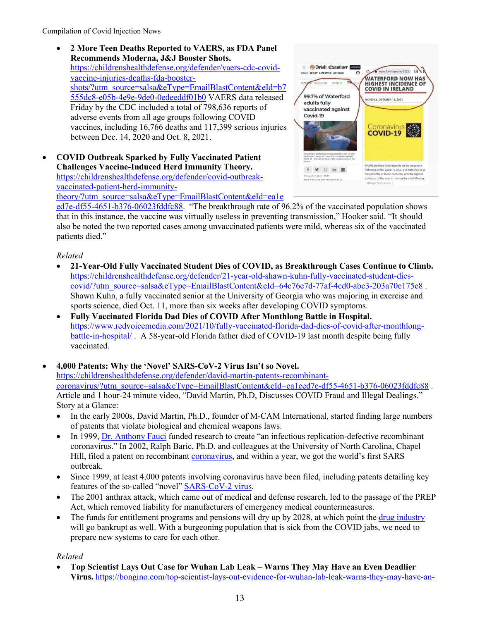• **2 More Teen Deaths Reported to VAERS, as FDA Panel Recommends Moderna, J&J Booster Shots.**  [https://childrenshealthdefense.org/defender/vaers-cdc-covid](https://childrenshealthdefense.org/defender/vaers-cdc-covid-vaccine-injuries-deaths-fda-booster-shots/?utm_source=salsa&eType=EmailBlastContent&eId=b7555dc8-e05b-4e9e-9de0-0edeeddf01b0)[vaccine-injuries-deaths-fda-booster](https://childrenshealthdefense.org/defender/vaers-cdc-covid-vaccine-injuries-deaths-fda-booster-shots/?utm_source=salsa&eType=EmailBlastContent&eId=b7555dc8-e05b-4e9e-9de0-0edeeddf01b0)[shots/?utm\\_source=salsa&eType=EmailBlastContent&eId=b7](https://childrenshealthdefense.org/defender/vaers-cdc-covid-vaccine-injuries-deaths-fda-booster-shots/?utm_source=salsa&eType=EmailBlastContent&eId=b7555dc8-e05b-4e9e-9de0-0edeeddf01b0) [555dc8-e05b-4e9e-9de0-0edeeddf01b0](https://childrenshealthdefense.org/defender/vaers-cdc-covid-vaccine-injuries-deaths-fda-booster-shots/?utm_source=salsa&eType=EmailBlastContent&eId=b7555dc8-e05b-4e9e-9de0-0edeeddf01b0) VAERS data released Friday by the CDC included a total of 798,636 reports of adverse events from all age groups following COVID vaccines, including 16,766 deaths and 117,399 serious injuries between Dec. 14, 2020 and Oct. 8, 2021.

• **COVID Outbreak Sparked by Fully Vaccinated Patient Challenges Vaccine-Induced Herd Immunity Theory.**  [https://childrenshealthdefense.org/defender/covid-outbreak](https://childrenshealthdefense.org/defender/covid-outbreak-vaccinated-patient-herd-immunity-theory/?utm_source=salsa&eType=EmailBlastContent&eId=ea1eed7e-df55-4651-b376-06023fddfc88)[vaccinated-patient-herd-immunity](https://childrenshealthdefense.org/defender/covid-outbreak-vaccinated-patient-herd-immunity-theory/?utm_source=salsa&eType=EmailBlastContent&eId=ea1eed7e-df55-4651-b376-06023fddfc88)[theory/?utm\\_source=salsa&eType=EmailBlastContent&eId=ea1e](https://childrenshealthdefense.org/defender/covid-outbreak-vaccinated-patient-herd-immunity-theory/?utm_source=salsa&eType=EmailBlastContent&eId=ea1eed7e-df55-4651-b376-06023fddfc88)



[ed7e-df55-4651-b376-06023fddfc88.](https://childrenshealthdefense.org/defender/covid-outbreak-vaccinated-patient-herd-immunity-theory/?utm_source=salsa&eType=EmailBlastContent&eId=ea1eed7e-df55-4651-b376-06023fddfc88) "The breakthrough rate of 96.2% of the vaccinated population shows that in this instance, the vaccine was virtually useless in preventing transmission," Hooker said. "It should also be noted the two reported cases among unvaccinated patients were mild, whereas six of the vaccinated patients died."

## *Related*

- **21-Year-Old Fully Vaccinated Student Dies of COVID, as Breakthrough Cases Continue to Climb.** [https://childrenshealthdefense.org/defender/21-year-old-shawn-kuhn-fully-vaccinated-student-dies](https://childrenshealthdefense.org/defender/21-year-old-shawn-kuhn-fully-vaccinated-student-dies-covid/?utm_source=salsa&eType=EmailBlastContent&eId=64c76e7d-77af-4cd0-abe3-203a70e175e8)[covid/?utm\\_source=salsa&eType=EmailBlastContent&eId=64c76e7d-77af-4cd0-abe3-203a70e175e8](https://childrenshealthdefense.org/defender/21-year-old-shawn-kuhn-fully-vaccinated-student-dies-covid/?utm_source=salsa&eType=EmailBlastContent&eId=64c76e7d-77af-4cd0-abe3-203a70e175e8) . Shawn Kuhn, a fully vaccinated senior at the University of Georgia who was majoring in exercise and sports science, died Oct. 11, more than six weeks after developing COVID symptoms.
- **Fully Vaccinated Florida Dad Dies of COVID After Monthlong Battle in Hospital.**  [https://www.redvoicemedia.com/2021/10/fully-vaccinated-florida-dad-dies-of-covid-after-monthlong](https://www.redvoicemedia.com/2021/10/fully-vaccinated-florida-dad-dies-of-covid-after-monthlong-battle-in-hospital/)[battle-in-hospital/](https://www.redvoicemedia.com/2021/10/fully-vaccinated-florida-dad-dies-of-covid-after-monthlong-battle-in-hospital/). A 58-year-old Florida father died of COVID-19 last month despite being fully vaccinated.

• **4,000 Patents: Why the 'Novel' SARS-CoV-2 Virus Isn't so Novel.** [https://childrenshealthdefense.org/defender/david-martin-patents-recombinant](https://childrenshealthdefense.org/defender/david-martin-patents-recombinant-coronavirus/?utm_source=salsa&eType=EmailBlastContent&eId=ea1eed7e-df55-4651-b376-06023fddfc88)[coronavirus/?utm\\_source=salsa&eType=EmailBlastContent&eId=ea1eed7e-df55-4651-b376-06023fddfc88](https://childrenshealthdefense.org/defender/david-martin-patents-recombinant-coronavirus/?utm_source=salsa&eType=EmailBlastContent&eId=ea1eed7e-df55-4651-b376-06023fddfc88) . Article and 1 hour-24 minute video, "David Martin, Ph.D, Discusses COVID Fraud and Illegal Dealings." Story at a Glance:

- In the early 2000s, David Martin, Ph.D., founder of M-CAM International, started finding large numbers of patents that violate biological and chemical weapons laws.
- In 1999, [Dr. Anthony Fauci](https://childrenshealthdefense.org/defender/robert-f-kennedy-jr-book-the-real-anthony-fauci/) funded research to create "an infectious replication-defective recombinant coronavirus." In 2002, Ralph Baric, Ph.D. and colleagues at the University of North Carolina, Chapel Hill, filed a patent on recombinant [coronavirus,](https://childrenshealthdefense.org/defender_category/covid/) and within a year, we got the world's first SARS outbreak.
- Since 1999, at least 4,000 patents involving coronavirus have been filed, including patents detailing key features of the so-called "novel" [SARS-CoV-2 virus.](https://childrenshealthdefense.org/defender/lancet-origin-covid-pandemic-investigation-shuts-down/)
- The 2001 anthrax attack, which came out of medical and defense research, led to the passage of the PREP Act, which removed liability for manufacturers of emergency medical countermeasures.
- The funds for entitlement programs and pensions will dry up by 2028, at which point the [drug industry](https://childrenshealthdefense.org/defender_category/big-pharma/) will go bankrupt as well. With a burgeoning population that is sick from the COVID jabs, we need to prepare new systems to care for each other.

## *Related*

• **Top Scientist Lays Out Case for Wuhan Lab Leak – Warns They May Have an Even Deadlier Virus.** [https://bongino.com/top-scientist-lays-out-evidence-for-wuhan-lab-leak-warns-they-may-have-an-](https://bongino.com/top-scientist-lays-out-evidence-for-wuhan-lab-leak-warns-they-may-have-an-even-deadlier-virus/)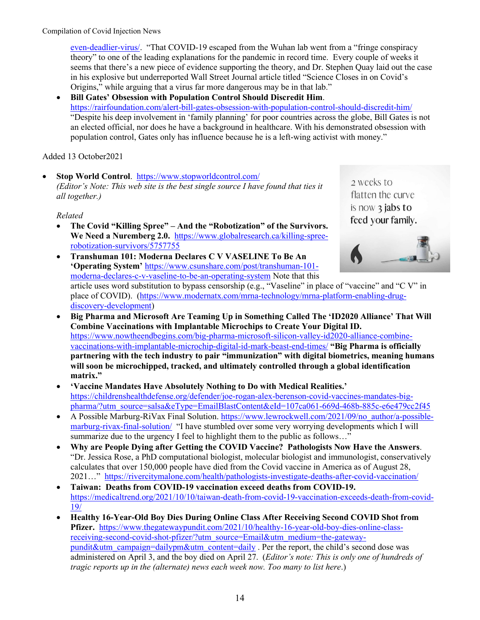[even-deadlier-virus/.](https://bongino.com/top-scientist-lays-out-evidence-for-wuhan-lab-leak-warns-they-may-have-an-even-deadlier-virus/) "That COVID-19 escaped from the Wuhan lab went from a "fringe conspiracy theory" to one of the leading explanations for the pandemic in record time. Every couple of weeks it seems that there's a new piece of evidence supporting the theory, and Dr. Stephen Quay laid out the case in his explosive but underreported Wall Street Journal article titled "Science Closes in on Covid's Origins," while arguing that a virus far more dangerous may be in that lab."

• **Bill Gates' Obsession with Population Control Should Discredit Him**. <https://rairfoundation.com/alert-bill-gates-obsession-with-population-control-should-discredit-him/> "Despite his deep involvement in 'family planning' for poor countries across the globe, Bill Gates is not an elected official, nor does he have a background in healthcare. With his demonstrated obsession with population control, Gates only has influence because he is a left-wing activist with money."

Added 13 October2021

• **Stop World Control**. <https://www.stopworldcontrol.com/> *(Editor's Note: This web site is the best single source I have found that ties it all together.)*

## *Related*

- **The Covid "Killing Spree" – And the "Robotization" of the Survivors. We Need a Nuremberg 2.0.** [https://www.globalresearch.ca/killing-spree](https://www.globalresearch.ca/killing-spree-robotization-survivors/5757755)[robotization-survivors/5757755](https://www.globalresearch.ca/killing-spree-robotization-survivors/5757755)
- flatten the curve is now  $\frac{1}{3}$  jabs to feed your family.

2 weeks to

- **Transhuman 101: Moderna Declares C V VASELINE To Be An 'Operating System'** [https://www.csunshare.com/post/transhuman-101](https://www.csunshare.com/post/transhuman-101-moderna-declares-c-v-vaseline-to-be-an-operating-system) [moderna-declares-c-v-vaseline-to-be-an-operating-system](https://www.csunshare.com/post/transhuman-101-moderna-declares-c-v-vaseline-to-be-an-operating-system) Note that this article uses word substitution to bypass censorship (e.g., "Vaseline" in place of "vaccine" and "C V" in place of COVID). [\(https://www.modernatx.com/mrna-technology/mrna-platform-enabling-drug](https://www.modernatx.com/mrna-technology/mrna-platform-enabling-drug-discovery-development)[discovery-development\)](https://www.modernatx.com/mrna-technology/mrna-platform-enabling-drug-discovery-development)
- **Big Pharma and Microsoft Are Teaming Up in Something Called The 'ID2020 Alliance' That Will Combine Vaccinations with Implantable Microchips to Create Your Digital ID.**  [https://www.nowtheendbegins.com/big-pharma-microsoft-silicon-valley-id2020-alliance-combine](https://www.nowtheendbegins.com/big-pharma-microsoft-silicon-valley-id2020-alliance-combine-vaccinations-with-implantable-microchip-digital-id-mark-beast-end-times/)[vaccinations-with-implantable-microchip-digital-id-mark-beast-end-times/](https://www.nowtheendbegins.com/big-pharma-microsoft-silicon-valley-id2020-alliance-combine-vaccinations-with-implantable-microchip-digital-id-mark-beast-end-times/) **"Big Pharma is officially partnering with the tech industry to pair "immunization" with digital biometrics, meaning humans will soon be microchipped, tracked, and ultimately controlled through a global identification matrix."**
- **'Vaccine Mandates Have Absolutely Nothing to Do with Medical Realities.'** [https://childrenshealthdefense.org/defender/joe-rogan-alex-berenson-covid-vaccines-mandates-big](https://childrenshealthdefense.org/defender/joe-rogan-alex-berenson-covid-vaccines-mandates-big-pharma/?utm_source=salsa&eType=EmailBlastContent&eId=107ca061-669d-468b-885c-e6e479cc2f45)[pharma/?utm\\_source=salsa&eType=EmailBlastContent&eId=107ca061-669d-468b-885c-e6e479cc2f45](https://childrenshealthdefense.org/defender/joe-rogan-alex-berenson-covid-vaccines-mandates-big-pharma/?utm_source=salsa&eType=EmailBlastContent&eId=107ca061-669d-468b-885c-e6e479cc2f45)
- [A Possible Marburg-RiVax](https://www.lewrockwell.com/2021/09/no_author/a-possible-marburg-rivax-final-solution/) Final Solution. [https://www.lewrockwell.com/2021/09/no\\_author/a-possible](https://www.lewrockwell.com/2021/09/no_author/a-possible-marburg-rivax-final-solution/)[marburg-rivax-final-solution/](https://www.lewrockwell.com/2021/09/no_author/a-possible-marburg-rivax-final-solution/) "I have stumbled over some very worrying developments which I will summarize due to the urgency I feel to highlight them to the public as follows..."
- **Why are People Dying after Getting the COVID Vaccine? Pathologists Now Have the Answers**. "Dr. Jessica Rose, a PhD computational biologist, molecular biologist and immunologist, conservatively calculates that over 150,000 people have died from the Covid vaccine in America as of August 28, 2021…" <https://rivercitymalone.com/health/pathologists-investigate-deaths-after-covid-vaccination/>
- **Taiwan: Deaths from COVID-19 vaccination exceed deaths from COVID-19.** [https://medicaltrend.org/2021/10/10/taiwan-death-from-covid-19-vaccination-exceeds-death-from-covid-](https://medicaltrend.org/2021/10/10/taiwan-death-from-covid-19-vaccination-exceeds-death-from-covid-19/)[19/](https://medicaltrend.org/2021/10/10/taiwan-death-from-covid-19-vaccination-exceeds-death-from-covid-19/)
- **Healthy 16-Year-Old Boy Dies During Online Class After Receiving Second COVID Shot from Pfizer.** [https://www.thegatewaypundit.com/2021/10/healthy-16-year-old-boy-dies-online-class](https://www.thegatewaypundit.com/2021/10/healthy-16-year-old-boy-dies-online-class-receiving-second-covid-shot-pfizer/?utm_source=Email&utm_medium=the-gateway-pundit&utm_campaign=dailypm&utm_content=daily)[receiving-second-covid-shot-pfizer/?utm\\_source=Email&utm\\_medium=the-gateway](https://www.thegatewaypundit.com/2021/10/healthy-16-year-old-boy-dies-online-class-receiving-second-covid-shot-pfizer/?utm_source=Email&utm_medium=the-gateway-pundit&utm_campaign=dailypm&utm_content=daily)[pundit&utm\\_campaign=dailypm&utm\\_content=daily](https://www.thegatewaypundit.com/2021/10/healthy-16-year-old-boy-dies-online-class-receiving-second-covid-shot-pfizer/?utm_source=Email&utm_medium=the-gateway-pundit&utm_campaign=dailypm&utm_content=daily) . Per the report, the child's second dose was administered on April 3, and the boy died on April 27. (*Editor's note: This is only one of hundreds of tragic reports up in the (alternate) news each week now. Too many to list here*.)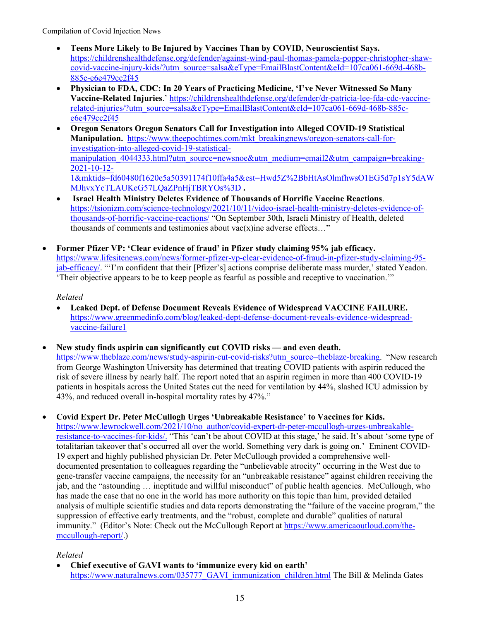- **Teens More Likely to Be Injured by Vaccines Than by COVID, Neuroscientist Says.**  [https://childrenshealthdefense.org/defender/against-wind-paul-thomas-pamela-popper-christopher-shaw](https://childrenshealthdefense.org/defender/against-wind-paul-thomas-pamela-popper-christopher-shaw-covid-vaccine-injury-kids/?utm_source=salsa&eType=EmailBlastContent&eId=107ca061-669d-468b-885c-e6e479cc2f45)[covid-vaccine-injury-kids/?utm\\_source=salsa&eType=EmailBlastContent&eId=107ca061-669d-468b-](https://childrenshealthdefense.org/defender/against-wind-paul-thomas-pamela-popper-christopher-shaw-covid-vaccine-injury-kids/?utm_source=salsa&eType=EmailBlastContent&eId=107ca061-669d-468b-885c-e6e479cc2f45)[885c-e6e479cc2f45](https://childrenshealthdefense.org/defender/against-wind-paul-thomas-pamela-popper-christopher-shaw-covid-vaccine-injury-kids/?utm_source=salsa&eType=EmailBlastContent&eId=107ca061-669d-468b-885c-e6e479cc2f45)
- **Physician to FDA, CDC: In 20 Years of Practicing Medicine, 'I've Never Witnessed So Many Vaccine-Related Injuries**.' [https://childrenshealthdefense.org/defender/dr-patricia-lee-fda-cdc-vaccine](https://childrenshealthdefense.org/defender/dr-patricia-lee-fda-cdc-vaccine-related-injuries/?utm_source=salsa&eType=EmailBlastContent&eId=107ca061-669d-468b-885c-e6e479cc2f45)[related-injuries/?utm\\_source=salsa&eType=EmailBlastContent&eId=107ca061-669d-468b-885c](https://childrenshealthdefense.org/defender/dr-patricia-lee-fda-cdc-vaccine-related-injuries/?utm_source=salsa&eType=EmailBlastContent&eId=107ca061-669d-468b-885c-e6e479cc2f45)[e6e479cc2f45](https://childrenshealthdefense.org/defender/dr-patricia-lee-fda-cdc-vaccine-related-injuries/?utm_source=salsa&eType=EmailBlastContent&eId=107ca061-669d-468b-885c-e6e479cc2f45)
- **Oregon Senators Oregon Senators Call for Investigation into Alleged COVID-19 Statistical Manipulation.** [https://www.theepochtimes.com/mkt\\_breakingnews/oregon-senators-call-for](https://www.theepochtimes.com/mkt_breakingnews/oregon-senators-call-for-investigation-into-alleged-covid-19-statistical-manipulation_4044333.html?utm_source=newsnoe&utm_medium=email2&utm_campaign=breaking-2021-10-12-1&mktids=fd60480f1620e5a50391174f10ffa4a5&est=Hwd5Z%2BbHtAsOlmfhwsO1EG5d7p1sY5dAWMJhvxYcTLAUKeG57LQaZPnHjTBRYOs%3D)[investigation-into-alleged-covid-19-statistical](https://www.theepochtimes.com/mkt_breakingnews/oregon-senators-call-for-investigation-into-alleged-covid-19-statistical-manipulation_4044333.html?utm_source=newsnoe&utm_medium=email2&utm_campaign=breaking-2021-10-12-1&mktids=fd60480f1620e5a50391174f10ffa4a5&est=Hwd5Z%2BbHtAsOlmfhwsO1EG5d7p1sY5dAWMJhvxYcTLAUKeG57LQaZPnHjTBRYOs%3D)manipulation 4044333.html?utm\_source=newsnoe&utm\_medium=email2&utm\_campaign=breaking-[2021-10-12-](https://www.theepochtimes.com/mkt_breakingnews/oregon-senators-call-for-investigation-into-alleged-covid-19-statistical-manipulation_4044333.html?utm_source=newsnoe&utm_medium=email2&utm_campaign=breaking-2021-10-12-1&mktids=fd60480f1620e5a50391174f10ffa4a5&est=Hwd5Z%2BbHtAsOlmfhwsO1EG5d7p1sY5dAWMJhvxYcTLAUKeG57LQaZPnHjTBRYOs%3D) [1&mktids=fd60480f1620e5a50391174f10ffa4a5&est=Hwd5Z%2BbHtAsOlmfhwsO1EG5d7p1sY5dAW](https://www.theepochtimes.com/mkt_breakingnews/oregon-senators-call-for-investigation-into-alleged-covid-19-statistical-manipulation_4044333.html?utm_source=newsnoe&utm_medium=email2&utm_campaign=breaking-2021-10-12-1&mktids=fd60480f1620e5a50391174f10ffa4a5&est=Hwd5Z%2BbHtAsOlmfhwsO1EG5d7p1sY5dAWMJhvxYcTLAUKeG57LQaZPnHjTBRYOs%3D) [MJhvxYcTLAUKeG57LQaZPnHjTBRYOs%3D](https://www.theepochtimes.com/mkt_breakingnews/oregon-senators-call-for-investigation-into-alleged-covid-19-statistical-manipulation_4044333.html?utm_source=newsnoe&utm_medium=email2&utm_campaign=breaking-2021-10-12-1&mktids=fd60480f1620e5a50391174f10ffa4a5&est=Hwd5Z%2BbHtAsOlmfhwsO1EG5d7p1sY5dAWMJhvxYcTLAUKeG57LQaZPnHjTBRYOs%3D) **.**
- **Israel Health Ministry Deletes Evidence of Thousands of Horrific Vaccine Reactions**. [https://tsionizm.com/science-technology/2021/10/11/video-israel-health-ministry-deletes-evidence-of](https://tsionizm.com/science-technology/2021/10/11/video-israel-health-ministry-deletes-evidence-of-thousands-of-horrific-vaccine-reactions/)[thousands-of-horrific-vaccine-reactions/](https://tsionizm.com/science-technology/2021/10/11/video-israel-health-ministry-deletes-evidence-of-thousands-of-horrific-vaccine-reactions/) "On September 30th, Israeli Ministry of Health, deleted thousands of comments and testimonies about  $\text{vac}(x)$ ine adverse effects..."
- **Former Pfizer VP: 'Clear evidence of fraud' in Pfizer study claiming 95% jab efficacy.**  [https://www.lifesitenews.com/news/former-pfizer-vp-clear-evidence-of-fraud-in-pfizer-study-claiming-95](https://www.lifesitenews.com/news/former-pfizer-vp-clear-evidence-of-fraud-in-pfizer-study-claiming-95-jab-efficacy/) [jab-efficacy/.](https://www.lifesitenews.com/news/former-pfizer-vp-clear-evidence-of-fraud-in-pfizer-study-claiming-95-jab-efficacy/) "'I'm confident that their [Pfizer's] actions comprise deliberate mass murder,' stated Yeadon. 'Their objective appears to be to keep people as fearful as possible and receptive to vaccination.'"

# *Related*

- **Leaked Dept. of Defense Document Reveals Evidence of Widespread VACCINE FAILURE.**  [https://www.greenmedinfo.com/blog/leaked-dept-defense-document-reveals-evidence-widespread](https://www.greenmedinfo.com/blog/leaked-dept-defense-document-reveals-evidence-widespread-vaccine-failure1)[vaccine-failure1](https://www.greenmedinfo.com/blog/leaked-dept-defense-document-reveals-evidence-widespread-vaccine-failure1)
- **New study finds aspirin can significantly cut COVID risks — and even death.**  [https://www.theblaze.com/news/study-aspirin-cut-covid-risks?utm\\_source=theblaze-breaking.](https://www.theblaze.com/news/study-aspirin-cut-covid-risks?utm_source=theblaze-breaking) "New research from George Washington University has determined that treating COVID patients with aspirin reduced the risk of severe illness by nearly half. The report noted that an aspirin regimen in more than 400 COVID-19 patients in hospitals across the United States cut the need for ventilation by 44%, slashed ICU admission by 43%, and reduced overall in-hospital mortality rates by 47%."
- **[Covid Expert Dr. Peter McCullogh Urges 'Unbreakable Resistance'](https://www.lewrockwell.com/2021/10/no_author/covid-expert-dr-peter-mccullogh-urges-unbreakable-resistance-to-vaccines-for-kids/) to Vaccines for Kids.**

[https://www.lewrockwell.com/2021/10/no\\_author/covid-expert-dr-peter-mccullogh-urges-unbreakable](https://www.lewrockwell.com/2021/10/no_author/covid-expert-dr-peter-mccullogh-urges-unbreakable-resistance-to-vaccines-for-kids/)[resistance-to-vaccines-for-kids/.](https://www.lewrockwell.com/2021/10/no_author/covid-expert-dr-peter-mccullogh-urges-unbreakable-resistance-to-vaccines-for-kids/) "This 'can't be about COVID at this stage,' he said. It's about 'some type of totalitarian takeover that's occurred all over the world. Something very dark is going on.' Eminent COVID-19 expert and highly published physician Dr. Peter McCullough provided a comprehensive welldocumented presentation to colleagues regarding the "unbelievable atrocity" occurring in the West due to gene-transfer vaccine campaigns, the necessity for an "unbreakable resistance" against children receiving the jab, and the "astounding … ineptitude and willful misconduct" of public health agencies. McCullough, who has made the case that no one in the world has more authority on this topic than him, provided detailed analysis of multiple scientific studies and data reports demonstrating the "failure of the vaccine program," the suppression of effective early treatments, and the "robust, complete and durable" qualities of natural immunity." (Editor's Note: Check out the McCullough Report at [https://www.americaoutloud.com/the](https://www.americaoutloud.com/the-mccullough-report/)[mccullough-report/.](https://www.americaoutloud.com/the-mccullough-report/))

# *Related*

• **Chief executive of GAVI wants to 'immunize every kid on earth'** [https://www.naturalnews.com/035777\\_GAVI\\_immunization\\_children.html](https://www.naturalnews.com/035777_GAVI_immunization_children.html) The Bill & Melinda Gates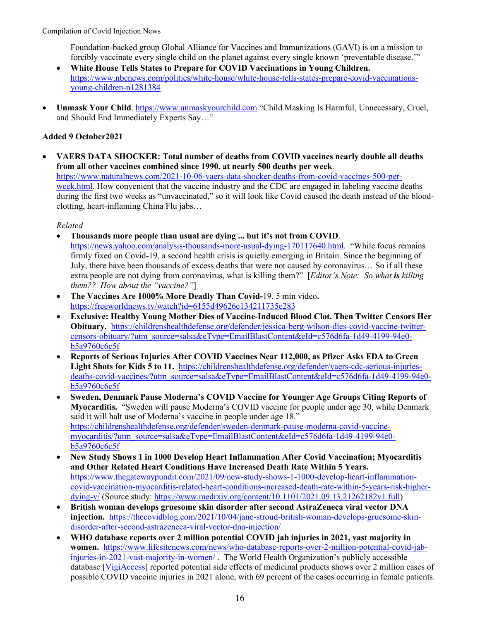Foundation-backed group Global Alliance for Vaccines and Immunizations (GAVI) is on a mission to forcibly vaccinate every single child on the planet against every single known 'preventable disease.'"

- **White House Tells States to Prepare for COVID Vaccinations in Young Children.**  [https://www.nbcnews.com/politics/white-house/white-house-tells-states-prepare-covid-vaccinations](https://www.nbcnews.com/politics/white-house/white-house-tells-states-prepare-covid-vaccinations-young-children-n1281384)[young-children-n1281384](https://www.nbcnews.com/politics/white-house/white-house-tells-states-prepare-covid-vaccinations-young-children-n1281384)
- **Unmask Your Child**. [https://www.unmaskyourchild.com](https://www.unmaskyourchild.com/) "Child Masking Is Harmful, Unnecessary, Cruel, and Should End Immediately Experts Say…"

## **Added 9 October2021**

• **VAERS DATA SHOCKER: Total number of deaths from COVID vaccines nearly double all deaths from all other vaccines combined since 1990, at nearly 500 deaths per week**. [https://www.naturalnews.com/2021-10-06-vaers-data-shocker-deaths-from-covid-vaccines-500-per](https://www.naturalnews.com/2021-10-06-vaers-data-shocker-deaths-from-covid-vaccines-500-per-week.html)[week.html.](https://www.naturalnews.com/2021-10-06-vaers-data-shocker-deaths-from-covid-vaccines-500-per-week.html) How convenient that the vaccine industry and the CDC are engaged in labeling vaccine deaths during the first two weeks as "unvaccinated," so it will look like Covid caused the death instead of the bloodclotting, heart-inflaming China Flu jabs…

- **Thousands more people than usual are dying ... but it's not from COVID**. [https://news.yahoo.com/analysis-thousands-more-usual-dying-170117640.html.](https://news.yahoo.com/analysis-thousands-more-usual-dying-170117640.html) "While focus remains firmly fixed on Covid-19, a second health crisis is quietly emerging in Britain. Since the beginning of July, there have been thousands of excess deaths that were not caused by coronavirus… So if all these extra people are not dying from coronavirus, what is killing them?" [*Editor's Note: So what is killing them?? How about the "vaccine?"*]
- **The Vaccines Are 1000% More Deadly Than Covid-**19. 5 min video**.**  <https://freeworldnews.tv/watch?id=6155d49626e134211735e283>
- **Exclusive: Healthy Young Mother Dies of Vaccine-Induced Blood Clot. Then Twitter Censors Her Obituary.** [https://childrenshealthdefense.org/defender/jessica-berg-wilson-dies-covid-vaccine-twitter](https://childrenshealthdefense.org/defender/jessica-berg-wilson-dies-covid-vaccine-twitter-censors-obituary/?utm_source=salsa&eType=EmailBlastContent&eId=c576d6fa-1d49-4199-94e0-b5a9760c6c5f)[censors-obituary/?utm\\_source=salsa&eType=EmailBlastContent&eId=c576d6fa-1d49-4199-94e0](https://childrenshealthdefense.org/defender/jessica-berg-wilson-dies-covid-vaccine-twitter-censors-obituary/?utm_source=salsa&eType=EmailBlastContent&eId=c576d6fa-1d49-4199-94e0-b5a9760c6c5f) [b5a9760c6c5f](https://childrenshealthdefense.org/defender/jessica-berg-wilson-dies-covid-vaccine-twitter-censors-obituary/?utm_source=salsa&eType=EmailBlastContent&eId=c576d6fa-1d49-4199-94e0-b5a9760c6c5f)
- **Reports of Serious Injuries After COVID Vaccines Near 112,000, as Pfizer Asks FDA to Green Light Shots for Kids 5 to 11.** [https://childrenshealthdefense.org/defender/vaers-cdc-serious-injuries](https://childrenshealthdefense.org/defender/vaers-cdc-serious-injuries-deaths-covid-vaccines/?utm_source=salsa&eType=EmailBlastContent&eId=c576d6fa-1d49-4199-94e0-b5a9760c6c5f)[deaths-covid-vaccines/?utm\\_source=salsa&eType=EmailBlastContent&eId=c576d6fa-1d49-4199-94e0](https://childrenshealthdefense.org/defender/vaers-cdc-serious-injuries-deaths-covid-vaccines/?utm_source=salsa&eType=EmailBlastContent&eId=c576d6fa-1d49-4199-94e0-b5a9760c6c5f) [b5a9760c6c5f](https://childrenshealthdefense.org/defender/vaers-cdc-serious-injuries-deaths-covid-vaccines/?utm_source=salsa&eType=EmailBlastContent&eId=c576d6fa-1d49-4199-94e0-b5a9760c6c5f)
- **Sweden, Denmark Pause Moderna's COVID Vaccine for Younger Age Groups Citing Reports of Myocarditis.** "Sweden will pause Moderna's COVID vaccine for people under age 30, while Denmark said it will halt use of Moderna's vaccine in people under age 18." [https://childrenshealthdefense.org/defender/sweden-denmark-pause-moderna-covid-vaccine](https://childrenshealthdefense.org/defender/sweden-denmark-pause-moderna-covid-vaccine-myocarditis/?utm_source=salsa&eType=EmailBlastContent&eId=c576d6fa-1d49-4199-94e0-b5a9760c6c5f)[myocarditis/?utm\\_source=salsa&eType=EmailBlastContent&eId=c576d6fa-1d49-4199-94e0](https://childrenshealthdefense.org/defender/sweden-denmark-pause-moderna-covid-vaccine-myocarditis/?utm_source=salsa&eType=EmailBlastContent&eId=c576d6fa-1d49-4199-94e0-b5a9760c6c5f) [b5a9760c6c5f](https://childrenshealthdefense.org/defender/sweden-denmark-pause-moderna-covid-vaccine-myocarditis/?utm_source=salsa&eType=EmailBlastContent&eId=c576d6fa-1d49-4199-94e0-b5a9760c6c5f)
- **New Study Shows 1 in 1000 Develop Heart Inflammation After Covid Vaccination; Myocarditis and Other Related Heart Conditions Have Increased Death Rate Within 5 Years.** [https://www.thegatewaypundit.com/2021/09/new-study-shows-1-1000-develop-heart-inflammation](https://www.thegatewaypundit.com/2021/09/new-study-shows-1-1000-develop-heart-inflammation-covid-vaccination-myocarditis-related-heart-conditions-increased-death-rate-within-5-years-risk-higher-dying-v/)[covid-vaccination-myocarditis-related-heart-conditions-increased-death-rate-within-5-years-risk-higher](https://www.thegatewaypundit.com/2021/09/new-study-shows-1-1000-develop-heart-inflammation-covid-vaccination-myocarditis-related-heart-conditions-increased-death-rate-within-5-years-risk-higher-dying-v/)[dying-v/](https://www.thegatewaypundit.com/2021/09/new-study-shows-1-1000-develop-heart-inflammation-covid-vaccination-myocarditis-related-heart-conditions-increased-death-rate-within-5-years-risk-higher-dying-v/) (Source study: [https://www.medrxiv.org/content/10.1101/2021.09.13.21262182v1.full\)](https://www.medrxiv.org/content/10.1101/2021.09.13.21262182v1.full)
- **British woman develops gruesome skin disorder after second AstraZeneca viral vector DNA injection.** [https://thecovidblog.com/2021/10/04/jane-stroud-british-woman-develops-gruesome-skin](https://thecovidblog.com/2021/10/04/jane-stroud-british-woman-develops-gruesome-skin-disorder-after-second-astrazeneca-viral-vector-dna-injection/)[disorder-after-second-astrazeneca-viral-vector-dna-injection/](https://thecovidblog.com/2021/10/04/jane-stroud-british-woman-develops-gruesome-skin-disorder-after-second-astrazeneca-viral-vector-dna-injection/)
- **WHO database reports over 2 million potential COVID jab injuries in 2021, vast majority in women.** [https://www.lifesitenews.com/news/who-database-reports-over-2-million-potential-covid-jab](https://www.lifesitenews.com/news/who-database-reports-over-2-million-potential-covid-jab-injuries-in-2021-vast-majority-in-women/)[injuries-in-2021-vast-majority-in-women/](https://www.lifesitenews.com/news/who-database-reports-over-2-million-potential-covid-jab-injuries-in-2021-vast-majority-in-women/) . The World Health Organization's publicly accessible database [\[VigiAccess\]](https://www.vigiaccess.org/) reported potential side effects of medicinal products shows over 2 million cases of possible COVID vaccine injuries in 2021 alone, with 69 percent of the cases occurring in female patients.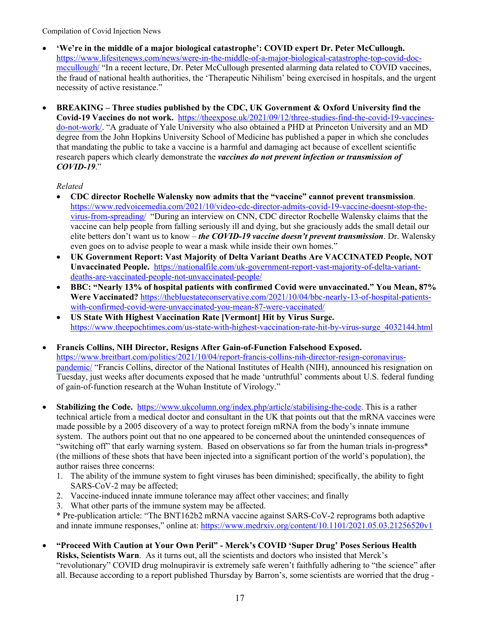- **'We're in the middle of a major biological catastrophe': COVID expert Dr. Peter McCullough.**  [https://www.lifesitenews.com/news/were-in-the-middle-of-a-major-biological-catastrophe-top-covid-doc](https://www.lifesitenews.com/news/were-in-the-middle-of-a-major-biological-catastrophe-top-covid-doc-mccullough/)[mccullough/](https://www.lifesitenews.com/news/were-in-the-middle-of-a-major-biological-catastrophe-top-covid-doc-mccullough/) "In a recent lecture, Dr. Peter McCullough presented alarming data related to COVID vaccines, the fraud of national health authorities, the 'Therapeutic Nihilism' being exercised in hospitals, and the urgent necessity of active resistance."
- **BREAKING – Three studies published by the CDC, UK Government & Oxford University find the Covid-19 Vaccines do not work.** [https://theexpose.uk/2021/09/12/three-studies-find-the-covid-19-vaccines](https://theexpose.uk/2021/09/12/three-studies-find-the-covid-19-vaccines-do-not-work/)[do-not-work/.](https://theexpose.uk/2021/09/12/three-studies-find-the-covid-19-vaccines-do-not-work/) "A graduate of Yale University who also obtained a PHD at Princeton University and an MD degree from the John Hopkins University School of Medicine has published a paper in which she concludes that mandating the public to take a vaccine is a harmful and damaging act because of excellent scientific research papers which clearly demonstrate the *vaccines do not prevent infection or transmission of COVID-19*."

## *Related*

- **CDC director Rochelle Walensky now admits that the "vaccine" cannot prevent transmission**. [https://www.redvoicemedia.com/2021/10/video-cdc-director-admits-covid-19-vaccine-doesnt-stop-the](https://www.redvoicemedia.com/2021/10/video-cdc-director-admits-covid-19-vaccine-doesnt-stop-the-virus-from-spreading/)[virus-from-spreading/](https://www.redvoicemedia.com/2021/10/video-cdc-director-admits-covid-19-vaccine-doesnt-stop-the-virus-from-spreading/) "During an interview on CNN, CDC director Rochelle Walensky claims that the vaccine can help people from falling seriously ill and dying, but she graciously adds the small detail our elite betters don't want us to know – *the COVID-19 vaccine doesn't prevent transmission*. Dr. Walensky even goes on to advise people to wear a mask while inside their own homes."
- **UK Government Report: Vast Majority of Delta Variant Deaths Are VACCINATED People, NOT Unvaccinated People.** [https://nationalfile.com/uk-government-report-vast-majority-of-delta-variant](https://nationalfile.com/uk-government-report-vast-majority-of-delta-variant-deaths-are-vaccinated-people-not-unvaccinated-people/)[deaths-are-vaccinated-people-not-unvaccinated-people/](https://nationalfile.com/uk-government-report-vast-majority-of-delta-variant-deaths-are-vaccinated-people-not-unvaccinated-people/)
- **BBC: "Nearly 13% of hospital patients with confirmed Covid were unvaccinated." You Mean, 87% Were Vaccinated?** [https://thebluestateconservative.com/2021/10/04/bbc-nearly-13-of-hospital-patients](https://thebluestateconservative.com/2021/10/04/bbc-nearly-13-of-hospital-patients-with-confirmed-covid-were-unvaccinated-you-mean-87-were-vaccinated/)[with-confirmed-covid-were-unvaccinated-you-mean-87-were-vaccinated/](https://thebluestateconservative.com/2021/10/04/bbc-nearly-13-of-hospital-patients-with-confirmed-covid-were-unvaccinated-you-mean-87-were-vaccinated/)
- **US State With Highest Vaccination Rate [Vermont] Hit by Virus Surge.**  [https://www.theepochtimes.com/us-state-with-highest-vaccination-rate-hit-by-virus-surge\\_4032144.html](https://www.theepochtimes.com/us-state-with-highest-vaccination-rate-hit-by-virus-surge_4032144.html)
- **Francis Collins, NIH Director, Resigns After Gain-of-Function Falsehood Exposed.**  [https://www.breitbart.com/politics/2021/10/04/report-francis-collins-nih-director-resign-coronavirus](https://www.breitbart.com/politics/2021/10/04/report-francis-collins-nih-director-resign-coronavirus-pandemic/)[pandemic/](https://www.breitbart.com/politics/2021/10/04/report-francis-collins-nih-director-resign-coronavirus-pandemic/) "Francis Collins, director of the National Institutes of Health (NIH), announced his resignation on Tuesday, just weeks after documents exposed that he made 'untruthful' comments about U.S. federal funding of gain-of-function research at the Wuhan Institute of Virology."
- **Stabilizing the Code.** [https://www.ukcolumn.org/index.php/article/stabilising-the-code.](https://www.ukcolumn.org/index.php/article/stabilising-the-code) This is a rather technical article from a medical doctor and consultant in the UK that points out that the mRNA vaccines were made possible by a 2005 discovery of a way to protect foreign mRNA from the body's innate immune system. The authors point out that no one appeared to be concerned about the unintended consequences of "switching off" that early warning system. Based on observations so far from the human trials in-progress\* (the millions of these shots that have been injected into a significant portion of the world's population), the author raises three concerns:
	- 1. The ability of the immune system to fight viruses has been diminished; specifically, the ability to fight SARS-CoV-2 may be affected;
	- 2. Vaccine-induced innate immune tolerance may affect other vaccines; and finally
	- 3. What other parts of the immune system may be affected.

\* Pre-publication article: "The BNT162b2 mRNA vaccine against SARS-CoV-2 reprograms both adaptive and innate immune responses," online at:<https://www.medrxiv.org/content/10.1101/2021.05.03.21256520v1>

• **"Proceed With Caution at Your Own Peril" - Merck's COVID 'Super Drug' Poses Serious Health Risks, Scientists Warn**. As it turns out, all the scientists and doctors who insisted that Merck's "revolutionary" COVID drug molnupiravir is extremely safe weren't faithfully adhering to "the science" after all. Because according to a report published Thursday by Barron's, some scientists are worried that the drug -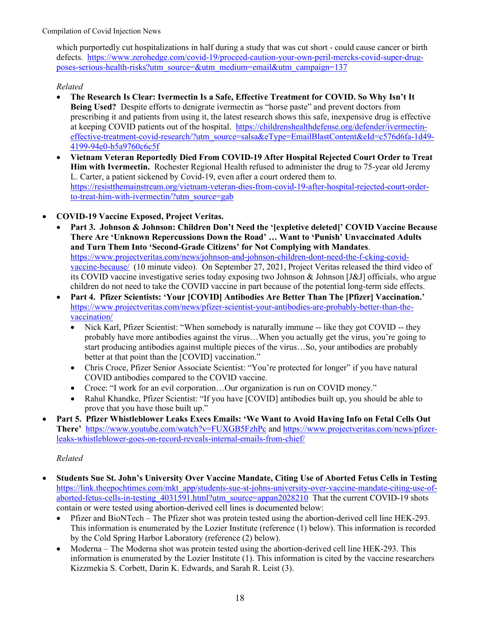which purportedly cut hospitalizations in half during a study that was cut short - could cause cancer or birth defects. [https://www.zerohedge.com/covid-19/proceed-caution-your-own-peril-mercks-covid-super-drug](https://www.zerohedge.com/covid-19/proceed-caution-your-own-peril-mercks-covid-super-drug-poses-serious-health-risks?utm_source=&utm_medium=email&utm_campaign=137)[poses-serious-health-risks?utm\\_source=&utm\\_medium=email&utm\\_campaign=137](https://www.zerohedge.com/covid-19/proceed-caution-your-own-peril-mercks-covid-super-drug-poses-serious-health-risks?utm_source=&utm_medium=email&utm_campaign=137)

## *Related*

- **The Research Is Clear: Ivermectin Is a Safe, Effective Treatment for COVID. So Why Isn't It Being Used?** Despite efforts to denigrate ivermectin as "horse paste" and prevent doctors from prescribing it and patients from using it, the latest research shows this safe, inexpensive drug is effective at keeping COVID patients out of the hospital. [https://childrenshealthdefense.org/defender/ivermectin](https://childrenshealthdefense.org/defender/ivermectin-effective-treatment-covid-research/?utm_source=salsa&eType=EmailBlastContent&eId=c576d6fa-1d49-4199-94e0-b5a9760c6c5f)[effective-treatment-covid-research/?utm\\_source=salsa&eType=EmailBlastContent&eId=c576d6fa-1d49-](https://childrenshealthdefense.org/defender/ivermectin-effective-treatment-covid-research/?utm_source=salsa&eType=EmailBlastContent&eId=c576d6fa-1d49-4199-94e0-b5a9760c6c5f) [4199-94e0-b5a9760c6c5f](https://childrenshealthdefense.org/defender/ivermectin-effective-treatment-covid-research/?utm_source=salsa&eType=EmailBlastContent&eId=c576d6fa-1d49-4199-94e0-b5a9760c6c5f)
- **Vietnam Veteran Reportedly Died From COVID-19 After Hospital Rejected Court Order to Treat Him with Ivermectin.** Rochester Regional [Health](https://www.rochesterregional.org/) refused to administer the drug to 75-year old Jeremy L. [Carter,](https://meesonfamily.com/obits/jeremy-l-carter/) a patient sickened by Covid-19, even after a court ordered them to. [https://resistthemainstream.org/vietnam-veteran-dies-from-covid-19-after-hospital-rejected-court-order](https://resistthemainstream.org/vietnam-veteran-dies-from-covid-19-after-hospital-rejected-court-order-to-treat-him-with-ivermectin/?utm_source=gab)[to-treat-him-with-ivermectin/?utm\\_source=gab](https://resistthemainstream.org/vietnam-veteran-dies-from-covid-19-after-hospital-rejected-court-order-to-treat-him-with-ivermectin/?utm_source=gab)
- **COVID-19 Vaccine Exposed, Project Veritas.** 
	- **Part 3. Johnson & Johnson: Children Don't Need the '[expletive deleted]' COVID Vaccine Because There Are 'Unknown Repercussions Down the Road' … Want to 'Punish' Unvaccinated Adults and Turn Them Into 'Second-Grade Citizens' for Not Complying with Mandates**. [https://www.projectveritas.com/news/johnson-and-johnson-children-dont-need-the-f-cking-covid](https://www.projectveritas.com/news/johnson-and-johnson-children-dont-need-the-f-cking-covid-vaccine-because/)[vaccine-because/](https://www.projectveritas.com/news/johnson-and-johnson-children-dont-need-the-f-cking-covid-vaccine-because/) (10 minute video). On September 27, 2021, Project Veritas released the third video of its COVID vaccine investigative series today exposing two Johnson & Johnson [J&J] officials, who argue children do not need to take the COVID vaccine in part because of the potential long-term side effects.
	- **Part 4. Pfizer Scientists: 'Your [COVID] Antibodies Are Better Than The [Pfizer] Vaccination.'** [https://www.projectveritas.com/news/pfizer-scientist-your-antibodies-are-probably-better-than-the](https://www.projectveritas.com/news/pfizer-scientist-your-antibodies-are-probably-better-than-the-vaccination/)[vaccination/](https://www.projectveritas.com/news/pfizer-scientist-your-antibodies-are-probably-better-than-the-vaccination/)
		- Nick Karl, Pfizer Scientist: "When somebody is naturally immune -- like they got COVID -- they probably have more antibodies against the virus…When you actually get the virus, you're going to start producing antibodies against multiple pieces of the virus…So, your antibodies are probably better at that point than the [COVID] vaccination."
		- Chris Croce, Pfizer Senior Associate Scientist: "You're protected for longer" if you have natural COVID antibodies compared to the COVID vaccine.
		- Croce: "I work for an evil corporation...Our organization is run on COVID money."
		- Rahul Khandke, Pfizer Scientist: "If you have [COVID] antibodies built up, you should be able to prove that you have those built up."
- **Part 5. Pfizer Whistleblower Leaks Execs Emails: 'We Want to Avoid Having Info on Fetal Cells Out There'** <https://www.youtube.com/watch?v=FUXGB5FzhPc> and [https://www.projectveritas.com/news/pfizer](https://www.projectveritas.com/news/pfizer-leaks-whistleblower-goes-on-record-reveals-internal-emails-from-chief/)[leaks-whistleblower-goes-on-record-reveals-internal-emails-from-chief/](https://www.projectveritas.com/news/pfizer-leaks-whistleblower-goes-on-record-reveals-internal-emails-from-chief/)

- **Students Sue St. John's University Over Vaccine Mandate, Citing Use of Aborted Fetus Cells in Testing** [https://link.theepochtimes.com/mkt\\_app/students-sue-st-johns-university-over-vaccine-mandate-citing-use-of](https://link.theepochtimes.com/mkt_app/students-sue-st-johns-university-over-vaccine-mandate-citing-use-of-aborted-fetus-cells-in-testing_4031591.html?utm_source=appan2028210)aborted-fetus-cells-in-testing 4031591.html?utm\_source=appan2028210 That the current COVID-19 shots contain or were tested using abortion-derived cell lines is documented below:
	- Pfizer and BioNTech The Pfizer shot was protein tested using the abortion-derived cell line HEK-293. This information is enumerated by the Lozier Institute (reference (1) below). This information is recorded by the Cold Spring Harbor Laboratory (reference (2) below).
	- Moderna The Moderna shot was protein tested using the abortion-derived cell line HEK-293. This information is enumerated by the Lozier Institute (1). This information is cited by the vaccine researchers Kizzmekia S. Corbett, Darin K. Edwards, and Sarah R. Leist (3).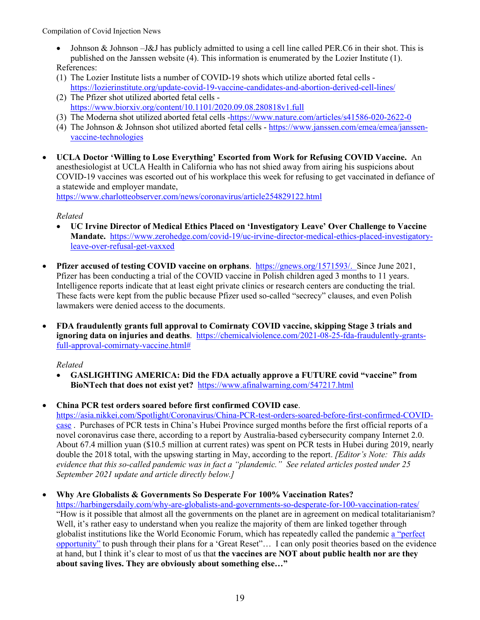- Johnson & Johnson –J&J has publicly admitted to using a cell line called PER.C6 in their shot. This is published on the Janssen website (4). This information is enumerated by the Lozier Institute (1). References:
- (1) The Lozier Institute lists a number of COVID-19 shots which utilize aborted fetal cells <https://lozierinstitute.org/update-covid-19-vaccine-candidates-and-abortion-derived-cell-lines/>
- (2) The Pfizer shot utilized aborted fetal cells <https://www.biorxiv.org/content/10.1101/2020.09.08.280818v1.full>
- (3) The Moderna shot utilized aborted fetal cells [-https://www.nature.com/articles/s41586-020-2622-0](https://www.nature.com/articles/s41586-020-2622-0)
- (4) The Johnson & Johnson shot utilized aborted fetal cells [https://www.janssen.com/emea/emea/janssen](https://www.janssen.com/emea/emea/janssen-vaccine-technologies)[vaccine-technologies](https://www.janssen.com/emea/emea/janssen-vaccine-technologies)
- **UCLA Doctor 'Willing to Lose Everything' Escorted from Work for Refusing COVID Vaccine.** An anesthesiologist at UCLA Health in California who has not shied away from airing his suspicions about COVID-19 vaccines was escorted out of his workplace this week for refusing to get vaccinated in defiance of a statewide and employer mandate,

<https://www.charlotteobserver.com/news/coronavirus/article254829122.html>

## *Related*

- **UC Irvine Director of Medical Ethics Placed on 'Investigatory Leave' Over Challenge to Vaccine Mandate.** [https://www.zerohedge.com/covid-19/uc-irvine-director-medical-ethics-placed-investigatory](https://www.zerohedge.com/covid-19/uc-irvine-director-medical-ethics-placed-investigatory-leave-over-refusal-get-vaxxed)[leave-over-refusal-get-vaxxed](https://www.zerohedge.com/covid-19/uc-irvine-director-medical-ethics-placed-investigatory-leave-over-refusal-get-vaxxed)
- **Pfizer accused of testing COVID vaccine on orphans**. [https://gnews.org/1571593/.](https://gnews.org/1571593/) Since June 2021, Pfizer has been conducting a trial of the COVID vaccine in Polish children aged 3 months to 11 years. Intelligence reports indicate that at least eight private clinics or research centers are conducting the trial. These facts were kept from the public because Pfizer used so-called "secrecy" clauses, and even Polish lawmakers were denied access to the documents.
- **FDA fraudulently grants full approval to Comirnaty COVID vaccine, skipping Stage 3 trials and ignoring data on injuries and deaths**. [https://chemicalviolence.com/2021-08-25-fda-fraudulently-grants](https://chemicalviolence.com/2021-08-25-fda-fraudulently-grants-full-approval-comirnaty-vaccine.html)[full-approval-comirnaty-vaccine.html#](https://chemicalviolence.com/2021-08-25-fda-fraudulently-grants-full-approval-comirnaty-vaccine.html)

# *Related*

• **GASLIGHTING AMERICA: Did the FDA actually approve a FUTURE covid "vaccine" from BioNTech that does not exist yet?** <https://www.afinalwarning.com/547217.html>

# • **China PCR test orders soared before first confirmed COVID case**.

[https://asia.nikkei.com/Spotlight/Coronavirus/China-PCR-test-orders-soared-before-first-confirmed-COVID](https://asia.nikkei.com/Spotlight/Coronavirus/China-PCR-test-orders-soared-before-first-confirmed-COVID-case)[case](https://asia.nikkei.com/Spotlight/Coronavirus/China-PCR-test-orders-soared-before-first-confirmed-COVID-case) . Purchases of PCR tests in China's Hubei Province surged months before the first official reports of a novel coronavirus case there, according to a report by Australia-based cybersecurity company Internet 2.0. About 67.4 million yuan (\$10.5 million at current rates) was spent on PCR tests in Hubei during 2019, nearly double the 2018 total, with the upswing starting in May, according to the report. *[Editor's Note: This adds evidence that this so-called pandemic was in fact a "plandemic." See related articles posted under 25 September 2021 update and article directly below.]*

## • **Why Are Globalists & Governments So Desperate For 100% Vaccination Rates?**

<https://harbingersdaily.com/why-are-globalists-and-governments-so-desperate-for-100-vaccination-rates/> "How is it possible that almost all the governments on the planet are in agreement on medical totalitarianism? Well, it's rather easy to understand when you realize the majority of them are linked together through globalist institutions like the World Economic Forum, which has repeatedly called the pandemic [a "perfect](https://www.weforum.org/agenda/2020/06/now-is-the-time-for-a-great-reset/)  [opportunity"](https://www.weforum.org/agenda/2020/06/now-is-the-time-for-a-great-reset/) to push through their plans for a 'Great Reset"… I can only posit theories based on the evidence at hand, but I think it's clear to most of us that **the vaccines are NOT about public health nor are they about saving lives. They are obviously about something else…"**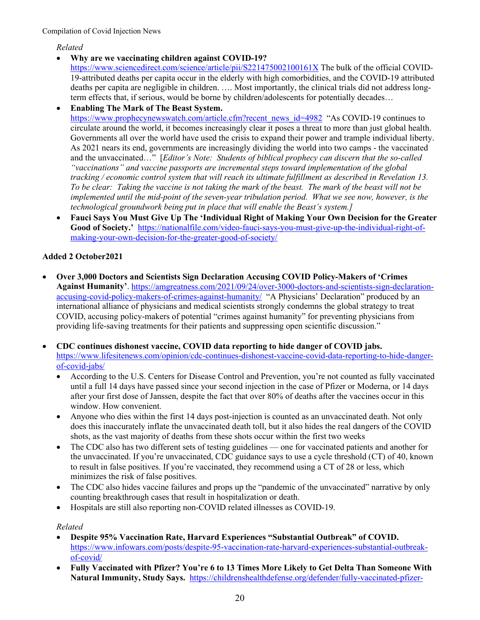*Related*

• **Why are we vaccinating children against COVID-19?** 

<https://www.sciencedirect.com/science/article/pii/S221475002100161X> The bulk of the official COVID-19-attributed deaths per capita occur in the elderly with high comorbidities, and the COVID-19 attributed deaths per capita are negligible in children. …. Most importantly, the clinical trials did not address longterm effects that, if serious, would be borne by children/adolescents for potentially decades…

• **Enabling The Mark of The Beast System.**  [https://www.prophecynewswatch.com/article.cfm?recent\\_news\\_id=4982](https://www.prophecynewswatch.com/article.cfm?recent_news_id=4982) "As COVID-19 continues to circulate around the world, it becomes increasingly clear it poses a threat to more than just global health. Governments all over the world have used the crisis to expand their power and trample individual liberty. As 2021 nears its end, governments are increasingly dividing the world into two camps - the vaccinated and the unvaccinated…" [*Editor's Note: Students of biblical prophecy can discern that the so-called "vaccinations" and vaccine passports are incremental steps toward implementation of the global tracking / economic control system that will reach its ultimate fulfillment as described in Revelation 13. To be clear: Taking the vaccine is not taking the mark of the beast. The mark of the beast will not be implemented until the mid-point of the seven-year tribulation period. What we see now, however, is the technological groundwork being put in place that will enable the Beast's system.]*

• **Fauci Says You Must Give Up The 'Individual Right of Making Your Own Decision for the Greater Good of Society.'** [https://nationalfile.com/video-fauci-says-you-must-give-up-the-individual-right-of](https://nationalfile.com/video-fauci-says-you-must-give-up-the-individual-right-of-making-your-own-decision-for-the-greater-good-of-society/)[making-your-own-decision-for-the-greater-good-of-society/](https://nationalfile.com/video-fauci-says-you-must-give-up-the-individual-right-of-making-your-own-decision-for-the-greater-good-of-society/)

# **Added 2 October2021**

- **Over 3,000 Doctors and Scientists Sign Declaration Accusing COVID Policy-Makers of 'Crimes Against Humanity'**. [https://amgreatness.com/2021/09/24/over-3000-doctors-and-scientists-sign-declaration](https://amgreatness.com/2021/09/24/over-3000-doctors-and-scientists-sign-declaration-accusing-covid-policy-makers-of-crimes-against-humanity/)[accusing-covid-policy-makers-of-crimes-against-humanity/](https://amgreatness.com/2021/09/24/over-3000-doctors-and-scientists-sign-declaration-accusing-covid-policy-makers-of-crimes-against-humanity/) "A Physicians' Declaration" produced by an international alliance of physicians and medical scientists strongly condemns the global strategy to treat COVID, accusing policy-makers of potential "crimes against humanity" for preventing physicians from providing life-saving treatments for their patients and suppressing open scientific discussion."
- **CDC continues dishonest vaccine, COVID data reporting to hide danger of COVID jabs.** [https://www.lifesitenews.com/opinion/cdc-continues-dishonest-vaccine-covid-data-reporting-to-hide-danger](https://www.lifesitenews.com/opinion/cdc-continues-dishonest-vaccine-covid-data-reporting-to-hide-danger-of-covid-jabs/)[of-covid-jabs/](https://www.lifesitenews.com/opinion/cdc-continues-dishonest-vaccine-covid-data-reporting-to-hide-danger-of-covid-jabs/)
	- According to the U.S. Centers for Disease Control and Prevention, you're not counted as fully vaccinated until a full 14 days have passed since your second injection in the case of Pfizer or Moderna, or 14 days after your first dose of Janssen, despite the fact that over 80% of deaths after the vaccines occur in this window. How convenient.
	- Anyone who dies within the first 14 days post-injection is counted as an unvaccinated death. Not only does this inaccurately inflate the unvaccinated death toll, but it also hides the real dangers of the COVID shots, as the vast majority of deaths from these shots occur within the first two weeks
	- The CDC also has two different sets of testing guidelines one for vaccinated patients and another for the unvaccinated. If you're unvaccinated, CDC guidance says to use a cycle threshold (CT) of 40, known to result in false positives. If you're vaccinated, they recommend using a CT of 28 or less, which minimizes the risk of false positives.
	- The CDC also hides vaccine failures and props up the "pandemic of the unvaccinated" narrative by only counting breakthrough cases that result in hospitalization or death.
	- Hospitals are still also reporting non-COVID related illnesses as COVID-19.

- **Despite 95% Vaccination Rate, Harvard Experiences "Substantial Outbreak" of COVID.**  [https://www.infowars.com/posts/despite-95-vaccination-rate-harvard-experiences-substantial-outbreak](https://www.infowars.com/posts/despite-95-vaccination-rate-harvard-experiences-substantial-outbreak-of-covid/)[of-covid/](https://www.infowars.com/posts/despite-95-vaccination-rate-harvard-experiences-substantial-outbreak-of-covid/)
- **Fully Vaccinated with Pfizer? You're 6 to 13 Times More Likely to Get Delta Than Someone With Natural Immunity, Study Says.** [https://childrenshealthdefense.org/defender/fully-vaccinated-pfizer-](https://childrenshealthdefense.org/defender/fully-vaccinated-pfizer-more-likely-get-delta-than-natural-immunity/?utm_source=salsa&eType=EmailBlastContent&eId=8cc16b4b-50ce-416f-b79c-219a69777d68)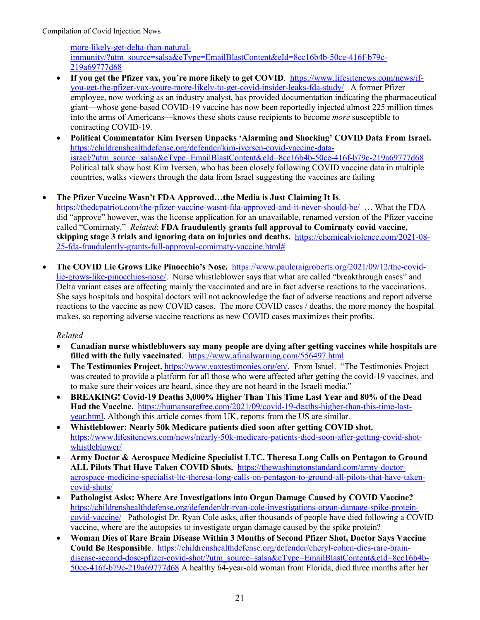[more-likely-get-delta-than-natural](https://childrenshealthdefense.org/defender/fully-vaccinated-pfizer-more-likely-get-delta-than-natural-immunity/?utm_source=salsa&eType=EmailBlastContent&eId=8cc16b4b-50ce-416f-b79c-219a69777d68)[immunity/?utm\\_source=salsa&eType=EmailBlastContent&eId=8cc16b4b-50ce-416f-b79c-](https://childrenshealthdefense.org/defender/fully-vaccinated-pfizer-more-likely-get-delta-than-natural-immunity/?utm_source=salsa&eType=EmailBlastContent&eId=8cc16b4b-50ce-416f-b79c-219a69777d68)[219a69777d68](https://childrenshealthdefense.org/defender/fully-vaccinated-pfizer-more-likely-get-delta-than-natural-immunity/?utm_source=salsa&eType=EmailBlastContent&eId=8cc16b4b-50ce-416f-b79c-219a69777d68)

- **If you get the Pfizer vax, you're more likely to get COVID**. [https://www.lifesitenews.com/news/if](https://www.lifesitenews.com/news/if-you-get-the-pfizer-vax-youre-more-likely-to-get-covid-insider-leaks-fda-study/)[you-get-the-pfizer-vax-youre-more-likely-to-get-covid-insider-leaks-fda-study/](https://www.lifesitenews.com/news/if-you-get-the-pfizer-vax-youre-more-likely-to-get-covid-insider-leaks-fda-study/) A former Pfizer employee, now working as an industry analyst, has provided documentation indicating the pharmaceutical giant—whose gene-based COVID-19 vaccine has now been reportedly injected almost 225 million times into the arms of Americans—knows these shots cause recipients to become *more* susceptible to contracting COVID-19.
- **Political Commentator Kim Iversen Unpacks 'Alarming and Shocking' COVID Data From Israel.**  [https://childrenshealthdefense.org/defender/kim-iversen-covid-vaccine-data](https://childrenshealthdefense.org/defender/kim-iversen-covid-vaccine-data-israel/?utm_source=salsa&eType=EmailBlastContent&eId=8cc16b4b-50ce-416f-b79c-219a69777d68)[israel/?utm\\_source=salsa&eType=EmailBlastContent&eId=8cc16b4b-50ce-416f-b79c-219a69777d68](https://childrenshealthdefense.org/defender/kim-iversen-covid-vaccine-data-israel/?utm_source=salsa&eType=EmailBlastContent&eId=8cc16b4b-50ce-416f-b79c-219a69777d68) Political talk show host Kim Iversen, who has been closely following COVID vaccine data in multiple countries, walks viewers through the data from Israel suggesting the vaccines are failing

## • **The Pfizer Vaccine Wasn't FDA Approved…the Media is Just Claiming It Is**.

<https://thedcpatriot.com/the-pfizer-vaccine-wasnt-fda-approved-and-it-never-should-be/> … What the FDA did "approve" however, was the license application for an unavailable, renamed version of the Pfizer vaccine called "Comirnaty." *Related*: **FDA fraudulently grants full approval to Comirnaty covid vaccine, skipping stage 3 trials and ignoring data on injuries and deaths.** [https://chemicalviolence.com/2021-08-](https://chemicalviolence.com/2021-08-25-fda-fraudulently-grants-full-approval-comirnaty-vaccine.html) [25-fda-fraudulently-grants-full-approval-comirnaty-vaccine.html#](https://chemicalviolence.com/2021-08-25-fda-fraudulently-grants-full-approval-comirnaty-vaccine.html)

• **The COVID Lie Grows Like Pinocchio's Nose.** [https://www.paulcraigroberts.org/2021/09/12/the-covid](https://www.paulcraigroberts.org/2021/09/12/the-covid-lie-grows-like-pinocchios-nose/)[lie-grows-like-pinocchios-nose/.](https://www.paulcraigroberts.org/2021/09/12/the-covid-lie-grows-like-pinocchios-nose/) Nurse whistleblower says that what are called "breakthrough cases" and Delta variant cases are affecting mainly the vaccinated and are in fact adverse reactions to the vaccinations. She says hospitals and hospital doctors will not acknowledge the fact of adverse reactions and report adverse reactions to the vaccine as new COVID cases. The more COVID cases / deaths, the more money the hospital makes, so reporting adverse vaccine reactions as new COVID cases maximizes their profits.

- **Canadian nurse whistleblowers say many people are dying after getting vaccines while hospitals are filled with the fully vaccinated**. <https://www.afinalwarning.com/556497.html>
- The Testimonies Project. [https://www.vaxtestimonies.org/en/.](https://www.vaxtestimonies.org/en/) From Israel. "The Testimonies Project was created to provide a platform for all those who were affected after getting the covid-19 vaccines, and to make sure their voices are heard, since they are not heard in the Israeli media."
- **BREAKING! Covid-19 Deaths 3,000% Higher Than This Time Last Year and 80% of the Dead Had the Vaccine.** [https://humansarefree.com/2021/09/covid-19-deaths-higher-than-this-time-last](https://humansarefree.com/2021/09/covid-19-deaths-higher-than-this-time-last-year.html)[year.html.](https://humansarefree.com/2021/09/covid-19-deaths-higher-than-this-time-last-year.html) Although this article comes from UK, reports from the US are similar.
- **Whistleblower: Nearly 50k Medicare patients died soon after getting COVID shot.**  [https://www.lifesitenews.com/news/nearly-50k-medicare-patients-died-soon-after-getting-covid-shot](https://www.lifesitenews.com/news/nearly-50k-medicare-patients-died-soon-after-getting-covid-shot-whistleblower/)[whistleblower/](https://www.lifesitenews.com/news/nearly-50k-medicare-patients-died-soon-after-getting-covid-shot-whistleblower/)
- **Army Doctor & Aerospace Medicine Specialist LTC. Theresa Long Calls on Pentagon to Ground ALL Pilots That Have Taken COVID Shots.** [https://thewashingtonstandard.com/army-doctor](https://thewashingtonstandard.com/army-doctor-aerospace-medicine-specialist-ltc-theresa-long-calls-on-pentagon-to-ground-all-pilots-that-have-taken-covid-shots/)[aerospace-medicine-specialist-ltc-theresa-long-calls-on-pentagon-to-ground-all-pilots-that-have-taken](https://thewashingtonstandard.com/army-doctor-aerospace-medicine-specialist-ltc-theresa-long-calls-on-pentagon-to-ground-all-pilots-that-have-taken-covid-shots/)[covid-shots/](https://thewashingtonstandard.com/army-doctor-aerospace-medicine-specialist-ltc-theresa-long-calls-on-pentagon-to-ground-all-pilots-that-have-taken-covid-shots/)
- **Pathologist Asks: Where Are Investigations into Organ Damage Caused by COVID Vaccine?** [https://childrenshealthdefense.org/defender/dr-ryan-cole-investigations-organ-damage-spike-protein](https://childrenshealthdefense.org/defender/dr-ryan-cole-investigations-organ-damage-spike-protein-covid-vaccine/)[covid-vaccine/](https://childrenshealthdefense.org/defender/dr-ryan-cole-investigations-organ-damage-spike-protein-covid-vaccine/) Pathologist Dr. Ryan Cole asks, after thousands of people have died following a COVID vaccine, where are the autopsies to investigate organ damage caused by the spike protein?
- **Woman Dies of Rare Brain Disease Within 3 Months of Second Pfizer Shot, Doctor Says Vaccine Could Be Responsible**. [https://childrenshealthdefense.org/defender/cheryl-cohen-dies-rare-brain](https://childrenshealthdefense.org/defender/cheryl-cohen-dies-rare-brain-disease-second-dose-pfizer-covid-shot/?utm_source=salsa&eType=EmailBlastContent&eId=8cc16b4b-50ce-416f-b79c-219a69777d68)[disease-second-dose-pfizer-covid-shot/?utm\\_source=salsa&eType=EmailBlastContent&eId=8cc16b4b-](https://childrenshealthdefense.org/defender/cheryl-cohen-dies-rare-brain-disease-second-dose-pfizer-covid-shot/?utm_source=salsa&eType=EmailBlastContent&eId=8cc16b4b-50ce-416f-b79c-219a69777d68)[50ce-416f-b79c-219a69777d68](https://childrenshealthdefense.org/defender/cheryl-cohen-dies-rare-brain-disease-second-dose-pfizer-covid-shot/?utm_source=salsa&eType=EmailBlastContent&eId=8cc16b4b-50ce-416f-b79c-219a69777d68) A healthy 64-year-old woman from Florida, died three months after her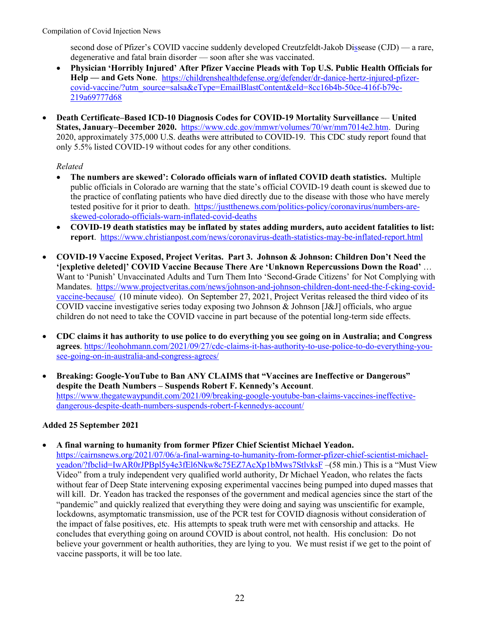second dose of Pfizer's COVID vaccine suddenly developed Creutzfeldt-Jakob Dissease (CJD) — a rare, degenerative and fatal brain disorder — soon after she was vaccinated.

- **Physician 'Horribly Injured' After Pfizer Vaccine Pleads with Top U.S. Public Health Officials for Help — and Gets None**. [https://childrenshealthdefense.org/defender/dr-danice-hertz-injured-pfizer](https://childrenshealthdefense.org/defender/dr-danice-hertz-injured-pfizer-covid-vaccine/?utm_source=salsa&eType=EmailBlastContent&eId=8cc16b4b-50ce-416f-b79c-219a69777d68)[covid-vaccine/?utm\\_source=salsa&eType=EmailBlastContent&eId=8cc16b4b-50ce-416f-b79c-](https://childrenshealthdefense.org/defender/dr-danice-hertz-injured-pfizer-covid-vaccine/?utm_source=salsa&eType=EmailBlastContent&eId=8cc16b4b-50ce-416f-b79c-219a69777d68)[219a69777d68](https://childrenshealthdefense.org/defender/dr-danice-hertz-injured-pfizer-covid-vaccine/?utm_source=salsa&eType=EmailBlastContent&eId=8cc16b4b-50ce-416f-b79c-219a69777d68)
- **Death Certificate–Based ICD-10 Diagnosis Codes for COVID-19 Mortality Surveillance United States, January–December 2020.** [https://www.cdc.gov/mmwr/volumes/70/wr/mm7014e2.htm.](https://www.cdc.gov/mmwr/volumes/70/wr/mm7014e2.htm) During 2020, approximately 375,000 U.S. deaths were attributed to COVID-19. This CDC study report found that only 5.5% listed COVID-19 without codes for any other conditions.

## *Related*

- **The numbers are skewed': Colorado officials warn of inflated COVID death statistics.** Multiple public officials in Colorado are warning that the state's official COVID-19 death count is skewed due to the practice of conflating patients who have died directly due to the disease with those who have merely tested positive for it prior to death. [https://justthenews.com/politics-policy/coronavirus/numbers-are](https://justthenews.com/politics-policy/coronavirus/numbers-are-skewed-colorado-officials-warn-inflated-covid-deaths)[skewed-colorado-officials-warn-inflated-covid-deaths](https://justthenews.com/politics-policy/coronavirus/numbers-are-skewed-colorado-officials-warn-inflated-covid-deaths)
- **COVID-19 death statistics may be inflated by states adding murders, auto accident fatalities to list: report**. <https://www.christianpost.com/news/coronavirus-death-statistics-may-be-inflated-report.html>
- **COVID-19 Vaccine Exposed, Project Veritas. Part 3. Johnson & Johnson: Children Don't Need the '[expletive deleted]' COVID Vaccine Because There Are 'Unknown Repercussions Down the Road'** … Want to 'Punish' Unvaccinated Adults and Turn Them Into 'Second-Grade Citizens' for Not Complying with Mandates. [https://www.projectveritas.com/news/johnson-and-johnson-children-dont-need-the-f-cking-covid](https://www.projectveritas.com/news/johnson-and-johnson-children-dont-need-the-f-cking-covid-vaccine-because/)[vaccine-because/](https://www.projectveritas.com/news/johnson-and-johnson-children-dont-need-the-f-cking-covid-vaccine-because/) (10 minute video). On September 27, 2021, Project Veritas released the third video of its COVID vaccine investigative series today exposing two Johnson & Johnson [J&J] officials, who argue children do not need to take the COVID vaccine in part because of the potential long-term side effects.
- **CDC claims it has authority to use police to do everything you see going on in Australia; and Congress agrees**. [https://leohohmann.com/2021/09/27/cdc-claims-it-has-authority-to-use-police-to-do-everything-you](https://leohohmann.com/2021/09/27/cdc-claims-it-has-authority-to-use-police-to-do-everything-you-see-going-on-in-australia-and-congress-agrees/)[see-going-on-in-australia-and-congress-agrees/](https://leohohmann.com/2021/09/27/cdc-claims-it-has-authority-to-use-police-to-do-everything-you-see-going-on-in-australia-and-congress-agrees/)
- **Breaking: Google-YouTube to Ban ANY CLAIMS that "Vaccines are Ineffective or Dangerous" despite the Death Numbers – Suspends Robert F. Kennedy's Account**. [https://www.thegatewaypundit.com/2021/09/breaking-google-youtube-ban-claims-vaccines-ineffective](https://www.thegatewaypundit.com/2021/09/breaking-google-youtube-ban-claims-vaccines-ineffective-dangerous-despite-death-numbers-suspends-robert-f-kennedys-account/)[dangerous-despite-death-numbers-suspends-robert-f-kennedys-account/](https://www.thegatewaypundit.com/2021/09/breaking-google-youtube-ban-claims-vaccines-ineffective-dangerous-despite-death-numbers-suspends-robert-f-kennedys-account/)

# **Added 25 September 2021**

• **A final warning to humanity from former Pfizer Chief Scientist Michael Yeadon.**  [https://cairnsnews.org/2021/07/06/a-final-warning-to-humanity-from-former-pfizer-chief-scientist-michael](https://cairnsnews.org/2021/07/06/a-final-warning-to-humanity-from-former-pfizer-chief-scientist-michael-yeadon/?fbclid=IwAR0rJPBpl5y4e3fEl6Nkw8c75EZ7AcXp1bMws7StlvksF)[yeadon/?fbclid=IwAR0rJPBpl5y4e3fEl6Nkw8c75EZ7AcXp1bMws7StlvksF](https://cairnsnews.org/2021/07/06/a-final-warning-to-humanity-from-former-pfizer-chief-scientist-michael-yeadon/?fbclid=IwAR0rJPBpl5y4e3fEl6Nkw8c75EZ7AcXp1bMws7StlvksF) –(58 min.) This is a "Must View Video" from a truly independent very qualified world authority, Dr Michael Yeadon, who relates the facts without fear of Deep State intervening exposing experimental vaccines being pumped into duped masses that will kill. Dr. Yeadon has tracked the responses of the government and medical agencies since the start of the "pandemic" and quickly realized that everything they were doing and saying was unscientific for example, lockdowns, asymptomatic transmission, use of the PCR test for COVID diagnosis without consideration of the impact of false positives, etc. His attempts to speak truth were met with censorship and attacks. He concludes that everything going on around COVID is about control, not health. His conclusion: Do not believe your government or health authorities, they are lying to you. We must resist if we get to the point of vaccine passports, it will be too late.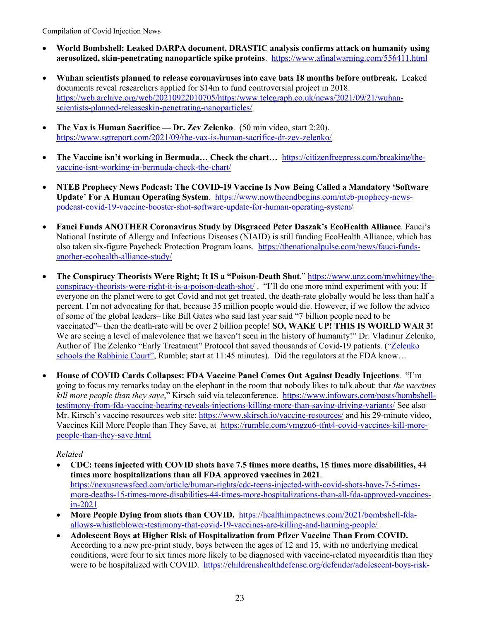- **World Bombshell: Leaked DARPA document, DRASTIC analysis confirms attack on humanity using aerosolized, skin-penetrating nanoparticle spike proteins**. <https://www.afinalwarning.com/556411.html>
- **Wuhan scientists planned to release coronaviruses into cave bats 18 months before outbreak.** Leaked documents reveal researchers applied for \$14m to fund controversial project in 2018. [https://web.archive.org/web/20210922010705/https:/www.telegraph.co.uk/news/2021/09/21/wuhan](https://web.archive.org/web/20210922010705/https:/www.telegraph.co.uk/news/2021/09/21/wuhan-scientists-planned-releaseskin-penetrating-nanoparticles/)[scientists-planned-releaseskin-penetrating-nanoparticles/](https://web.archive.org/web/20210922010705/https:/www.telegraph.co.uk/news/2021/09/21/wuhan-scientists-planned-releaseskin-penetrating-nanoparticles/)
- **The Vax is Human Sacrifice — Dr. Zev Zelenko**. (50 min video, start 2:20). <https://www.sgtreport.com/2021/09/the-vax-is-human-sacrifice-dr-zev-zelenko/>
- **The Vaccine isn't working in Bermuda… Check the chart…** [https://citizenfreepress.com/breaking/the](https://citizenfreepress.com/breaking/the-vaccine-isnt-working-in-bermuda-check-the-chart/)[vaccine-isnt-working-in-bermuda-check-the-chart/](https://citizenfreepress.com/breaking/the-vaccine-isnt-working-in-bermuda-check-the-chart/)
- **NTEB Prophecy News Podcast: The COVID-19 Vaccine Is Now Being Called a Mandatory 'Software Update' For A Human Operating System**. [https://www.nowtheendbegins.com/nteb-prophecy-news](https://www.nowtheendbegins.com/nteb-prophecy-news-podcast-covid-19-vaccine-booster-shot-software-update-for-human-operating-system/)[podcast-covid-19-vaccine-booster-shot-software-update-for-human-operating-system/](https://www.nowtheendbegins.com/nteb-prophecy-news-podcast-covid-19-vaccine-booster-shot-software-update-for-human-operating-system/)
- **Fauci Funds ANOTHER Coronavirus Study by Disgraced Peter Daszak's EcoHealth Alliance**. Fauci's National Institute of Allergy and Infectious Diseases (NIAID) is still funding EcoHealth Alliance, which has also taken six-figure Paycheck Protection Program loans. [https://thenationalpulse.com/news/fauci-funds](https://thenationalpulse.com/news/fauci-funds-another-ecohealth-alliance-study/)[another-ecohealth-alliance-study/](https://thenationalpulse.com/news/fauci-funds-another-ecohealth-alliance-study/)
- **The Conspiracy Theorists Were Right; It IS a "Poison-Death Shot**," [https://www.unz.com/mwhitney/the](https://www.unz.com/mwhitney/the-conspiracy-theorists-were-right-it-is-a-poison-death-shot/)[conspiracy-theorists-were-right-it-is-a-poison-death-shot/](https://www.unz.com/mwhitney/the-conspiracy-theorists-were-right-it-is-a-poison-death-shot/) . "I'll do one more mind experiment with you: If everyone on the planet were to get Covid and not get treated, the death-rate globally would be less than half a percent. I'm not advocating for that, because 35 million people would die. However, if we follow the advice of some of the global leaders– like Bill Gates who said last year said "7 billion people need to be vaccinated"– then the death-rate will be over 2 billion people! **SO, WAKE UP! THIS IS WORLD WAR 3!**  We are seeing a level of malevolence that we haven't seen in the history of humanity!" Dr. Vladimir Zelenko, Author of The Zelenko "Early Treatment" Protocol that saved thousands of Covid-19 patients. [\("Zelenko](https://rumble.com/vkqs1o-dr.-zelenko-schools-israeli-rabbinic-court..html)  [schools the Rabbinic Court",](https://rumble.com/vkqs1o-dr.-zelenko-schools-israeli-rabbinic-court..html) Rumble; start at 11:45 minutes). Did the regulators at the FDA know…
- **House of COVID Cards Collapses: FDA Vaccine Panel Comes Out Against Deadly Injections**. "I'm going to focus my remarks today on the elephant in the room that nobody likes to talk about: that *the vaccines kill more people than they save*," Kirsch said via teleconference. [https://www.infowars.com/posts/bombshell](https://www.infowars.com/posts/bombshell-testimony-from-fda-vaccine-hearing-reveals-injections-killing-more-than-saving-driving-variants/)[testimony-from-fda-vaccine-hearing-reveals-injections-killing-more-than-saving-driving-variants/](https://www.infowars.com/posts/bombshell-testimony-from-fda-vaccine-hearing-reveals-injections-killing-more-than-saving-driving-variants/) See also Mr. Kirsch's vaccine resources web site:<https://www.skirsch.io/vaccine-resources/> and his 29-minute video, Vaccines Kill More People than They Save, at [https://rumble.com/vmgzu6-tfnt4-covid-vaccines-kill-more](https://rumble.com/vmgzu6-tfnt4-covid-vaccines-kill-more-people-than-they-save.html)[people-than-they-save.html](https://rumble.com/vmgzu6-tfnt4-covid-vaccines-kill-more-people-than-they-save.html)

- **CDC: teens injected with COVID shots have 7.5 times more deaths, 15 times more disabilities, 44 times more hospitalizations than all FDA approved vaccines in 2021**. [https://nexusnewsfeed.com/article/human-rights/cdc-teens-injected-with-covid-shots-have-7-5-times](https://nexusnewsfeed.com/article/human-rights/cdc-teens-injected-with-covid-shots-have-7-5-times-more-deaths-15-times-more-disabilities-44-times-more-hospitalizations-than-all-fda-approved-vaccines-in-2021)[more-deaths-15-times-more-disabilities-44-times-more-hospitalizations-than-all-fda-approved-vaccines](https://nexusnewsfeed.com/article/human-rights/cdc-teens-injected-with-covid-shots-have-7-5-times-more-deaths-15-times-more-disabilities-44-times-more-hospitalizations-than-all-fda-approved-vaccines-in-2021)[in-2021](https://nexusnewsfeed.com/article/human-rights/cdc-teens-injected-with-covid-shots-have-7-5-times-more-deaths-15-times-more-disabilities-44-times-more-hospitalizations-than-all-fda-approved-vaccines-in-2021)
- **More People Dying from shots than COVID.** [https://healthimpactnews.com/2021/bombshell-fda](https://healthimpactnews.com/2021/bombshell-fda-allows-whistleblower-testimony-that-covid-19-vaccines-are-killing-and-harming-people/)[allows-whistleblower-testimony-that-covid-19-vaccines-are-killing-and-harming-people/](https://healthimpactnews.com/2021/bombshell-fda-allows-whistleblower-testimony-that-covid-19-vaccines-are-killing-and-harming-people/)
- **Adolescent Boys at Higher Risk of Hospitalization from Pfizer Vaccine Than From COVID.**  According to a new pre-print study, boys between the ages of 12 and 15, with no underlying medical conditions, were four to six times more likely to be diagnosed with vaccine-related myocarditis than they were to be hospitalized with COVID. [https://childrenshealthdefense.org/defender/adolescent-boys-risk-](https://childrenshealthdefense.org/defender/adolescent-boys-risk-hospitalization-pfizer-vaccine/?utm_source=salsa&eType=EmailBlastContent&eId=3e832ec3-7645-406d-9c2b-6c63d885ac14)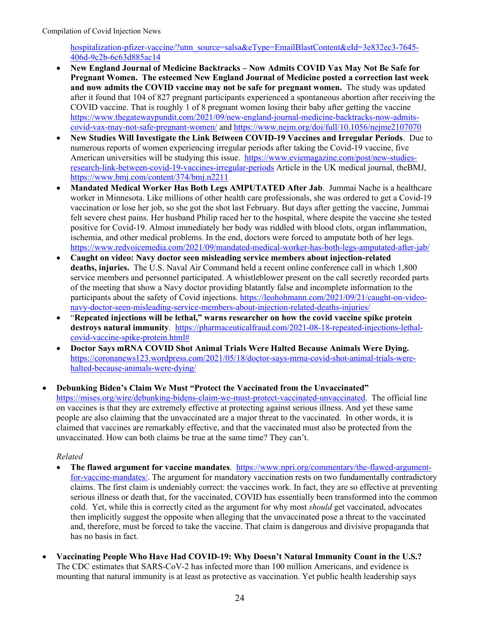[hospitalization-pfizer-vaccine/?utm\\_source=salsa&eType=EmailBlastContent&eId=3e832ec3-7645-](https://childrenshealthdefense.org/defender/adolescent-boys-risk-hospitalization-pfizer-vaccine/?utm_source=salsa&eType=EmailBlastContent&eId=3e832ec3-7645-406d-9c2b-6c63d885ac14) [406d-9c2b-6c63d885ac14](https://childrenshealthdefense.org/defender/adolescent-boys-risk-hospitalization-pfizer-vaccine/?utm_source=salsa&eType=EmailBlastContent&eId=3e832ec3-7645-406d-9c2b-6c63d885ac14)

- **New England Journal of Medicine Backtracks – Now Admits COVID Vax May Not Be Safe for Pregnant Women. The esteemed New England Journal of Medicine posted a correction last week and now admits the COVID vaccine may not be safe for pregnant women.** The study was updated after it found that 104 of 827 pregnant participants experienced a spontaneous abortion after receiving the COVID vaccine. That is roughly 1 of 8 pregnant women losing their baby after getting the vaccine [https://www.thegatewaypundit.com/2021/09/new-england-journal-medicine-backtracks-now-admits](https://www.thegatewaypundit.com/2021/09/new-england-journal-medicine-backtracks-now-admits-covid-vax-may-not-safe-pregnant-women/)[covid-vax-may-not-safe-pregnant-women/](https://www.thegatewaypundit.com/2021/09/new-england-journal-medicine-backtracks-now-admits-covid-vax-may-not-safe-pregnant-women/) and <https://www.nejm.org/doi/full/10.1056/nejme2107070>
- **New Studies Will Investigate the Link Between COVID-19 Vaccines and Irregular Periods**. Due to numerous reports of women experiencing irregular periods after taking the Covid-19 vaccine, five American universities will be studying this issue. [https://www.eviemagazine.com/post/new-studies](https://www.eviemagazine.com/post/new-studies-research-link-between-covid-19-vaccines-irregular-periods)[research-link-between-covid-19-vaccines-irregular-periods](https://www.eviemagazine.com/post/new-studies-research-link-between-covid-19-vaccines-irregular-periods) Article in the UK medical journal, theBMJ, <https://www.bmj.com/content/374/bmj.n2211>
- **Mandated Medical Worker Has Both Legs AMPUTATED After Jab**. Jummai Nache is a healthcare worker in Minnesota. Like millions of other health care professionals, she was ordered to get a Covid-19 vaccination or lose her job, so she got the shot last February. But days after getting the vaccine, Jummai felt severe chest pains. Her husband Philip raced her to the hospital, where despite the vaccine she tested positive for Covid-19. Almost immediately her body was riddled with blood clots, organ inflammation, ischemia, and other medical problems. In the end, doctors were forced to amputate both of her legs. <https://www.redvoicemedia.com/2021/09/mandated-medical-worker-has-both-legs-amputated-after-jab/>
- **Caught on video: Navy doctor seen misleading service members about injection-related deaths, injuries.** The U.S. Naval Air Command held a recent online conference call in which 1,800 service members and personnel participated. A whistleblower present on the call secretly recorded parts of the meeting that show a Navy doctor providing blatantly false and incomplete information to the participants about the safety of Covid injections. [https://leohohmann.com/2021/09/21/caught-on-video](https://leohohmann.com/2021/09/21/caught-on-video-navy-doctor-seen-misleading-service-members-about-injection-related-deaths-injuries/)[navy-doctor-seen-misleading-service-members-about-injection-related-deaths-injuries/](https://leohohmann.com/2021/09/21/caught-on-video-navy-doctor-seen-misleading-service-members-about-injection-related-deaths-injuries/)
- "**Repeated injections will be lethal," warns researcher on how the covid vaccine spike protein destroys natural immunity**. [https://pharmaceuticalfraud.com/2021-08-18-repeated-injections-lethal](https://pharmaceuticalfraud.com/2021-08-18-repeated-injections-lethal-covid-vaccine-spike-protein.html)[covid-vaccine-spike-protein.html#](https://pharmaceuticalfraud.com/2021-08-18-repeated-injections-lethal-covid-vaccine-spike-protein.html)
- **Doctor Says mRNA COVID Shot Animal Trials Were Halted Because Animals Were Dying.**  [https://coronanews123.wordpress.com/2021/05/18/doctor-says-mrna-covid-shot-animal-trials-were](https://coronanews123.wordpress.com/2021/05/18/doctor-says-mrna-covid-shot-animal-trials-were-halted-because-animals-were-dying/)[halted-because-animals-were-dying/](https://coronanews123.wordpress.com/2021/05/18/doctor-says-mrna-covid-shot-animal-trials-were-halted-because-animals-were-dying/)

• **Debunking Biden's Claim We Must "Protect the Vaccinated from the Unvaccinated"** [https://mises.org/wire/debunking-bidens-claim-we-must-protect-vaccinated-unvaccinated.](https://mises.org/wire/debunking-bidens-claim-we-must-protect-vaccinated-unvaccinated) The official line on vaccines is that they are extremely effective at protecting against serious illness. And yet these same people are also claiming that the unvaccinated are a major threat to the vaccinated. In other words, it is claimed that vaccines are remarkably effective, and that the vaccinated must also be protected from the unvaccinated. How can both claims be true at the same time? They can't.

- **The flawed argument for vaccine mandates**. [https://www.npri.org/commentary/the-flawed-argument](https://www.npri.org/commentary/the-flawed-argument-for-vaccine-mandates/)[for-vaccine-mandates/.](https://www.npri.org/commentary/the-flawed-argument-for-vaccine-mandates/) The argument for mandatory vaccination rests on two fundamentally contradictory claims. The first claim is undeniably correct: the vaccines work. In fact, they are so effective at preventing serious illness or death that, for the vaccinated, COVID has essentially been transformed into the common cold. Yet, while this is correctly cited as the argument for why most *should* get vaccinated, advocates then implicitly suggest the opposite when alleging that the unvaccinated pose a threat to the vaccinated and, therefore, must be forced to take the vaccine. That claim is dangerous and divisive propaganda that has no basis in fact.
- **Vaccinating People Who Have Had COVID-19: Why Doesn't Natural Immunity Count in the U.S.?**  The CDC estimates that SARS-CoV-2 has infected more than 100 million Americans, and evidence is mounting that natural immunity is at least as protective as vaccination. Yet public health leadership says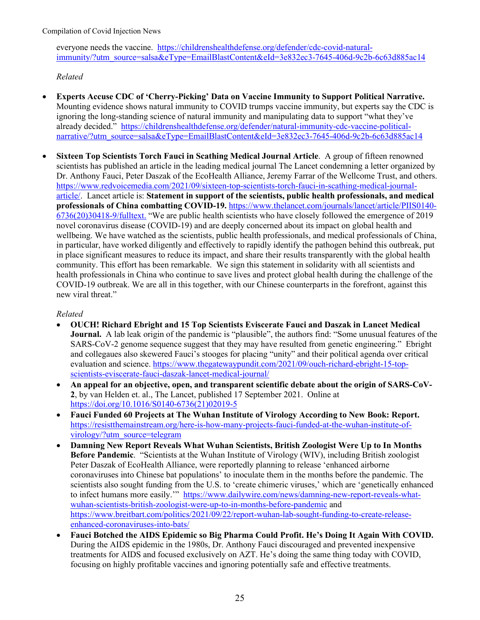everyone needs the vaccine. [https://childrenshealthdefense.org/defender/cdc-covid-natural](https://childrenshealthdefense.org/defender/cdc-covid-natural-immunity/?utm_source=salsa&eType=EmailBlastContent&eId=3e832ec3-7645-406d-9c2b-6c63d885ac14)[immunity/?utm\\_source=salsa&eType=EmailBlastContent&eId=3e832ec3-7645-406d-9c2b-6c63d885ac14](https://childrenshealthdefense.org/defender/cdc-covid-natural-immunity/?utm_source=salsa&eType=EmailBlastContent&eId=3e832ec3-7645-406d-9c2b-6c63d885ac14)

*Related*

- **Experts Accuse CDC of 'Cherry-Picking' Data on Vaccine Immunity to Support Political Narrative.**  Mounting evidence shows natural immunity to COVID trumps vaccine immunity, but experts say the CDC is ignoring the long-standing science of natural immunity and manipulating data to support "what they've already decided." [https://childrenshealthdefense.org/defender/natural-immunity-cdc-vaccine-political](https://childrenshealthdefense.org/defender/natural-immunity-cdc-vaccine-political-narrative/?utm_source=salsa&eType=EmailBlastContent&eId=3e832ec3-7645-406d-9c2b-6c63d885ac14)[narrative/?utm\\_source=salsa&eType=EmailBlastContent&eId=3e832ec3-7645-406d-9c2b-6c63d885ac14](https://childrenshealthdefense.org/defender/natural-immunity-cdc-vaccine-political-narrative/?utm_source=salsa&eType=EmailBlastContent&eId=3e832ec3-7645-406d-9c2b-6c63d885ac14)
- **Sixteen Top Scientists Torch Fauci in Scathing Medical Journal Article**. A group of fifteen renowned scientists has published an article in the leading medical journal The Lancet condemning a letter organized by Dr. Anthony Fauci, Peter Daszak of the EcoHealth Alliance, Jeremy Farrar of the Wellcome Trust, and others. [https://www.redvoicemedia.com/2021/09/sixteen-top-scientists-torch-fauci-in-scathing-medical-journal](https://www.redvoicemedia.com/2021/09/sixteen-top-scientists-torch-fauci-in-scathing-medical-journal-article/)[article/.](https://www.redvoicemedia.com/2021/09/sixteen-top-scientists-torch-fauci-in-scathing-medical-journal-article/) Lancet article is: **Statement in support of the scientists, public health professionals, and medical professionals of China combatting COVID-19.** [https://www.thelancet.com/journals/lancet/article/PIIS0140-](https://www.thelancet.com/journals/lancet/article/PIIS0140-6736(20)30418-9/fulltext) [6736\(20\)30418-9/fulltext.](https://www.thelancet.com/journals/lancet/article/PIIS0140-6736(20)30418-9/fulltext) "We are public health scientists who have closely followed the emergence of 2019 novel coronavirus disease (COVID-19) and are deeply concerned about its impact on global health and wellbeing. We have watched as the scientists, public health professionals, and medical professionals of China, in particular, have worked diligently and effectively to rapidly identify the pathogen behind this outbreak, put in place significant measures to reduce its impact, and share their results transparently with the global health community. This effort has been remarkable. We sign this statement in solidarity with all scientists and health professionals in China who continue to save lives and protect global health during the challenge of the COVID-19 outbreak. We are all in this together, with our Chinese counterparts in the forefront, against this new viral threat."

- **OUCH! Richard Ebright and 15 Top Scientists Eviscerate Fauci and Daszak in Lancet Medical Journal.** A lab leak origin of the pandemic is "plausible", the authors find: "Some unusual features of the SARS-CoV-2 genome sequence suggest that they may have resulted from genetic engineering." Ebright and collegaues also skewered Fauci's stooges for placing "unity" and their political agenda over critical evaluation and science. [https://www.thegatewaypundit.com/2021/09/ouch-richard-ebright-15-top](https://www.thegatewaypundit.com/2021/09/ouch-richard-ebright-15-top-scientists-eviscerate-fauci-daszak-lancet-medical-journal/)[scientists-eviscerate-fauci-daszak-lancet-medical-journal/](https://www.thegatewaypundit.com/2021/09/ouch-richard-ebright-15-top-scientists-eviscerate-fauci-daszak-lancet-medical-journal/)
- **An appeal for an objective, open, and transparent scientific debate about the origin of SARS-CoV-2**, by van Helden et. al., The Lancet, published 17 September 2021. Online at [https://doi.org/10.1016/S0140-6736\(21\)02019-5](https://doi.org/10.1016/S0140-6736(21)02019-5)
- **Fauci Funded 60 Projects at The Wuhan Institute of Virology According to New Book: Report.** [https://resistthemainstream.org/here-is-how-many-projects-fauci-funded-at-the-wuhan-institute-of](https://resistthemainstream.org/here-is-how-many-projects-fauci-funded-at-the-wuhan-institute-of-virology/?utm_source=telegram)[virology/?utm\\_source=telegram](https://resistthemainstream.org/here-is-how-many-projects-fauci-funded-at-the-wuhan-institute-of-virology/?utm_source=telegram)
- **Damning New Report Reveals What Wuhan Scientists, British Zoologist Were Up to In Months Before Pandemic**. "Scientists at the Wuhan Institute of Virology (WIV), including British zoologist Peter Daszak of EcoHealth Alliance, were reportedly planning to release 'enhanced airborne coronaviruses into Chinese bat populations' to inoculate them in the months before the pandemic. The scientists also sought funding from the U.S. to 'create chimeric viruses,' which are 'genetically enhanced to infect humans more easily."" [https://www.dailywire.com/news/damning-new-report-reveals-what](https://www.dailywire.com/news/damning-new-report-reveals-what-wuhan-scientists-british-zoologist-were-up-to-in-months-before-pandemic)[wuhan-scientists-british-zoologist-were-up-to-in-months-before-pandemic](https://www.dailywire.com/news/damning-new-report-reveals-what-wuhan-scientists-british-zoologist-were-up-to-in-months-before-pandemic) and [https://www.breitbart.com/politics/2021/09/22/report-wuhan-lab-sought-funding-to-create-release](https://www.breitbart.com/politics/2021/09/22/report-wuhan-lab-sought-funding-to-create-release-enhanced-coronaviruses-into-bats/)[enhanced-coronaviruses-into-bats/](https://www.breitbart.com/politics/2021/09/22/report-wuhan-lab-sought-funding-to-create-release-enhanced-coronaviruses-into-bats/)
- **Fauci Botched the AIDS Epidemic so Big Pharma Could Profit. He's Doing It Again With COVID.**  During the AIDS epidemic in the 1980s, Dr. Anthony Fauci discouraged and prevented inexpensive treatments for AIDS and focused exclusively on AZT. He's doing the same thing today with COVID, focusing on highly profitable vaccines and ignoring potentially safe and effective treatments.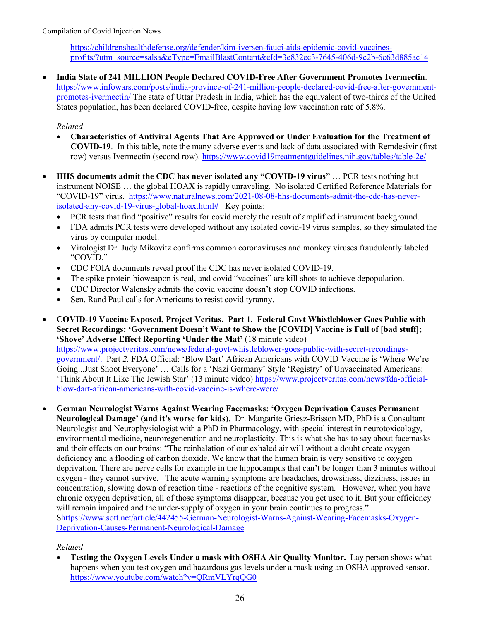[https://childrenshealthdefense.org/defender/kim-iversen-fauci-aids-epidemic-covid-vaccines](https://childrenshealthdefense.org/defender/kim-iversen-fauci-aids-epidemic-covid-vaccines-profits/?utm_source=salsa&eType=EmailBlastContent&eId=3e832ec3-7645-406d-9c2b-6c63d885ac14)[profits/?utm\\_source=salsa&eType=EmailBlastContent&eId=3e832ec3-7645-406d-9c2b-6c63d885ac14](https://childrenshealthdefense.org/defender/kim-iversen-fauci-aids-epidemic-covid-vaccines-profits/?utm_source=salsa&eType=EmailBlastContent&eId=3e832ec3-7645-406d-9c2b-6c63d885ac14)

• **India State of 241 MILLION People Declared COVID-Free After Government Promotes Ivermectin**. [https://www.infowars.com/posts/india-province-of-241-million-people-declared-covid-free-after-government](https://www.infowars.com/posts/india-province-of-241-million-people-declared-covid-free-after-government-promotes-ivermectin/)[promotes-ivermectin/](https://www.infowars.com/posts/india-province-of-241-million-people-declared-covid-free-after-government-promotes-ivermectin/) The state of Uttar Pradesh in India, which has the equivalent of two-thirds of the United States population, has been declared COVID-free, despite having low vaccination rate of 5.8%.

## *Related*

- **Characteristics of Antiviral Agents That Are Approved or Under Evaluation for the Treatment of COVID-19**. In this table, note the many adverse events and lack of data associated with Remdesivir (first row) versus Ivermectin (second row).<https://www.covid19treatmentguidelines.nih.gov/tables/table-2e/>
- **HHS documents admit the CDC has never isolated any "COVID-19 virus"** … PCR tests nothing but instrument NOISE … the global HOAX is rapidly unraveling. No isolated Certified Reference Materials for "COVID-19" virus. [https://www.naturalnews.com/2021-08-08-hhs-documents-admit-the-cdc-has-never](https://www.naturalnews.com/2021-08-08-hhs-documents-admit-the-cdc-has-never-isolated-any-covid-19-virus-global-hoax.html)[isolated-any-covid-19-virus-global-hoax.html#](https://www.naturalnews.com/2021-08-08-hhs-documents-admit-the-cdc-has-never-isolated-any-covid-19-virus-global-hoax.html) Key points:
	- PCR tests that find "positive" results for covid merely the result of amplified instrument background.
	- FDA admits PCR tests were developed without any isolated covid-19 virus samples, so they simulated the virus by computer model.
	- Virologist Dr. Judy Mikovitz confirms common coronaviruses and monkey viruses fraudulently labeled "COVID."
	- CDC FOIA documents reveal proof the CDC has never isolated COVID-19.
	- The spike protein bioweapon is real, and covid "vaccines" are kill shots to achieve depopulation.
	- CDC Director Walensky admits the covid vaccine doesn't stop COVID infections.
	- Sen. Rand Paul calls for Americans to resist covid tyranny.
- **COVID-19 Vaccine Exposed, Project Veritas. Part 1. Federal Govt Whistleblower Goes Public with Secret Recordings: 'Government Doesn't Want to Show the [COVID] Vaccine is Full of [bad stuff]; 'Shove' Adverse Effect Reporting 'Under the Mat'** (18 minute video)

[https://www.projectveritas.com/news/federal-govt-whistleblower-goes-public-with-secret-recordings](https://www.projectveritas.com/news/federal-govt-whistleblower-goes-public-with-secret-recordings-government/)[government/.](https://www.projectveritas.com/news/federal-govt-whistleblower-goes-public-with-secret-recordings-government/) Part *2.* FDA Official: 'Blow Dart' African Americans with COVID Vaccine is 'Where We're Going...Just Shoot Everyone' … Calls for a 'Nazi Germany' Style 'Registry' of Unvaccinated Americans: 'Think About It Like The Jewish Star' (13 minute video) [https://www.projectveritas.com/news/fda-official](https://www.projectveritas.com/news/fda-official-blow-dart-african-americans-with-covid-vaccine-is-where-were/)[blow-dart-african-americans-with-covid-vaccine-is-where-were/](https://www.projectveritas.com/news/fda-official-blow-dart-african-americans-with-covid-vaccine-is-where-were/)

• **German Neurologist Warns Against Wearing Facemasks: 'Oxygen Deprivation Causes Permanent Neurological Damage' (and it's worse for kids)**. Dr. Margarite Griesz-Brisson MD, PhD is a Consultant Neurologist and Neurophysiologist with a PhD in Pharmacology, with special interest in neurotoxicology, environmental medicine, neuroregeneration and neuroplasticity. This is what she has to say about facemasks and their effects on our brains: "The reinhalation of our exhaled air will without a doubt create oxygen deficiency and a flooding of carbon dioxide. We know that the human brain is very sensitive to oxygen deprivation. There are nerve cells for example in the hippocampus that can't be longer than 3 minutes without oxygen - they cannot survive. The acute warning symptoms are headaches, drowsiness, dizziness, issues in concentration, slowing down of reaction time - reactions of the cognitive system. However, when you have chronic oxygen deprivation, all of those symptoms disappear, because you get used to it. But your efficiency will remain impaired and the under-supply of oxygen in your brain continues to progress." [Shttps://www.sott.net/article/442455-German-Neurologist-Warns-Against-Wearing-Facemasks-Oxygen-](https://www.sott.net/article/442455-German-Neurologist-Warns-Against-Wearing-Facemasks-Oxygen-Deprivation-Causes-Permanent-Neurological-Damage)[Deprivation-Causes-Permanent-Neurological-Damage](https://www.sott.net/article/442455-German-Neurologist-Warns-Against-Wearing-Facemasks-Oxygen-Deprivation-Causes-Permanent-Neurological-Damage)

## *Related*

• **Testing the Oxygen Levels Under a mask with OSHA Air Quality Monitor.** Lay person shows what happens when you test oxygen and hazardous gas levels under a mask using an OSHA approved sensor. <https://www.youtube.com/watch?v=QRmVLYrqQG0>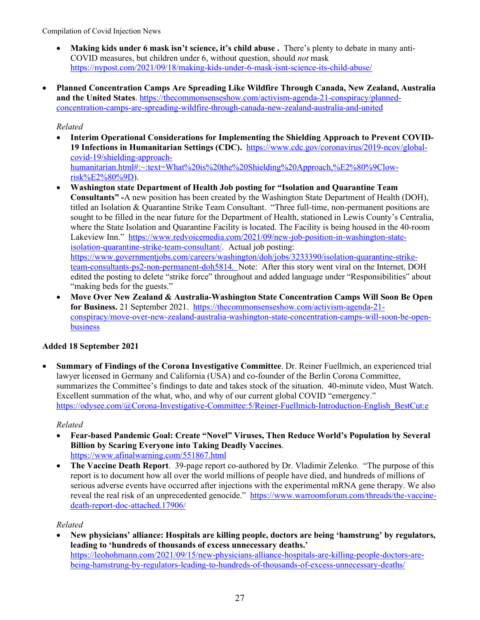- **Making kids under 6 mask isn't science, it's child abuse .** There's plenty to debate in many anti-COVID measures, but children under 6, without question, should *not* mask <https://nypost.com/2021/09/18/making-kids-under-6-mask-isnt-science-its-child-abuse/>
- **Planned Concentration Camps Are Spreading Like Wildfire Through Canada, New Zealand, Australia and the United States**. [https://thecommonsenseshow.com/activism-agenda-21-conspiracy/planned](https://thecommonsenseshow.com/activism-agenda-21-conspiracy/planned-concentration-camps-are-spreading-wildfire-through-canada-new-zealand-australia-and-united)[concentration-camps-are-spreading-wildfire-through-canada-new-zealand-australia-and-united](https://thecommonsenseshow.com/activism-agenda-21-conspiracy/planned-concentration-camps-are-spreading-wildfire-through-canada-new-zealand-australia-and-united)

## *Related*

- **Interim Operational Considerations for Implementing the Shielding Approach to Prevent COVID-19 Infections in Humanitarian Settings (CDC).** [https://www.cdc.gov/coronavirus/2019-ncov/global](https://www.cdc.gov/coronavirus/2019-ncov/global-covid-19/shielding-approach-humanitarian.html#:%7E:text=What%20is%20the%20Shielding%20Approach,%E2%80%9Clow-risk%E2%80%9D)[covid-19/shielding-approach](https://www.cdc.gov/coronavirus/2019-ncov/global-covid-19/shielding-approach-humanitarian.html#:%7E:text=What%20is%20the%20Shielding%20Approach,%E2%80%9Clow-risk%E2%80%9D)[humanitarian.html#:~:text=What%20is%20the%20Shielding%20Approach,%E2%80%9Clow](https://www.cdc.gov/coronavirus/2019-ncov/global-covid-19/shielding-approach-humanitarian.html#:%7E:text=What%20is%20the%20Shielding%20Approach,%E2%80%9Clow-risk%E2%80%9D)[risk%E2%80%9D\)](https://www.cdc.gov/coronavirus/2019-ncov/global-covid-19/shielding-approach-humanitarian.html#:%7E:text=What%20is%20the%20Shielding%20Approach,%E2%80%9Clow-risk%E2%80%9D).
- **Washington state Department of Health Job posting for "Isolation and Quarantine Team Consultants" -**A new position has been created by the Washington State Department of Health (DOH), titled an [Isolation & Quarantine Strike](https://www.governmentjobs.com/careers/washington/doh/jobs/3233390/isolation-quarantine-strike-team-consultants-ps2-non-permanent-doh5814) Team Consultant. "Three full-time, non-permanent positions are sought to be filled in the near future for the Department of Health, stationed in Lewis County's Centralia, where the State Isolation and Quarantine Facility is located. The Facility is being housed in the [40-room](https://news.yahoo.com/controversial-lakeview-inn-covid-19-035900270.html) [Lakeview Inn.](https://news.yahoo.com/controversial-lakeview-inn-covid-19-035900270.html)" [https://www.redvoicemedia.com/2021/09/new-job-position-in-washington-state](https://www.redvoicemedia.com/2021/09/new-job-position-in-washington-state-isolation-quarantine-strike-team-consultant/)[isolation-quarantine-strike-team-consultant/.](https://www.redvoicemedia.com/2021/09/new-job-position-in-washington-state-isolation-quarantine-strike-team-consultant/) Actual job posting: [https://www.governmentjobs.com/careers/washington/doh/jobs/3233390/isolation-quarantine-strike](https://www.governmentjobs.com/careers/washington/doh/jobs/3233390/isolation-quarantine-strike-team-consultants-ps2-non-permanent-doh5814)[team-consultants-ps2-non-permanent-doh5814.](https://www.governmentjobs.com/careers/washington/doh/jobs/3233390/isolation-quarantine-strike-team-consultants-ps2-non-permanent-doh5814) Note: After this story went viral on the Internet, DOH edited the posting to delete "strike force" throughout and added language under "Responsibilities" about "making beds for the guests."
- **Move Over New Zealand & Australia-Washington State Concentration Camps Will Soon Be Open for Business.** 21 September 2021. [https://thecommonsenseshow.com/activism-agenda-21](https://thecommonsenseshow.com/activism-agenda-21-conspiracy/move-over-new-zealand-australia-washington-state-concentration-camps-will-soon-be-open-business) [conspiracy/move-over-new-zealand-australia-washington-state-concentration-camps-will-soon-be-open](https://thecommonsenseshow.com/activism-agenda-21-conspiracy/move-over-new-zealand-australia-washington-state-concentration-camps-will-soon-be-open-business)[business](https://thecommonsenseshow.com/activism-agenda-21-conspiracy/move-over-new-zealand-australia-washington-state-concentration-camps-will-soon-be-open-business)

## **Added 18 September 2021**

• **Summary of Findings of the Corona Investigative Committee**. Dr. Reiner Fuellmich, an experienced trial lawyer licensed in Germany and California (USA) and co-founder of the Berlin Corona Committee, summarizes the Committee's findings to date and takes stock of the situation. 40-minute video, Must Watch. Excellent summation of the what, who, and why of our current global COVID "emergency." [https://odysee.com/@Corona-Investigative-Committee:5/Reiner-Fuellmich-Introduction-English\\_BestCut:e](https://odysee.com/@Corona-Investigative-Committee:5/Reiner-Fuellmich-Introduction-English_BestCut:e)

#### *Related*

- **Fear-based Pandemic Goal: Create "Novel" Viruses, Then Reduce World's Population by Several Billion by Scaring Everyone into Taking Deadly Vaccines**. <https://www.afinalwarning.com/551867.html>
- **The Vaccine Death Report**. 39-page report co-authored by Dr. Vladimir Zelenko. "The purpose of this report is to document how all over the world millions of people have died, and hundreds of millions of serious adverse events have occurred after injections with the experimental mRNA gene therapy. We also reveal the real risk of an unprecedented genocide." [https://www.warroomforum.com/threads/the-vaccine](https://www.warroomforum.com/threads/the-vaccine-death-report-doc-attached.17906/)[death-report-doc-attached.17906/](https://www.warroomforum.com/threads/the-vaccine-death-report-doc-attached.17906/)

#### *Related*

• **New physicians' alliance: Hospitals are killing people, doctors are being 'hamstrung' by regulators, leading to 'hundreds of thousands of excess unnecessary deaths.'** [https://leohohmann.com/2021/09/15/new-physicians-alliance-hospitals-are-killing-people-doctors-are-](https://leohohmann.com/2021/09/15/new-physicians-alliance-hospitals-are-killing-people-doctors-are-being-hamstrung-by-regulators-leading-to-hundreds-of-thousands-of-excess-unnecessary-deaths/)

[being-hamstrung-by-regulators-leading-to-hundreds-of-thousands-of-excess-unnecessary-deaths/](https://leohohmann.com/2021/09/15/new-physicians-alliance-hospitals-are-killing-people-doctors-are-being-hamstrung-by-regulators-leading-to-hundreds-of-thousands-of-excess-unnecessary-deaths/)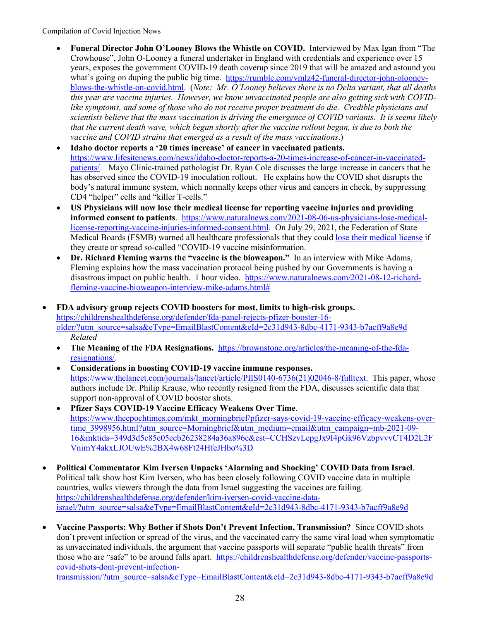- **Funeral Director John O'Looney Blows the Whistle on COVID.** Interviewed by Max Igan from "The Crowhouse", John O-Looney a funeral undertaker in England with credentials and experience over 15 years, exposes the government COVID-19 death coverup since 2019 that will be amazed and astound you what's going on duping the public big time. [https://rumble.com/vmlz42-funeral-director-john-olooney](https://rumble.com/vmlz42-funeral-director-john-olooney-blows-the-whistle-on-covid.html)[blows-the-whistle-on-covid.html.](https://rumble.com/vmlz42-funeral-director-john-olooney-blows-the-whistle-on-covid.html) (*Note: Mr. O'Looney believes there is no Delta variant, that all deaths this year are vaccine injuries. However, we know unvaccinated people are also getting sick with COVIDlike symptoms, and some of those who do not receive proper treatment do die. Credible physicians and scientists believe that the mass vaccination is driving the emergence of COVID variants. It is seems likely that the current death wave, which began shortly after the vaccine rollout began, is due to both the vaccine and COVID strains that emerged as a result of the mass vaccinations*.)
- **Idaho doctor reports a '20 times increase' of cancer in vaccinated patients.**  [https://www.lifesitenews.com/news/idaho-doctor-reports-a-20-times-increase-of-cancer-in-vaccinated](https://www.lifesitenews.com/news/idaho-doctor-reports-a-20-times-increase-of-cancer-in-vaccinated-patients/)[patients/.](https://www.lifesitenews.com/news/idaho-doctor-reports-a-20-times-increase-of-cancer-in-vaccinated-patients/) Mayo Clinic-trained pathologist Dr. Ryan Cole discusses the large increase in cancers that he has observed since the COVID-19 inoculation rollout. He explains how the COVID shot disrupts the body's natural immune system, which normally keeps other virus and cancers in check, by suppressing CD4 "helper" cells and "killer T-cells."
- **US Physicians will now lose their medical license for reporting vaccine injuries and providing informed consent to patients**. [https://www.naturalnews.com/2021-08-06-us-physicians-lose-medical](https://www.naturalnews.com/2021-08-06-us-physicians-lose-medical-license-reporting-vaccine-injuries-informed-consent.html)[license-reporting-vaccine-injuries-informed-consent.html.](https://www.naturalnews.com/2021-08-06-us-physicians-lose-medical-license-reporting-vaccine-injuries-informed-consent.html) On July 29, 2021, the Federation of State Medical Boards (FSMB) warned all healthcare professionals that they could [lose their medical license](https://www.beckershospitalreview.com/digital-marketing/physicians-who-post-covid-19-vaccine-misinformation-may-lose-license-medical-panel-says.html) if they create or spread so-called "COVID-19 vaccine misinformation.
- **Dr. Richard Fleming warns the "vaccine is the bioweapon."** In an interview with Mike Adams, Fleming explains how the mass vaccination protocol being pushed by our Governments is having a disastrous impact on public health. 1 hour video. [https://www.naturalnews.com/2021-08-12-richard](https://www.naturalnews.com/2021-08-12-richard-fleming-vaccine-bioweapon-interview-mike-adams.html)[fleming-vaccine-bioweapon-interview-mike-adams.html#](https://www.naturalnews.com/2021-08-12-richard-fleming-vaccine-bioweapon-interview-mike-adams.html)
- **FDA advisory group rejects COVID boosters for most, limits to high-risk groups.**  [https://childrenshealthdefense.org/defender/fda-panel-rejects-pfizer-booster-16](https://childrenshealthdefense.org/defender/fda-panel-rejects-pfizer-booster-16-older/?utm_source=salsa&eType=EmailBlastContent&eId=2c31d943-8dbc-4171-9343-b7acff9a8e9d) [older/?utm\\_source=salsa&eType=EmailBlastContent&eId=2c31d943-8dbc-4171-9343-b7acff9a8e9d](https://childrenshealthdefense.org/defender/fda-panel-rejects-pfizer-booster-16-older/?utm_source=salsa&eType=EmailBlastContent&eId=2c31d943-8dbc-4171-9343-b7acff9a8e9d) *Related*
	- The Meaning of the FDA Resignations. [https://brownstone.org/articles/the-meaning-of-the-fda](https://brownstone.org/articles/the-meaning-of-the-fda-resignations/)[resignations/.](https://brownstone.org/articles/the-meaning-of-the-fda-resignations/)
	- **Considerations in boosting COVID-19 vaccine immune responses.** [https://www.thelancet.com/journals/lancet/article/PIIS0140-6736\(21\)02046-8/fulltext.](https://www.thelancet.com/journals/lancet/article/PIIS0140-6736(21)02046-8/fulltext) This paper, whose authors include Dr. Philip Krause, who recently resigned from the FDA, discusses scientific data that support non-approval of COVID booster shots.
	- **Pfizer Says COVID-19 Vaccine Efficacy Weakens Over Time**. [https://www.theepochtimes.com/mkt\\_morningbrief/pfizer-says-covid-19-vaccine-efficacy-weakens-over](https://www.theepochtimes.com/mkt_morningbrief/pfizer-says-covid-19-vaccine-efficacy-weakens-over-time_3998956.html?utm_source=Morningbrief&utm_medium=email&utm_campaign=mb-2021-09-16&mktids=349d3d5c85e05ecb26238284a36a896c&est=CCHSzvLepgJx9I4pGk96VzbpvvvCT4D2L2FVnimY4akxLJOUwE%2BX4w68Ft24HfeJHbo%3D)[time\\_3998956.html?utm\\_source=Morningbrief&utm\\_medium=email&utm\\_campaign=mb-2021-09-](https://www.theepochtimes.com/mkt_morningbrief/pfizer-says-covid-19-vaccine-efficacy-weakens-over-time_3998956.html?utm_source=Morningbrief&utm_medium=email&utm_campaign=mb-2021-09-16&mktids=349d3d5c85e05ecb26238284a36a896c&est=CCHSzvLepgJx9I4pGk96VzbpvvvCT4D2L2FVnimY4akxLJOUwE%2BX4w68Ft24HfeJHbo%3D) [16&mktids=349d3d5c85e05ecb26238284a36a896c&est=CCHSzvLepgJx9I4pGk96VzbpvvvCT4D2L2F](https://www.theepochtimes.com/mkt_morningbrief/pfizer-says-covid-19-vaccine-efficacy-weakens-over-time_3998956.html?utm_source=Morningbrief&utm_medium=email&utm_campaign=mb-2021-09-16&mktids=349d3d5c85e05ecb26238284a36a896c&est=CCHSzvLepgJx9I4pGk96VzbpvvvCT4D2L2FVnimY4akxLJOUwE%2BX4w68Ft24HfeJHbo%3D) [VnimY4akxLJOUwE%2BX4w68Ft24HfeJHbo%3D](https://www.theepochtimes.com/mkt_morningbrief/pfizer-says-covid-19-vaccine-efficacy-weakens-over-time_3998956.html?utm_source=Morningbrief&utm_medium=email&utm_campaign=mb-2021-09-16&mktids=349d3d5c85e05ecb26238284a36a896c&est=CCHSzvLepgJx9I4pGk96VzbpvvvCT4D2L2FVnimY4akxLJOUwE%2BX4w68Ft24HfeJHbo%3D)
- **Political Commentator Kim Iversen Unpacks 'Alarming and Shocking' COVID Data from Israel**. Political talk show host Kim Iversen, who has been closely following COVID vaccine data in multiple countries, walks viewers through the data from Israel suggesting the vaccines are failing. [https://childrenshealthdefense.org/defender/kim-iversen-covid-vaccine-data](https://childrenshealthdefense.org/defender/kim-iversen-covid-vaccine-data-israel/?utm_source=salsa&eType=EmailBlastContent&eId=2c31d943-8dbc-4171-9343-b7acff9a8e9d)[israel/?utm\\_source=salsa&eType=EmailBlastContent&eId=2c31d943-8dbc-4171-9343-b7acff9a8e9d](https://childrenshealthdefense.org/defender/kim-iversen-covid-vaccine-data-israel/?utm_source=salsa&eType=EmailBlastContent&eId=2c31d943-8dbc-4171-9343-b7acff9a8e9d)
- **Vaccine Passports: Why Bother if Shots Don't Prevent Infection, Transmission?** Since COVID shots don't prevent infection or spread of the virus, and the vaccinated carry the same viral load when symptomatic as unvaccinated individuals, the argument that vaccine passports will separate "public health threats" from those who are "safe" to be around falls apart. [https://childrenshealthdefense.org/defender/vaccine-passports](https://childrenshealthdefense.org/defender/vaccine-passports-covid-shots-dont-prevent-infection-transmission/?utm_source=salsa&eType=EmailBlastContent&eId=2c31d943-8dbc-4171-9343-b7acff9a8e9d)[covid-shots-dont-prevent-infection-](https://childrenshealthdefense.org/defender/vaccine-passports-covid-shots-dont-prevent-infection-transmission/?utm_source=salsa&eType=EmailBlastContent&eId=2c31d943-8dbc-4171-9343-b7acff9a8e9d)

[transmission/?utm\\_source=salsa&eType=EmailBlastContent&eId=2c31d943-8dbc-4171-9343-b7acff9a8e9d](https://childrenshealthdefense.org/defender/vaccine-passports-covid-shots-dont-prevent-infection-transmission/?utm_source=salsa&eType=EmailBlastContent&eId=2c31d943-8dbc-4171-9343-b7acff9a8e9d)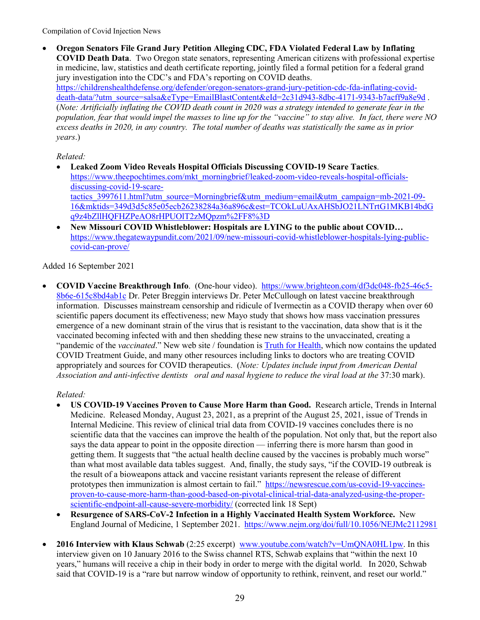• **Oregon Senators File Grand Jury Petition Alleging CDC, FDA Violated Federal Law by Inflating COVID Death Data**. Two Oregon state senators, representing American citizens with professional expertise in medicine, law, statistics and death certificate reporting, jointly filed a formal petition for a federal grand jury investigation into the CDC's and FDA's reporting on COVID deaths. [https://childrenshealthdefense.org/defender/oregon-senators-grand-jury-petition-cdc-fda-inflating-covid](https://childrenshealthdefense.org/defender/oregon-senators-grand-jury-petition-cdc-fda-inflating-covid-death-data/?utm_source=salsa&eType=EmailBlastContent&eId=2c31d943-8dbc-4171-9343-b7acff9a8e9d)[death-data/?utm\\_source=salsa&eType=EmailBlastContent&eId=2c31d943-8dbc-4171-9343-b7acff9a8e9d](https://childrenshealthdefense.org/defender/oregon-senators-grand-jury-petition-cdc-fda-inflating-covid-death-data/?utm_source=salsa&eType=EmailBlastContent&eId=2c31d943-8dbc-4171-9343-b7acff9a8e9d) . (*Note: Artificially inflating the COVID death count in 2020 was a strategy intended to generate fear in the population, fear that would impel the masses to line up for the "vaccine" to stay alive. In fact, there were NO excess deaths in 2020, in any country. The total number of deaths was statistically the same as in prior years*.)

*Related:*

- **Leaked Zoom Video Reveals Hospital Officials Discussing COVID-19 Scare Tactics**. [https://www.theepochtimes.com/mkt\\_morningbrief/leaked-zoom-video-reveals-hospital-officials](https://www.theepochtimes.com/mkt_morningbrief/leaked-zoom-video-reveals-hospital-officials-discussing-covid-19-scare-tactics_3997611.html?utm_source=Morningbrief&utm_medium=email&utm_campaign=mb-2021-09-16&mktids=349d3d5c85e05ecb26238284a36a896c&est=TCOkLuUAxAHSbJO21LNTrtG1MKB14bdGq9z4bZllHQFHZPeAO8rHPUOlT2zMQpzm%2FF8%3D)[discussing-covid-19-scare](https://www.theepochtimes.com/mkt_morningbrief/leaked-zoom-video-reveals-hospital-officials-discussing-covid-19-scare-tactics_3997611.html?utm_source=Morningbrief&utm_medium=email&utm_campaign=mb-2021-09-16&mktids=349d3d5c85e05ecb26238284a36a896c&est=TCOkLuUAxAHSbJO21LNTrtG1MKB14bdGq9z4bZllHQFHZPeAO8rHPUOlT2zMQpzm%2FF8%3D)[tactics\\_3997611.html?utm\\_source=Morningbrief&utm\\_medium=email&utm\\_campaign=mb-2021-09-](https://www.theepochtimes.com/mkt_morningbrief/leaked-zoom-video-reveals-hospital-officials-discussing-covid-19-scare-tactics_3997611.html?utm_source=Morningbrief&utm_medium=email&utm_campaign=mb-2021-09-16&mktids=349d3d5c85e05ecb26238284a36a896c&est=TCOkLuUAxAHSbJO21LNTrtG1MKB14bdGq9z4bZllHQFHZPeAO8rHPUOlT2zMQpzm%2FF8%3D) [16&mktids=349d3d5c85e05ecb26238284a36a896c&est=TCOkLuUAxAHSbJO21LNTrtG1MKB14bdG](https://www.theepochtimes.com/mkt_morningbrief/leaked-zoom-video-reveals-hospital-officials-discussing-covid-19-scare-tactics_3997611.html?utm_source=Morningbrief&utm_medium=email&utm_campaign=mb-2021-09-16&mktids=349d3d5c85e05ecb26238284a36a896c&est=TCOkLuUAxAHSbJO21LNTrtG1MKB14bdGq9z4bZllHQFHZPeAO8rHPUOlT2zMQpzm%2FF8%3D) [q9z4bZllHQFHZPeAO8rHPUOlT2zMQpzm%2FF8%3D](https://www.theepochtimes.com/mkt_morningbrief/leaked-zoom-video-reveals-hospital-officials-discussing-covid-19-scare-tactics_3997611.html?utm_source=Morningbrief&utm_medium=email&utm_campaign=mb-2021-09-16&mktids=349d3d5c85e05ecb26238284a36a896c&est=TCOkLuUAxAHSbJO21LNTrtG1MKB14bdGq9z4bZllHQFHZPeAO8rHPUOlT2zMQpzm%2FF8%3D)
- **New Missouri COVID Whistleblower: Hospitals are LYING to the public about COVID…** [https://www.thegatewaypundit.com/2021/09/new-missouri-covid-whistleblower-hospitals-lying-public](https://www.thegatewaypundit.com/2021/09/new-missouri-covid-whistleblower-hospitals-lying-public-covid-can-prove/)[covid-can-prove/](https://www.thegatewaypundit.com/2021/09/new-missouri-covid-whistleblower-hospitals-lying-public-covid-can-prove/)

Added 16 September 2021

• **COVID Vaccine Breakthrough Info**. (One-hour video). [https://www.brighteon.com/df3dc048-fb25-46c5-](https://www.brighteon.com/df3dc048-fb25-46c5-8b6e-615c8bd4ab1c) [8b6e-615c8bd4ab1c](https://www.brighteon.com/df3dc048-fb25-46c5-8b6e-615c8bd4ab1c) Dr. Peter Breggin interviews Dr. Peter McCullough on latest vaccine breakthrough information. Discusses mainstream censorship and ridicule of Ivermectin as a COVID therapy when over 60 scientific papers document its effectiveness; new Mayo study that shows how mass vaccination pressures emergence of a new dominant strain of the virus that is resistant to the vaccination, data show that is it the vaccinated becoming infected with and then shedding these new strains to the unvaccinated, creating a "pandemic of the *vaccinated*." New web site / foundation is **Truth for Health**, which now contains the updated COVID Treatment Guide, and many other resources including links to doctors who are treating COVID appropriately and sources for COVID therapeutics. (*Note: Updates include input from American Dental Association and anti-infective dentists oral and nasal hygiene to reduce the viral load at the* 37:30 mark).

- **US COVID-19 Vaccines Proven to Cause More Harm than Good.** Research article, Trends in Internal Medicine. Released Monday, August 23, 2021, as a preprint of the August 25, 2021, issue of Trends in Internal Medicine. This review of clinical trial data from COVID-19 vaccines concludes there is no scientific data that the vaccines can improve the health of the population. Not only that, but the report also says the data appear to point in the opposite direction — inferring there is more harsm than good in getting them. It suggests that "the actual health decline caused by the vaccines is probably much worse" than what most available data tables suggest. And, finally, the study says, "if the COVID-19 outbreak is the result of a bioweapons attack and vaccine resistant variants represent the release of different prototypes then immunization is almost certain to fail." [https://newsrescue.com/us-covid-19-vaccines](https://newsrescue.com/us-covid-19-vaccines-proven-to-cause-more-harm-than-good-based-on-pivotal-clinical-trial-data-analyzed-using-the-proper-scientific-endpoint-all-cause-severe-morbidity/)[proven-to-cause-more-harm-than-good-based-on-pivotal-clinical-trial-data-analyzed-using-the-proper](https://newsrescue.com/us-covid-19-vaccines-proven-to-cause-more-harm-than-good-based-on-pivotal-clinical-trial-data-analyzed-using-the-proper-scientific-endpoint-all-cause-severe-morbidity/)[scientific-endpoint-all-cause-severe-morbidity/](https://newsrescue.com/us-covid-19-vaccines-proven-to-cause-more-harm-than-good-based-on-pivotal-clinical-trial-data-analyzed-using-the-proper-scientific-endpoint-all-cause-severe-morbidity/) (corrected link 18 Sept)
- **Resurgence of SARS-CoV-2 Infection in a Highly Vaccinated Health System Workforce.** New England Journal of Medicine, 1 September 2021. <https://www.nejm.org/doi/full/10.1056/NEJMc2112981>
- **2016 Interview with Klaus Schwab** (2:25 excerpt) [www.youtube.com/watch?v=UmQNA0HL1pw.](http://www.youtube.com/watch?v=UmQNA0HL1pw) In this interview given on 10 January 2016 to the Swiss channel RTS, Schwab explains that "within the next 10 years," humans will receive a chip in their body in order to merge with the digital world. In 2020, Schwab said that COVID-19 is a "rare but narrow window of opportunity to rethink, reinvent, and reset our world."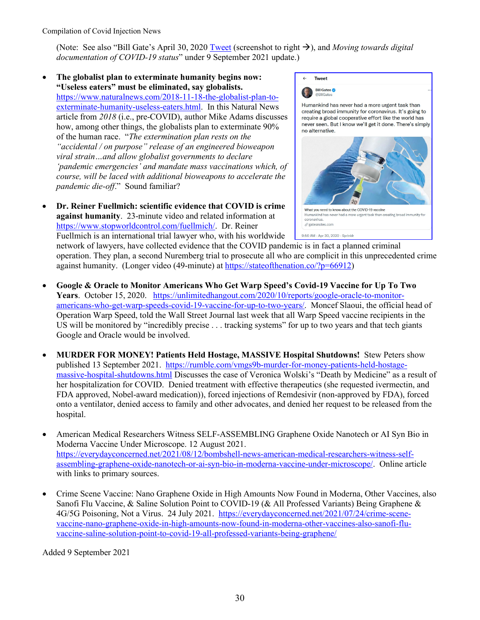(Note: See also "Bill Gate's April 30, 2020 [Tweet](https://twitter.com/BillGates/status/1255902245922709506) (screenshot to right  $\rightarrow$ ), and *Moving towards digital documentation of COVID-19 status*" under 9 September 2021 update.)

- **The globalist plan to exterminate humanity begins now: "Useless eaters" must be eliminated, say globalists.** [https://www.naturalnews.com/2018-11-18-the-globalist-plan-to](https://www.naturalnews.com/2018-11-18-the-globalist-plan-to-exterminate-humanity-useless-eaters.html)[exterminate-humanity-useless-eaters.html.](https://www.naturalnews.com/2018-11-18-the-globalist-plan-to-exterminate-humanity-useless-eaters.html) In this Natural News article from *2018* (i.e., pre-COVID), author Mike Adams discusses how, among other things, the globalists plan to exterminate 90% of the human race. "*The extermination plan rests on the "accidental / on purpose" release of an engineered bioweapon viral strain…and allow globalist governments to declare 'pandemic emergencies' and mandate mass vaccinations which, of course, will be laced with additional bioweapons to accelerate the pandemic die-off*." Sound familiar?
- **Dr. Reiner Fuellmich: scientific evidence that COVID is crime against humanity**. 23-minute video and related information at [https://www.stopworldcontrol.com/fuellmich/.](https://www.stopworldcontrol.com/fuellmich/) Dr. Reiner Fuellmich is an international trial lawyer who, with his worldwide



network of lawyers, have collected evidence that the COVID pandemic is in fact a planned criminal operation. They plan, a second Nuremberg trial to prosecute all who are complicit in this unprecedented crime against humanity. (Longer video (49-minute) at [https://stateofthenation.co/?p=66912\)](https://stateofthenation.co/?p=66912)

- **Google & Oracle to Monitor Americans Who Get Warp Speed's Covid-19 Vaccine for Up To Two Years**. October 15, 2020. [https://unlimitedhangout.com/2020/10/reports/google-oracle-to-monitor](https://unlimitedhangout.com/2020/10/reports/google-oracle-to-monitor-americans-who-get-warp-speeds-covid-19-vaccine-for-up-to-two-years/)[americans-who-get-warp-speeds-covid-19-vaccine-for-up-to-two-years/.](https://unlimitedhangout.com/2020/10/reports/google-oracle-to-monitor-americans-who-get-warp-speeds-covid-19-vaccine-for-up-to-two-years/) Moncef Slaoui, the official head of Operation Warp Speed, told the Wall Street Journal last week that all Warp Speed vaccine recipients in the US will be monitored by "incredibly precise . . . tracking systems" for up to two years and that tech giants Google and Oracle would be involved.
- **MURDER FOR MONEY! Patients Held Hostage, MASSIVE Hospital Shutdowns!** Stew Peters show published 13 September 2021. [https://rumble.com/vmgs9b-murder-for-money-patients-held-hostage](https://rumble.com/vmgs9b-murder-for-money-patients-held-hostage-massive-hospital-shutdowns.html)[massive-hospital-shutdowns.html](https://rumble.com/vmgs9b-murder-for-money-patients-held-hostage-massive-hospital-shutdowns.html) Discusses the case of Veronica Wolski's "Death by Medicine" as a result of her hospitalization for COVID. Denied treatment with effective therapeutics (she requested ivermectin, and FDA approved, Nobel-award medication)), forced injections of Remdesivir (non-approved by FDA), forced onto a ventilator, denied access to family and other advocates, and denied her request to be released from the hospital.
- American Medical Researchers Witness SELF-ASSEMBLING Graphene Oxide Nanotech or AI Syn Bio in Moderna Vaccine Under Microscope. 12 August 2021. [https://everydayconcerned.net/2021/08/12/bombshell-news-american-medical-researchers-witness-self](https://everydayconcerned.net/2021/08/12/bombshell-news-american-medical-researchers-witness-self-assembling-graphene-oxide-nanotech-or-ai-syn-bio-in-moderna-vaccine-under-microscope/)[assembling-graphene-oxide-nanotech-or-ai-syn-bio-in-moderna-vaccine-under-microscope/.](https://everydayconcerned.net/2021/08/12/bombshell-news-american-medical-researchers-witness-self-assembling-graphene-oxide-nanotech-or-ai-syn-bio-in-moderna-vaccine-under-microscope/) Online article with links to primary sources.
- Crime Scene Vaccine: Nano Graphene Oxide in High Amounts Now Found in Moderna, Other Vaccines, also Sanofi Flu Vaccine, & Saline Solution Point to COVID-19 (& All Professed Variants) Being Graphene & 4G/5G Poisoning, Not a Virus. 24 July 2021. [https://everydayconcerned.net/2021/07/24/crime-scene](https://everydayconcerned.net/2021/07/24/crime-scene-vaccine-nano-graphene-oxide-in-high-amounts-now-found-in-moderna-other-vaccines-also-sanofi-flu-vaccine-saline-solution-point-to-covid-19-all-professed-variants-being-graphene/)[vaccine-nano-graphene-oxide-in-high-amounts-now-found-in-moderna-other-vaccines-also-sanofi-flu](https://everydayconcerned.net/2021/07/24/crime-scene-vaccine-nano-graphene-oxide-in-high-amounts-now-found-in-moderna-other-vaccines-also-sanofi-flu-vaccine-saline-solution-point-to-covid-19-all-professed-variants-being-graphene/)[vaccine-saline-solution-point-to-covid-19-all-professed-variants-being-graphene/](https://everydayconcerned.net/2021/07/24/crime-scene-vaccine-nano-graphene-oxide-in-high-amounts-now-found-in-moderna-other-vaccines-also-sanofi-flu-vaccine-saline-solution-point-to-covid-19-all-professed-variants-being-graphene/)

Added 9 September 2021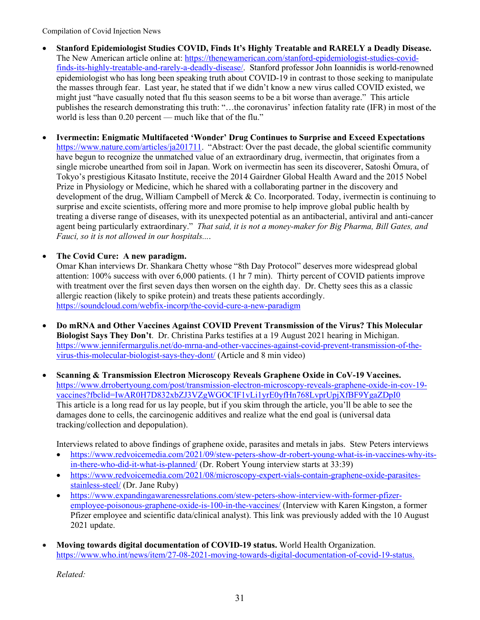- **Stanford Epidemiologist Studies COVID, Finds It's Highly Treatable and RARELY a Deadly Disease.** The New American article online at[: https://thenewamerican.com/stanford-epidemiologist-studies-covid](https://thenewamerican.com/stanford-epidemiologist-studies-covid-finds-its-highly-treatable-and-rarely-a-deadly-disease/)[finds-its-highly-treatable-and-rarely-a-deadly-disease/.](https://thenewamerican.com/stanford-epidemiologist-studies-covid-finds-its-highly-treatable-and-rarely-a-deadly-disease/) Stanford professor John Ioannidis is world-renowned epidemiologist who has long been speaking truth about COVID-19 in contrast to those seeking to manipulate the masses through fear. Last year, he stated that if we didn't know a new virus called COVID existed, we might just "have casually noted that flu this season seems to be a bit worse than average." This article publishes the research demonstrating this truth: "…the coronavirus' infection fatality rate (IFR) in most of the world is less than 0.20 percent — much like that of the flu."
- **Ivermectin: Enigmatic Multifaceted 'Wonder' Drug Continues to Surprise and Exceed Expectations** [https://www.nature.com/articles/ja201711.](https://na01.safelinks.protection.outlook.com/?url=https%3A%2F%2Fwww.nature.com%2Farticles%2Fja201711&data=04%7C01%7C%7C4bd0770738e546c3843008d971ac2063%7C84df9e7fe9f640afb435aaaaaaaaaaaa%7C1%7C0%7C637665806355000654%7CUnknown%7CTWFpbGZsb3d8eyJWIjoiMC4wLjAwMDAiLCJQIjoiV2luMzIiLCJBTiI6Ik1haWwiLCJXVCI6Mn0%3D%7C1000&sdata=DP2qn%2FsGvFeJUpTm4UNPksIH0ElBt3lSotvXf9kdwEc%3D&reserved=0) "Abstract: Over the past decade, the global scientific community have begun to recognize the unmatched value of an extraordinary drug, ivermectin, that originates from a single microbe unearthed from soil in Japan. Work on ivermectin has seen its discoverer, Satoshi Ōmura, of Tokyo's prestigious Kitasato Institute, receive the 2014 Gairdner Global Health Award and the 2015 Nobel Prize in Physiology or Medicine, which he shared with a collaborating partner in the discovery and development of the drug, William Campbell of Merck & Co. Incorporated. Today, ivermectin is continuing to surprise and excite scientists, offering more and more promise to help improve global public health by treating a diverse range of diseases, with its unexpected potential as an antibacterial, antiviral and anti-cancer agent being particularly extraordinary." *That said, it is not a money-maker for Big Pharma, Bill Gates, and Fauci, so it is not allowed in our hospitals...*.

## • **The Covid Cure: A new paradigm.**

Omar Khan interviews Dr. Shankara Chetty whose "8th Day Protocol" deserves more widespread global attention: 100% success with over 6,000 patients. (1 hr 7 min). Thirty percent of COVID patients improve with treatment over the first seven days then worsen on the eighth day. Dr. Chetty sees this as a classic allergic reaction (likely to spike protein) and treats these patients accordingly. <https://soundcloud.com/webfix-incorp/the-covid-cure-a-new-paradigm>

- **Do mRNA and Other Vaccines Against COVID Prevent Transmission of the Virus? This Molecular Biologist Says They Don't**. Dr. Christina Parks testifies at a 19 August 2021 hearing in Michigan. [https://www.jennifermargulis.net/do-mrna-and-other-vaccines-against-covid-prevent-transmission-of-the](https://www.jennifermargulis.net/do-mrna-and-other-vaccines-against-covid-prevent-transmission-of-the-virus-this-molecular-biologist-says-they-dont/)[virus-this-molecular-biologist-says-they-dont/](https://www.jennifermargulis.net/do-mrna-and-other-vaccines-against-covid-prevent-transmission-of-the-virus-this-molecular-biologist-says-they-dont/) (Article and 8 min video)
- **Scanning & Transmission Electron Microscopy Reveals Graphene Oxide in CoV-19 Vaccines.**  [https://www.drrobertyoung.com/post/transmission-electron-microscopy-reveals-graphene-oxide-in-cov-19](https://na01.safelinks.protection.outlook.com/?url=https%3A%2F%2Fwww.drrobertyoung.com%2Fpost%2Ftransmission-electron-microscopy-reveals-graphene-oxide-in-cov-19-vaccines%3Ffbclid%3DIwAR0H7D832xbZJ3VZgWGOCIF1vLi1yrE0yfHn768LvprUpjXfBF9YgaZDpI0&data=04%7C01%7C%7Cb827fe15b1e74b47f36708d96f1aabbf%7C84df9e7fe9f640afb435aaaaaaaaaaaa%7C1%7C0%7C637662982602339321%7CUnknown%7CTWFpbGZsb3d8eyJWIjoiMC4wLjAwMDAiLCJQIjoiV2luMzIiLCJBTiI6Ik1haWwiLCJXVCI6Mn0%3D%7C1000&sdata=FQSFdIRZyJGJ%2BxM3HaKPTXHnhrz5vLrdELsiI150%2FOw%3D&reserved=0) [vaccines?fbclid=IwAR0H7D832xbZJ3VZgWGOCIF1vLi1yrE0yfHn768LvprUpjXfBF9YgaZDpI0](https://na01.safelinks.protection.outlook.com/?url=https%3A%2F%2Fwww.drrobertyoung.com%2Fpost%2Ftransmission-electron-microscopy-reveals-graphene-oxide-in-cov-19-vaccines%3Ffbclid%3DIwAR0H7D832xbZJ3VZgWGOCIF1vLi1yrE0yfHn768LvprUpjXfBF9YgaZDpI0&data=04%7C01%7C%7Cb827fe15b1e74b47f36708d96f1aabbf%7C84df9e7fe9f640afb435aaaaaaaaaaaa%7C1%7C0%7C637662982602339321%7CUnknown%7CTWFpbGZsb3d8eyJWIjoiMC4wLjAwMDAiLCJQIjoiV2luMzIiLCJBTiI6Ik1haWwiLCJXVCI6Mn0%3D%7C1000&sdata=FQSFdIRZyJGJ%2BxM3HaKPTXHnhrz5vLrdELsiI150%2FOw%3D&reserved=0) This article is a long read for us lay people, but if you skim through the article, you'll be able to see the damages done to cells, the carcinogenic additives and realize what the end goal is (universal data tracking/collection and depopulation).

Interviews related to above findings of graphene oxide, parasites and metals in jabs. Stew Peters interviews

- [https://www.redvoicemedia.com/2021/09/stew-peters-show-dr-robert-young-what-is-in-vaccines-why-its](https://www.redvoicemedia.com/2021/09/stew-peters-show-dr-robert-young-what-is-in-vaccines-why-its-in-there-who-did-it-what-is-planned/)[in-there-who-did-it-what-is-planned/](https://www.redvoicemedia.com/2021/09/stew-peters-show-dr-robert-young-what-is-in-vaccines-why-its-in-there-who-did-it-what-is-planned/) (Dr. Robert Young interview starts at 33:39)
- [https://www.redvoicemedia.com/2021/08/microscopy-expert-vials-contain-graphene-oxide-parasites](https://www.redvoicemedia.com/2021/08/microscopy-expert-vials-contain-graphene-oxide-parasites-stainless-steel/)[stainless-steel/](https://www.redvoicemedia.com/2021/08/microscopy-expert-vials-contain-graphene-oxide-parasites-stainless-steel/) (Dr. Jane Ruby)
- [https://www.expandingawarenessrelations.com/stew-peters-show-interview-with-former-pfizer](https://www.expandingawarenessrelations.com/stew-peters-show-interview-with-former-pfizer-employee-poisonous-graphene-oxide-is-100-in-the-vaccines/)[employee-poisonous-graphene-oxide-is-100-in-the-vaccines/](https://www.expandingawarenessrelations.com/stew-peters-show-interview-with-former-pfizer-employee-poisonous-graphene-oxide-is-100-in-the-vaccines/) (Interview with Karen Kingston, a former Pfizer employee and scientific data/clinical analyst). This link was previously added with the 10 August 2021 update.
- **Moving towards digital documentation of COVID-19 status.** World Health Organization. [https://www.who.int/news/item/27-08-2021-moving-towards-digital-documentation-of-covid-19-status.](https://www.who.int/news/item/27-08-2021-moving-towards-digital-documentation-of-covid-19-status)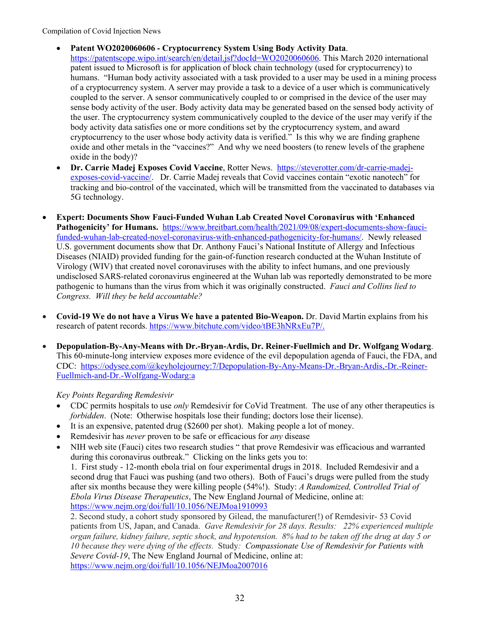- **Patent WO2020060606 - Cryptocurrency System Using Body Activity Data**. [https://patentscope.wipo.int/search/en/detail.jsf?docId=WO2020060606.](https://patentscope.wipo.int/search/en/detail.jsf?docId=WO2020060606) This March 2020 international patent issued to Microsoft is for application of block chain technology (used for cryptocurrency) to humans. "Human body activity associated with a task provided to a user may be used in a mining process of a cryptocurrency system. A server may provide a task to a device of a user which is communicatively coupled to the server. A sensor communicatively coupled to or comprised in the device of the user may sense body activity of the user. Body activity data may be generated based on the sensed body activity of the user. The cryptocurrency system communicatively coupled to the device of the user may verify if the body activity data satisfies one or more conditions set by the cryptocurrency system, and award cryptocurrency to the user whose body activity data is verified." Is this why we are finding graphene oxide and other metals in the "vaccines?" And why we need boosters (to renew levels of the graphene oxide in the body)?
- **Dr. Carrie Madej Exposes Covid Vaccine**, Rotter News. [https://steverotter.com/dr-carrie-madej](https://steverotter.com/dr-carrie-madej-exposes-covid-vaccine/)[exposes-covid-vaccine/.](https://steverotter.com/dr-carrie-madej-exposes-covid-vaccine/) Dr. Carrie Madej reveals that Covid vaccines contain "exotic nanotech" for tracking and bio-control of the vaccinated, which will be transmitted from the vaccinated to databases via 5G technology.
- **Expert: Documents Show Fauci-Funded Wuhan Lab Created Novel Coronavirus with 'Enhanced Pathogenicity' for Humans.** [https://www.breitbart.com/health/2021/09/08/expert-documents-show-fauci](https://www.breitbart.com/health/2021/09/08/expert-documents-show-fauci-funded-wuhan-lab-created-novel-coronavirus-with-enhanced-pathogenicity-for-humans/)[funded-wuhan-lab-created-novel-coronavirus-with-enhanced-pathogenicity-for-humans/.](https://www.breitbart.com/health/2021/09/08/expert-documents-show-fauci-funded-wuhan-lab-created-novel-coronavirus-with-enhanced-pathogenicity-for-humans/) Newly released U.S. government documents show that Dr. Anthony Fauci's National Institute of Allergy and Infectious Diseases (NIAID) provided funding for the gain-of-function research conducted at the Wuhan Institute of Virology (WIV) that created novel coronaviruses with the ability to infect humans, and one previously undisclosed SARS-related coronavirus engineered at the Wuhan lab was reportedly demonstrated to be more pathogenic to humans than the virus from which it was originally constructed. *Fauci and Collins lied to Congress. Will they be held accountable?*
- **Covid-19 We do not have a Virus We have a patented Bio-Weapon.** Dr. David Martin explains from his research of patent records. [https://www.bitchute.com/video/tBE3hNRxEu7P/.](https://www.bitchute.com/video/tBE3hNRxEu7P/)
- **Depopulation-By-Any-Means with Dr.-Bryan-Ardis, Dr. Reiner-Fuellmich and Dr. Wolfgang Wodarg**. This 60-minute-long interview exposes more evidence of the evil depopulation agenda of Fauci, the FDA, and CDC: [https://odysee.com/@keyholejourney:7/Depopulation-By-Any-Means-Dr.-Bryan-Ardis,-Dr.-Reiner-](https://na01.safelinks.protection.outlook.com/?url=https%3A%2F%2Fodysee.com%2F%40keyholejourney%3A7%2FDepopulation-By-Any-Means-Dr.-Bryan-Ardis%2C-Dr.-Reiner-Fuellmich-and-Dr.-Wolfgang-Wodarg%3Aa&data=04%7C01%7C%7C509672035386437f5c1e08d971b8ae19%7C84df9e7fe9f640afb435aaaaaaaaaaaa%7C1%7C0%7C637665860281749073%7CUnknown%7CTWFpbGZsb3d8eyJWIjoiMC4wLjAwMDAiLCJQIjoiV2luMzIiLCJBTiI6Ik1haWwiLCJXVCI6Mn0%3D%7C1000&sdata=%2FYJqT%2FZHiXIw3f3bNvH41GdLDNJ0E8m4mxtOIaQg1E4%3D&reserved=0)[Fuellmich-and-Dr.-Wolfgang-Wodarg:a](https://na01.safelinks.protection.outlook.com/?url=https%3A%2F%2Fodysee.com%2F%40keyholejourney%3A7%2FDepopulation-By-Any-Means-Dr.-Bryan-Ardis%2C-Dr.-Reiner-Fuellmich-and-Dr.-Wolfgang-Wodarg%3Aa&data=04%7C01%7C%7C509672035386437f5c1e08d971b8ae19%7C84df9e7fe9f640afb435aaaaaaaaaaaa%7C1%7C0%7C637665860281749073%7CUnknown%7CTWFpbGZsb3d8eyJWIjoiMC4wLjAwMDAiLCJQIjoiV2luMzIiLCJBTiI6Ik1haWwiLCJXVCI6Mn0%3D%7C1000&sdata=%2FYJqT%2FZHiXIw3f3bNvH41GdLDNJ0E8m4mxtOIaQg1E4%3D&reserved=0)

*Key Points Regarding Remdesivir*

- CDC permits hospitals to use *only* Remdesivir for CoVid Treatment. The use of any other therapeutics is *forbidden*. (Note: Otherwise hospitals lose their funding; doctors lose their license).
- It is an expensive, patented drug (\$2600 per shot). Making people a lot of money.
- Remdesivir has *never* proven to be safe or efficacious for *any* disease
- NIH web site (Fauci) cites two research studies " that prove Remdesivir was efficacious and warranted during this coronavirus outbreak." Clicking on the links gets you to:

1. First study - 12-month ebola trial on four experimental drugs in 2018. Included Remdesivir and a second drug that Fauci was pushing (and two others). Both of Fauci's drugs were pulled from the study after six months because they were killing people (54%!). Study: *A Randomized, Controlled Trial of Ebola Virus Disease Therapeutics*, The New England Journal of Medicine, online at: <https://www.nejm.org/doi/full/10.1056/NEJMoa1910993>

2. Second study, a cohort study sponsored by Gilead, the manufacturer(!) of Remdesivir- 53 Covid patients from US, Japan, and Canada. *Gave Remdesivir for 28 days. Results: 22% experienced multiple* organ failure, kidney failure, septic shock, and hypotension. 8% had to be taken off the drug at day 5 or *10 because they were dying of the effects.* Study*: Compassionate Use of Remdesivir for Patients with Severe Covid-19*, The New England Journal of Medicine, online at: <https://www.nejm.org/doi/full/10.1056/NEJMoa2007016>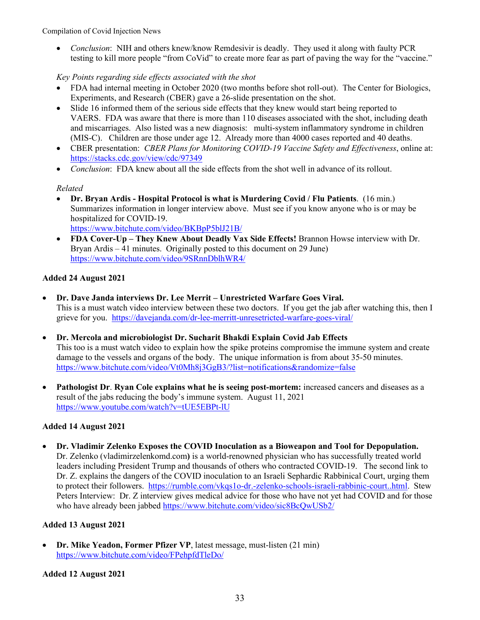• *Conclusion*: NIH and others knew/know Remdesivir is deadly. They used it along with faulty PCR testing to kill more people "from CoVid" to create more fear as part of paving the way for the "vaccine."

*Key Points regarding side effects associated with the shot*

- FDA had internal meeting in October 2020 (two months before shot roll-out). The Center for Biologics, Experiments, and Research (CBER) gave a 26-slide presentation on the shot.
- Slide 16 informed them of the serious side effects that they knew would start being reported to VAERS. FDA was aware that there is more than 110 diseases associated with the shot, including death and miscarriages. Also listed was a new diagnosis: multi-system inflammatory syndrome in children (MIS-C). Children are those under age 12. Already more than 4000 cases reported and 40 deaths.
- CBER presentation: *CBER Plans for Monitoring COVID-19 Vaccine Safety and Effectiveness*, online at: <https://stacks.cdc.gov/view/cdc/97349>
- *Conclusion*: FDA knew about all the side effects from the shot well in advance of its rollout.

## *Related*

- **Dr. Bryan Ardis - Hospital Protocol is what is Murdering Covid / Flu Patients**. (16 min.) Summarizes information in longer interview above. Must see if you know anyone who is or may be hospitalized for COVID-19. <https://www.bitchute.com/video/BKBpP5blJ21B/>
- **FDA Cover-Up – They Knew About Deadly Vax Side Effects!** Brannon Howse interview with Dr. Bryan Ardis  $-41$  minutes. Originally posted to this document on 29 June) <https://www.bitchute.com/video/9SRnnDblhWR4/>

# **Added 24 August 2021**

- **Dr. Dave Janda interviews Dr. Lee Merrit – Unrestricted Warfare Goes Viral.** This is a must watch video interview between these two doctors. If you get the jab after watching this, then I grieve for you. <https://davejanda.com/dr-lee-merritt-unresetricted-warfare-goes-viral/>
- **Dr. Mercola and microbiologist Dr. Sucharit Bhakdi Explain Covid Jab Effects** This too is a must watch video to explain how the spike proteins compromise the immune system and create damage to the vessels and organs of the body. The unique information is from about 35-50 minutes. <https://www.bitchute.com/video/Vt0Mh8j3GgB3/?list=notifications&randomize=false>
- **Pathologist Dr**. **Ryan Cole explains what he is seeing post-mortem:** increased cancers and diseases as a result of the jabs reducing the body's immune system. August 11, 2021 <https://www.youtube.com/watch?v=tUE5EBPt-lU>

# **Added 14 August 2021**

• **Dr. Vladimir Zelenko Exposes the COVID Inoculation as a Bioweapon and Tool for Depopulation.** Dr. Zelenko (vladimirzelenkomd.com**)** is a world-renowned physician who has successfully treated world leaders including President Trump and thousands of others who contracted COVID-19. The second link to Dr. Z. explains the dangers of the COVID inoculation to an Israeli Sephardic Rabbinical Court, urging them to protect their followers. [https://rumble.com/vkqs1o-dr.-zelenko-schools-israeli-rabbinic-court..html.](https://rumble.com/vkqs1o-dr.-zelenko-schools-israeli-rabbinic-court..html) Stew Peters Interview: Dr. Z interview gives medical advice for those who have not yet had COVID and for those who have already been jabbed <https://www.bitchute.com/video/sic8BcQwUSb2/>

# **Added 13 August 2021**

• **Dr. Mike Yeadon, Former Pfizer VP**, latest message, must-listen (21 min) <https://www.bitchute.com/video/FPehpfdTleDo/>

## **Added 12 August 2021**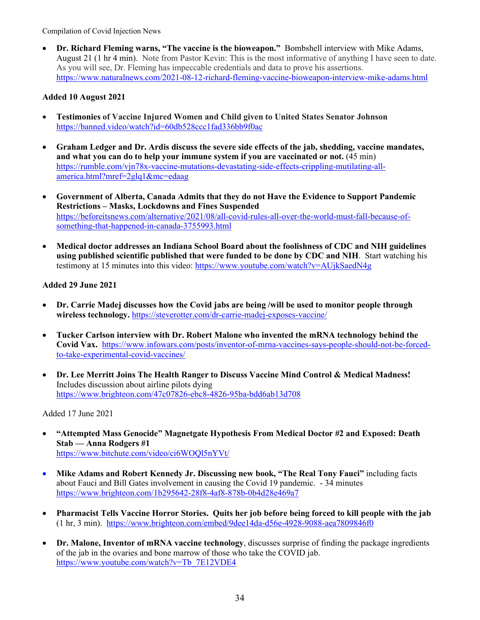• **Dr. Richard Fleming warns, "The vaccine is the bioweapon."** Bombshell interview with Mike Adams, August 21 (1 hr 4 min). Note from Pastor Kevin: This is the most informative of anything I have seen to date. As you will see, Dr. Fleming has impeccable credentials and data to prove his assertions. <https://www.naturalnews.com/2021-08-12-richard-fleming-vaccine-bioweapon-interview-mike-adams.html>

## **Added 10 August 2021**

- **Testimonies of Vaccine Injured Women and Child given to United States Senator Johnson** <https://banned.video/watch?id=60db528ccc1fad336bb9f0ac>
- **Graham Ledger and Dr. Ardis discuss the severe side effects of the jab, shedding, vaccine mandates, and what you can do to help your immune system if you are vaccinated or not.** (45 min) [https://rumble.com/vjn78x-vaccine-mutations-devastating-side-effects-crippling-mutilating-all](https://rumble.com/vjn78x-vaccine-mutations-devastating-side-effects-crippling-mutilating-all-america.html?mref=2glq1&mc=edaag)[america.html?mref=2glq1&mc=edaag](https://rumble.com/vjn78x-vaccine-mutations-devastating-side-effects-crippling-mutilating-all-america.html?mref=2glq1&mc=edaag)
- **Government of Alberta, Canada Admits that they do not Have the Evidence to Support Pandemic Restrictions – Masks, Lockdowns and Fines Suspended** [https://beforeitsnews.com/alternative/2021/08/all-covid-rules-all-over-the-world-must-fall-because-of](https://beforeitsnews.com/alternative/2021/08/all-covid-rules-all-over-the-world-must-fall-because-of-something-that-happened-in-canada-3755993.html)[something-that-happened-in-canada-3755993.html](https://beforeitsnews.com/alternative/2021/08/all-covid-rules-all-over-the-world-must-fall-because-of-something-that-happened-in-canada-3755993.html)
- **Medical doctor addresses an Indiana School Board about the foolishness of CDC and NIH guidelines using published scientific published that were funded to be done by CDC and NIH**. Start watching his testimony at 15 minutes into this video:<https://www.youtube.com/watch?v=AUjkSaedN4g>

## **Added 29 June 2021**

- **Dr. Carrie Madej discusses how the Covid jabs are being /will be used to monitor people through wireless technology.** <https://steverotter.com/dr-carrie-madej-exposes-vaccine/>
- **Tucker Carlson interview with Dr. Robert Malone who invented the mRNA technology behind the Covid Vax.** [https://www.infowars.com/posts/inventor-of-mrna-vaccines-says-people-should-not-be-forced](https://www.infowars.com/posts/inventor-of-mrna-vaccines-says-people-should-not-be-forced-to-take-experimental-covid-vaccines/)[to-take-experimental-covid-vaccines/](https://www.infowars.com/posts/inventor-of-mrna-vaccines-says-people-should-not-be-forced-to-take-experimental-covid-vaccines/)
- **Dr. Lee Merritt Joins The Health Ranger to Discuss Vaccine Mind Control & Medical Madness!** Includes discussion about airline pilots dying <https://www.brighteon.com/47c07826-ebc8-4826-95ba-bdd6ab13d708>

Added 17 June 2021

- **"Attempted Mass Genocide" Magnetgate Hypothesis From Medical Doctor #2 and Exposed: Death Stab — Anna Rodgers #1** <https://www.bitchute.com/video/ci6WOQl5nYVt/>
- **Mike Adams and Robert Kennedy Jr. Discussing new book, "The Real Tony Fauci"** including facts about Fauci and Bill Gates involvement in causing the Covid 19 pandemic. - 34 minutes [https://www.brighteon.com/1b295642-28f8-4af8-878b-0b4d28e469a7](https://na01.safelinks.protection.outlook.com/?url=https%3A%2F%2Fwww.brighteon.com%2F1b295642-28f8-4af8-878b-0b4d28e469a7&data=04%7C01%7C%7C8dc2d3c81d2d4a9c23d508d92ef098d0%7C84df9e7fe9f640afb435aaaaaaaaaaaa%7C1%7C0%7C637592433152510343%7CUnknown%7CTWFpbGZsb3d8eyJWIjoiMC4wLjAwMDAiLCJQIjoiV2luMzIiLCJBTiI6Ik1haWwiLCJXVCI6Mn0%3D%7C1000&sdata=MKZpZRSR4bWemYn32CVeHzQKoecRjOyK%2FkvKWTIuyYU%3D&reserved=0)
- **Pharmacist Tells Vaccine Horror Stories. Quits her job before being forced to kill people with the jab** (1 hr, 3 min). <https://www.brighteon.com/embed/9dee14da-d56e-4928-9088-aea7809846f0>
- **Dr. Malone, Inventor of mRNA vaccine technology**, discusses surprise of finding the package ingredients of the jab in the ovaries and bone marrow of those who take the COVID jab. [https://www.youtube.com/watch?v=Tb\\_7E12VDE4](https://www.youtube.com/watch?v=Tb_7E12VDE4)